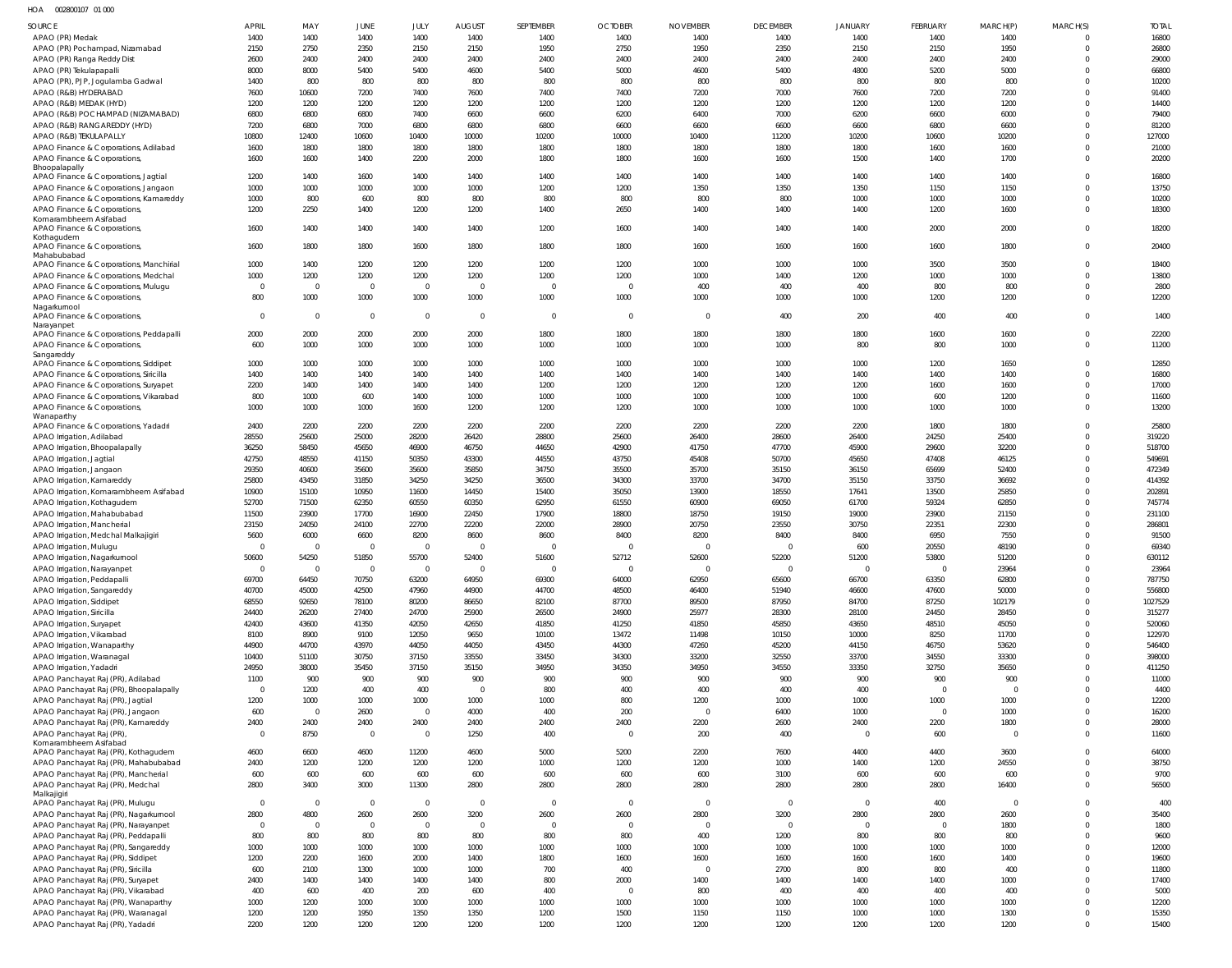HOA 002800107 01 000

| <b>SOURCE</b>                                                                   | <b>APRIL</b>           | MAY               | JUNE              | JULY              | <b>AUGUST</b>         | SEPTEMBER         | <b>OCTOBER</b>    | <b>NOVEMBER</b>   | <b>DECEMBER</b>   | <b>JANUARY</b> | <b>FEBRUARY</b>       | MARCH(P)              | MARCH(S)             | <b>TOTAL</b>     |
|---------------------------------------------------------------------------------|------------------------|-------------------|-------------------|-------------------|-----------------------|-------------------|-------------------|-------------------|-------------------|----------------|-----------------------|-----------------------|----------------------|------------------|
| APAO (PR) Medak                                                                 | 1400                   | 1400              | 1400              | 1400              | 1400                  | 1400              | 1400              | 1400              | 1400              | 1400           | 1400                  | 1400                  |                      | 16800            |
| APAO (PR) Pochampad, Nizamabad                                                  | 2150                   | 2750              | 2350              | 2150              | 2150                  | 1950              | 2750              | 1950              | 2350              | 2150           | 2150                  | 1950                  | $\Omega$             | 26800            |
| APAO (PR) Ranga Reddy Dist<br>APAO (PR) Tekulapapalli                           | 2600<br>8000           | 2400<br>8000      | 2400<br>5400      | 2400<br>5400      | 2400<br>4600          | 2400<br>5400      | 2400<br>5000      | 2400<br>4600      | 2400<br>5400      | 2400<br>4800   | 2400<br>5200          | 2400<br>5000          | $\Omega$             | 29000<br>66800   |
| APAO (PR), PJP, Jogulamba Gadwal                                                | 1400                   | 800               | 800               | 800               | 800                   | 800               | 800               | 800               | 800               | 800            | 800                   | 800                   |                      | 10200            |
| APAO (R&B) HYDERABAD                                                            | 7600                   | 10600             | 7200              | 7400              | 7600                  | 7400              | 7400              | 7200              | 7000              | 7600           | 7200                  | 7200                  | $\Omega$             | 91400            |
| APAO (R&B) MEDAK (HYD)                                                          | 1200                   | 1200              | 1200              | 1200              | 1200                  | 1200              | 1200              | 1200              | 1200              | 1200           | 1200                  | 1200                  |                      | 14400            |
| APAO (R&B) POCHAMPAD (NIZAMABAD)                                                | 6800                   | 6800              | 6800              | 7400              | 6600                  | 6600              | 6200              | 6400              | 7000              | 6200           | 6600                  | 6000                  |                      | 79400            |
| APAO (R&B) RANGAREDDY (HYD)<br>APAO (R&B) TEKULAPALLY                           | 7200<br>10800          | 6800<br>12400     | 7000<br>10600     | 6800<br>10400     | 6800<br>10000         | 6800<br>10200     | 6600<br>10000     | 6600<br>10400     | 6600<br>11200     | 6600<br>10200  | 6800<br>10600         | 6600<br>10200         | $\Omega$             | 81200<br>127000  |
| APAO Finance & Corporations, Adilabad                                           | 1600                   | 1800              | 1800              | 1800              | 1800                  | 1800              | 1800              | 1800              | 1800              | 1800           | 1600                  | 1600                  | $\Omega$             | 21000            |
| APAO Finance & Corporations                                                     | 1600                   | 1600              | 1400              | 2200              | 2000                  | 1800              | 1800              | 1600              | 1600              | 1500           | 1400                  | 1700                  | $\Omega$             | 20200            |
| Bhoopalapally                                                                   | 1200                   | 1400              | 1600              | 1400              | 1400                  | 1400              | 1400              | 1400              | 1400              | 1400           | 1400                  | 1400                  |                      | 16800            |
| APAO Finance & Corporations, Jagtial<br>APAO Finance & Corporations, Jangaon    | 1000                   | 1000              | 1000              | 1000              | 1000                  | 1200              | 1200              | 1350              | 1350              | 1350           | 1150                  | 1150                  | $\Omega$             | 13750            |
| APAO Finance & Corporations, Kamareddy                                          | 1000                   | 800               | 600               | 800               | 800                   | 800               | 800               | 800               | 800               | 1000           | 1000                  | 1000                  | $\Omega$             | 10200            |
| APAO Finance & Corporations                                                     | 1200                   | 2250              | 1400              | 1200              | 1200                  | 1400              | 2650              | 1400              | 1400              | 1400           | 1200                  | 1600                  | $\Omega$             | 18300            |
| Komarambheem Asifabad<br>APAO Finance & Corporations,                           | 1600                   | 1400              | 1400              | 1400              | 1400                  | 1200              | 1600              | 1400              | 1400              | 1400           | 2000                  | 2000                  | $\Omega$             | 18200            |
| Kothagudem                                                                      |                        |                   |                   |                   |                       |                   |                   |                   |                   |                |                       |                       |                      |                  |
| APAO Finance & Corporations,<br>Mahabubabad                                     | 1600                   | 1800              | 1800              | 1600              | 1800                  | 1800              | 1800              | 1600              | 1600              | 1600           | 1600                  | 1800                  | $\Omega$             | 20400            |
| APAO Finance & Corporations, Manchirial                                         | 1000                   | 1400              | 1200              | 1200              | 1200                  | 1200              | 1200              | 1000              | 1000              | 1000           | 3500                  | 3500                  |                      | 18400            |
| APAO Finance & Corporations, Medchal                                            | 1000                   | 1200              | 1200              | 1200              | 1200                  | 1200              | 1200              | 1000              | 1400              | 1200           | 1000                  | 1000                  | $\Omega$             | 13800            |
| APAO Finance & Corporations, Mulugu                                             | - 0                    | $\overline{0}$    | $\overline{0}$    | $\overline{0}$    | $\overline{0}$        | $\overline{0}$    | $\overline{0}$    | 400               | 400               | 400            | 800                   | 800                   | $\Omega$             | 2800             |
| APAO Finance & Corporations<br>Nagarkurnool                                     | 800                    | 1000              | 1000              | 1000              | 1000                  | 1000              | 1000              | 1000              | 1000              | 1000           | 1200                  | 1200                  | $\Omega$             | 12200            |
| APAO Finance & Corporations,                                                    | $\Omega$               | $\Omega$          | $\overline{0}$    | $\overline{0}$    | $\overline{0}$        | $\overline{0}$    | $\overline{0}$    | $\overline{0}$    | 400               | 200            | 400                   | 400                   | $\Omega$             | 1400             |
| Narayanpet                                                                      |                        |                   |                   |                   | 2000                  | 1800              | 1800              | 1800              | 1800              | 1800           | 1600                  | 1600                  | $\Omega$             | 22200            |
| APAO Finance & Corporations, Peddapalli<br>APAO Finance & Corporations,         | 2000<br>600            | 2000<br>1000      | 2000<br>1000      | 2000<br>1000      | 1000                  | 1000              | 1000              | 1000              | 1000              | 800            | 800                   | 1000                  | $\Omega$             | 11200            |
| Sangareddy                                                                      |                        |                   |                   |                   |                       |                   |                   |                   |                   |                |                       |                       |                      |                  |
| APAO Finance & Corporations, Siddipet                                           | 1000                   | 1000              | 1000              | 1000              | 1000                  | 1000              | 1000              | 1000              | 1000              | 1000           | 1200                  | 1650                  | $\Omega$             | 12850            |
| APAO Finance & Corporations, Siricilla<br>APAO Finance & Corporations, Suryapet | 1400<br>2200           | 1400<br>1400      | 1400<br>1400      | 1400<br>1400      | 1400<br>1400          | 1400<br>1200      | 1400<br>1200      | 1400<br>1200      | 1400<br>1200      | 1400<br>1200   | 1400<br>1600          | 1400<br>1600          | $\Omega$             | 16800<br>17000   |
| APAO Finance & Corporations, Vikarabad                                          | 800                    | 1000              | 600               | 1400              | 1000                  | 1000              | 1000              | 1000              | 1000              | 1000           | 600                   | 1200                  | $\Omega$             | 11600            |
| APAO Finance & Corporations,                                                    | 1000                   | 1000              | 1000              | 1600              | 1200                  | 1200              | 1200              | 1000              | 1000              | 1000           | 1000                  | 1000                  | $\Omega$             | 13200            |
| Wanaparthy<br>APAO Finance & Corporations, Yadadri                              | 2400                   | 2200              | 2200              | 2200              | 2200                  | 2200              | 2200              | 2200              | 2200              | 2200           | 1800                  | 1800                  |                      | 25800            |
| APAO Irrigation, Adilabad                                                       | 28550                  | 25600             | 25000             | 28200             | 26420                 | 28800             | 25600             | 26400             | 28600             | 26400          | 24250                 | 25400                 | $\Omega$             | 319220           |
| APAO Irrigation, Bhoopalapally                                                  | 36250                  | 58450             | 45650             | 46900             | 46750                 | 44650             | 42900             | 41750             | 47700             | 45900          | 29600                 | 32200                 | $\Omega$             | 518700           |
| APAO Irrigation, Jagtial                                                        | 42750                  | 48550             | 41150             | 50350             | 43300                 | 44550             | 43750             | 45408             | 50700             | 45650          | 47408                 | 46125                 | $\Omega$             | 549691           |
| APAO Irrigation, Jangaon                                                        | 29350                  | 40600             | 35600             | 35600             | 35850                 | 34750             | 35500             | 35700             | 35150             | 36150          | 65699                 | 52400                 | $\Omega$             | 472349           |
| APAO Irrigation, Kamareddy                                                      | 25800<br>10900         | 43450<br>15100    | 31850<br>10950    | 34250<br>11600    | 34250<br>14450        | 36500<br>15400    | 34300<br>35050    | 33700<br>13900    | 34700<br>18550    | 35150<br>17641 | 33750<br>13500        | 36692<br>25850        | $\Omega$<br>$\Omega$ | 414392<br>202891 |
| APAO Irrigation, Komarambheem Asifabad<br>APAO Irrigation, Kothagudem           | 52700                  | 71500             | 62350             | 60550             | 60350                 | 62950             | 61550             | 60900             | 69050             | 61700          | 59324                 | 62850                 | $\Omega$             | 745774           |
| APAO Irrigation, Mahabubabad                                                    | 11500                  | 23900             | 17700             | 16900             | 22450                 | 17900             | 18800             | 18750             | 19150             | 19000          | 23900                 | 21150                 | $\Omega$             | 231100           |
| APAO Irrigation, Mancherial                                                     | 23150                  | 24050             | 24100             | 22700             | 22200                 | 22000             | 28900             | 20750             | 23550             | 30750          | 22351                 | 22300                 | $\Omega$             | 286801           |
| APAO Irrigation, Medchal Malkajigiri                                            | 5600                   | 6000              | 6600              | 8200              | 8600                  | 8600              | 8400              | 8200              | 8400              | 8400           | 6950                  | 7550                  | $\Omega$             | 91500            |
| APAO Irrigation, Mulugu<br>APAO Irrigation, Nagarkurnool                        | 50600                  | $\Omega$<br>54250 | $\Omega$<br>51850 | $\Omega$<br>55700 | $\Omega$<br>52400     | $\Omega$<br>51600 | $\Omega$<br>52712 | $\Omega$<br>52600 | $\Omega$<br>52200 | 600<br>51200   | 20550<br>53800        | 48190<br>51200        | $\Omega$<br>$\Omega$ | 69340<br>630112  |
| APAO Irrigation, Narayanpet                                                     | $\Omega$               | $\Omega$          | $\mathbf 0$       | $\overline{0}$    | $\Omega$              | $\overline{0}$    | $\overline{0}$    | $\overline{0}$    | $\mathbf{0}$      | $\Omega$       | $\overline{0}$        | 23964                 | $\Omega$             | 23964            |
| APAO Irrigation, Peddapalli                                                     | 69700                  | 64450             | 70750             | 63200             | 64950                 | 69300             | 64000             | 62950             | 65600             | 66700          | 63350                 | 62800                 | $\Omega$             | 787750           |
| APAO Irrigation, Sangareddy                                                     | 40700                  | 45000             | 42500             | 47960             | 44900                 | 44700             | 48500             | 46400             | 51940             | 46600          | 47600                 | 50000                 | $\Omega$             | 556800           |
| APAO Irrigation, Siddipet                                                       | 68550                  | 92650             | 78100             | 80200             | 86650                 | 82100             | 87700             | 89500             | 87950             | 84700          | 87250                 | 102179                | $\Omega$             | 1027529          |
| APAO Irrigation, Siricilla                                                      | 24400<br>42400         | 26200<br>43600    | 27400<br>41350    | 24700<br>42050    | 25900<br>42650        | 26500<br>41850    | 24900<br>41250    | 25977<br>41850    | 28300<br>45850    | 28100<br>43650 | 24450<br>48510        | 28450<br>45050        | $\Omega$<br>$\Omega$ | 315277<br>520060 |
| APAO Irrigation, Suryapet<br>APAO Irrigation, Vikarabad                         | 8100                   | 8900              | 9100              | 12050             | 9650                  | 10100             | 13472             | 11498             | 10150             | 10000          | 8250                  | 11700                 | $\Omega$             | 122970           |
| APAO Irrigation, Wanaparthy                                                     | 44900                  | 44700             | 43970             | 44050             | 44050                 | 43450             | 44300             | 47260             | 45200             | 44150          | 46750                 | 53620                 | $\Omega$             | 546400           |
| APAO Irrigation, Waranagal                                                      | 10400                  | 51100             | 30750             | 37150             | 33550                 | 33450             | 34300             | 33200             | 32550             | 33700          | 34550                 | 33300                 | $\Omega$             | 398000           |
| APAO Irrigation, Yadadri                                                        | 24950                  | 38000             | 35450             | 37150             | 35150                 | 34950             | 34350             | 34950             | 34550             | 33350          | 32750                 | 35650                 | $\Omega$             | 411250           |
| APAO Panchayat Raj (PR), Adilabad<br>APAO Panchayat Raj (PR), Bhoopalapally     | 1100<br>$\overline{0}$ | 900<br>1200       | 900<br>400        | 900<br>400        | 900<br>$\overline{0}$ | 900<br>800        | 900<br>400        | 900<br>400        | 900<br>400        | 900<br>400     | 900<br>$\overline{0}$ | 900<br>$\overline{0}$ | $\Omega$<br>$\Omega$ | 11000<br>4400    |
| APAO Panchayat Raj (PR), Jagtial                                                | 1200                   | 1000              | 1000              | 1000              | 1000                  | 1000              | 800               | 1200              | 1000              | 1000           | 1000                  | 1000                  | $\Omega$             | 12200            |
| APAO Panchayat Raj (PR), Jangaon                                                | 600                    | $\Omega$          | 2600              | $\mathbf{0}$      | 4000                  | 400               | 200               | $\overline{0}$    | 6400              | 1000           | $\overline{0}$        | 1000                  | $\Omega$             | 16200            |
| APAO Panchayat Raj (PR), Kamareddy                                              | 2400                   | 2400              | 2400              | 2400              | 2400                  | 2400              | 2400              | 2200              | 2600              | 2400           | 2200                  | 1800                  | $\Omega$             | 28000            |
| APAO Panchayat Raj (PR)<br>Komarambheem Asifabad                                | $\mathbf 0$            | 8750              | $\overline{0}$    | $\overline{0}$    | 1250                  | 400               | $\overline{0}$    | 200               | 400               | $\overline{0}$ | 600                   | $\overline{0}$        | $\Omega$             | 11600            |
| APAO Panchayat Raj (PR), Kothagudem                                             | 4600                   | 6600              | 4600              | 11200             | 4600                  | 5000              | 5200              | 2200              | 7600              | 4400           | 4400                  | 3600                  | $\Omega$             | 64000            |
| APAO Panchayat Raj (PR), Mahabubabad                                            | 2400                   | 1200              | 1200              | 1200              | 1200                  | 1000              | 1200              | 1200              | 1000              | 1400           | 1200                  | 24550                 | $\Omega$             | 38750            |
| APAO Panchayat Raj (PR), Mancherial                                             | 600                    | 600               | 600               | 600               | 600                   | 600               | 600               | 600               | 3100              | 600            | 600                   | 600                   | $\Omega$             | 9700             |
| APAO Panchayat Raj (PR), Medchal<br>Malkajigiri                                 | 2800                   | 3400              | 3000              | 11300             | 2800                  | 2800              | 2800              | 2800              | 2800              | 2800           | 2800                  | 16400                 | $\Omega$             | 56500            |
| APAO Panchayat Raj (PR), Mulugu                                                 | $\mathbf 0$            | $\Omega$          | $\overline{0}$    | $\mathbf{0}$      | $\overline{0}$        | $\overline{0}$    | $\overline{0}$    | $\overline{0}$    | $\overline{0}$    | $\overline{0}$ | 400                   | $\overline{0}$        | $\Omega$             | 400              |
| APAO Panchayat Raj (PR), Nagarkurnool                                           | 2800                   | 4800              | 2600              | 2600              | 3200                  | 2600              | 2600              | 2800              | 3200              | 2800           | 2800                  | 2600                  | $\Omega$             | 35400            |
| APAO Panchayat Raj (PR), Narayanpet                                             | $\mathbf 0$            | $\Omega$          | $\overline{0}$    | $\overline{0}$    | $\overline{0}$        | $\overline{0}$    | $\overline{0}$    | $\overline{0}$    | $\overline{0}$    | $\mathbf{0}$   | $\overline{0}$        | 1800                  | $\Omega$             | 1800             |
| APAO Panchayat Raj (PR), Peddapalli<br>APAO Panchayat Raj (PR), Sangareddy      | 800<br>1000            | 800<br>1000       | 800<br>1000       | 800<br>1000       | 800<br>1000           | 800<br>1000       | 800<br>1000       | 400<br>1000       | 1200<br>1000      | 800<br>1000    | 800<br>1000           | 800<br>1000           | $\Omega$<br>$\Omega$ | 9600<br>12000    |
| APAO Panchayat Raj (PR), Siddipet                                               | 1200                   | 2200              | 1600              | 2000              | 1400                  | 1800              | 1600              | 1600              | 1600              | 1600           | 1600                  | 1400                  | $\Omega$             | 19600            |
| APAO Panchayat Raj (PR), Siricilla                                              | 600                    | 2100              | 1300              | 1000              | 1000                  | 700               | 400               | $\overline{0}$    | 2700              | 800            | 800                   | 400                   | $\Omega$             | 11800            |
| APAO Panchayat Raj (PR), Suryapet                                               | 2400                   | 1400              | 1400              | 1400              | 1400                  | 800               | 2000              | 1400              | 1400              | 1400           | 1400                  | 1000                  | $\Omega$             | 17400            |
| APAO Panchayat Raj (PR), Vikarabad                                              | 400                    | 600               | 400               | 200               | 600                   | 400               | $\overline{0}$    | 800               | 400               | 400            | 400                   | 400                   | $\Omega$             | 5000             |
| APAO Panchayat Raj (PR), Wanaparthy<br>APAO Panchayat Raj (PR), Waranagal       | 1000<br>1200           | 1200<br>1200      | 1000<br>1950      | 1000<br>1350      | 1000<br>1350          | 1000<br>1200      | 1000<br>1500      | 1000<br>1150      | 1000<br>1150      | 1000<br>1000   | 1000<br>1000          | 1000<br>1300          | $\Omega$<br>$\Omega$ | 12200<br>15350   |
| APAO Panchayat Raj (PR), Yadadri                                                | 2200                   | 1200              | 1200              | 1200              | 1200                  | 1200              | 1200              | 1200              | 1200              | 1200           | 1200                  | 1200                  | $\mathbf 0$          | 15400            |
|                                                                                 |                        |                   |                   |                   |                       |                   |                   |                   |                   |                |                       |                       |                      |                  |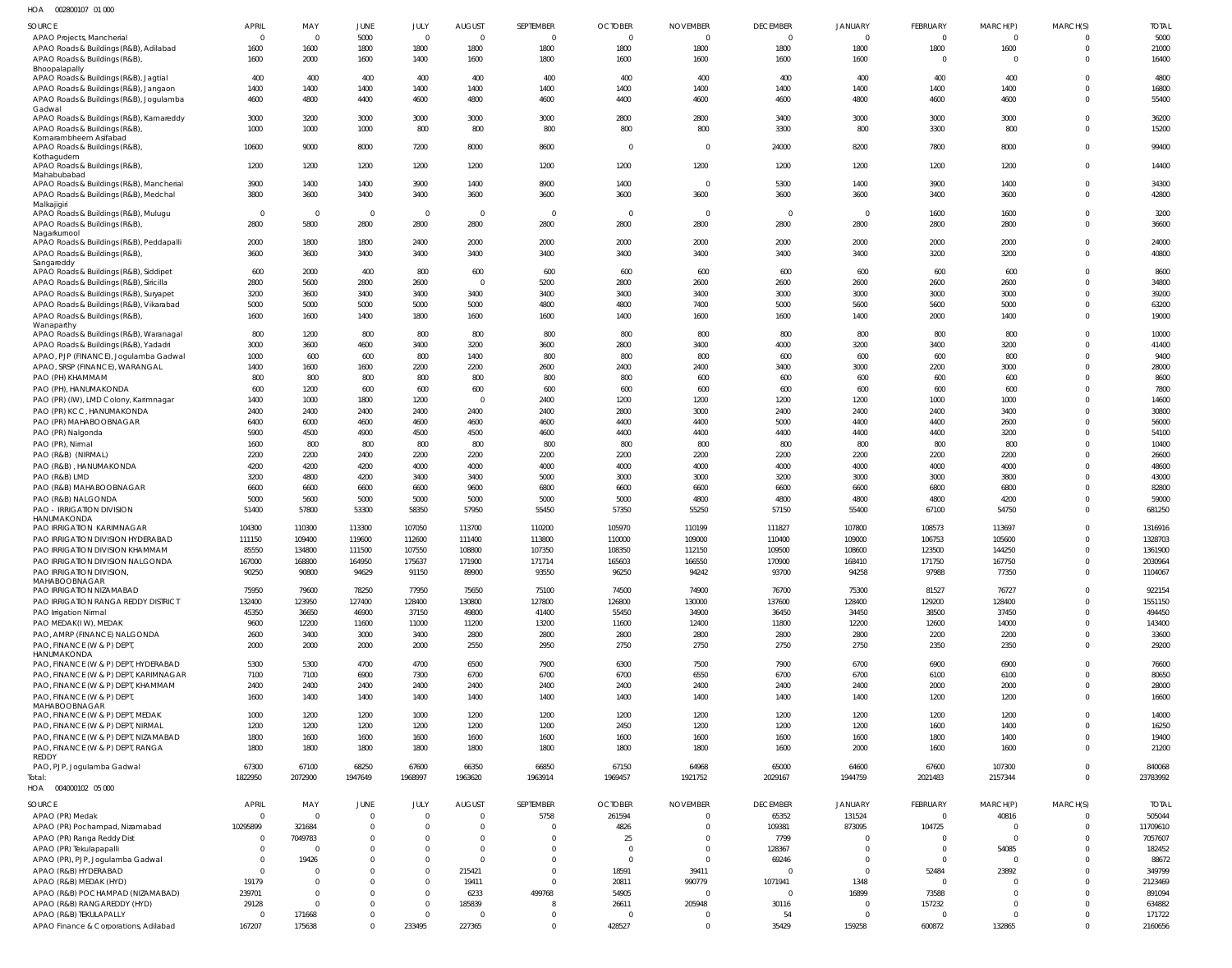002800107 01 000 HOA

| SOURCE                                                | APRIL        | MAY            | JUNE                    | JULY           | <b>AUGUST</b>  | SEPTEMBER      | <b>OCTOBER</b> | <b>NOVEMBER</b> | <b>DECEMBER</b> | JANUARY        | <b>FEBRUARY</b> | MARCH(P)       | MARCH(S)     | <b>TOTAL</b> |
|-------------------------------------------------------|--------------|----------------|-------------------------|----------------|----------------|----------------|----------------|-----------------|-----------------|----------------|-----------------|----------------|--------------|--------------|
| APAO Projects, Mancherial                             |              | $\Omega$       | 5000                    | $\overline{0}$ | $\Omega$       | $\Omega$       | $\overline{0}$ | $\mathbf{0}$    | $\Omega$        | $\Omega$       | $\Omega$        | $\Omega$       |              | 5000         |
| APAO Roads & Buildings (R&B), Adilabad                | 1600         | 1600           | 1800                    | 1800           | 1800           | 1800           | 1800           | 1800            | 1800            | 1800           | 1800            | 1600           |              | 21000        |
| APAO Roads & Buildings (R&B),                         | 1600         | 2000           | 1600                    | 1400           | 1600           | 1800           | 1600           | 1600            | 1600            | 1600           | $\Omega$        | $\Omega$       |              | 16400        |
| Bhoopalapally                                         |              |                |                         |                |                |                |                |                 |                 |                |                 |                |              |              |
| APAO Roads & Buildings (R&B), Jagtial                 | 400          | 400            | 400                     | 400            | 400            | 400            | 400            | 400             | 400             | 400            | 400             | 400            |              | 4800         |
| APAO Roads & Buildings (R&B), Jangaon                 | 1400         | 1400           | 1400                    | 1400           | 1400           | 1400           | 1400           | 1400            | 1400            | 1400           | 1400            | 1400           |              | 16800        |
| APAO Roads & Buildings (R&B), Jogulamba               | 4600         | 4800           | 4400                    | 4600           | 4800           | 4600           | 4400           | 4600            | 4600            | 4800           | 4600            | 4600           |              | 55400        |
| Gadwal                                                |              |                |                         |                |                |                |                |                 |                 |                |                 |                |              |              |
| APAO Roads & Buildings (R&B), Kamareddy               | 3000         | 3200           | 3000                    | 3000           | 3000           | 3000           | 2800           | 2800            | 3400            | 3000           | 3000            | 3000           | <sup>0</sup> | 36200        |
| APAO Roads & Buildings (R&B),                         | 1000         | 1000           | 1000                    | 800            | 800            | 800            | 800            | 800             | 3300            | 800            | 3300            | 800            |              | 15200        |
| Komarambheem Asifabad                                 |              |                |                         |                |                |                |                |                 |                 |                |                 |                |              |              |
| APAO Roads & Buildings (R&B)                          | 10600        | 9000           | 8000                    | 7200           | 8000           | 8600           | $\overline{0}$ | $\mathbf{0}$    | 24000           | 8200           | 7800            | 8000           | $\Omega$     | 99400        |
| Kothagudem                                            |              |                |                         |                |                |                |                |                 |                 |                |                 |                |              |              |
| APAO Roads & Buildings (R&B),                         | 1200         | 1200           | 1200                    | 1200           | 1200           | 1200           | 1200           | 1200            | 1200            | 1200           | 1200            | 1200           | 0            | 14400        |
| Mahabubabad                                           |              |                |                         |                |                |                |                |                 |                 |                |                 |                | $\Omega$     |              |
| APAO Roads & Buildings (R&B), Mancherial              | 3900         | 1400           | 1400                    | 3900           | 1400           | 8900           | 1400           | $\overline{0}$  | 5300            | 1400           | 3900            | 1400           |              | 34300        |
| APAO Roads & Buildings (R&B), Medchal                 | 3800         | 3600           | 3400                    | 3400           | 3600           | 3600           | 3600           | 3600            | 3600            | 3600           | 3400            | 3600           | $\Omega$     | 42800        |
| Malkajigiri<br>APAO Roads & Buildings (R&B), Mulugu   | $\Omega$     | $\overline{0}$ | $\overline{\mathbf{0}}$ | $\overline{0}$ | $\overline{0}$ | $\Omega$       | $\overline{0}$ | 0               | $\overline{0}$  | $\overline{0}$ | 1600            | 1600           |              | 3200         |
| APAO Roads & Buildings (R&B),                         | 2800         | 5800           | 2800                    | 2800           | 2800           | 2800           | 2800           | 2800            | 2800            | 2800           | 2800            | 2800           | $\Omega$     | 36600        |
| Nagarkurnool                                          |              |                |                         |                |                |                |                |                 |                 |                |                 |                |              |              |
| APAO Roads & Buildings (R&B), Peddapalli              | 2000         | 1800           | 1800                    | 2400           | 2000           | 2000           | 2000           | 2000            | 2000            | 2000           | 2000            | 2000           | $\Omega$     | 24000        |
| APAO Roads & Buildings (R&B),                         | 3600         | 3600           | 3400                    | 3400           | 3400           | 3400           | 3400           | 3400            | 3400            | 3400           | 3200            | 3200           | $\Omega$     | 40800        |
| Sangareddy                                            |              |                |                         |                |                |                |                |                 |                 |                |                 |                |              |              |
| APAO Roads & Buildings (R&B), Siddipet                | 600          | 2000           | 400                     | 800            | 600            | 600            | 600            | 600             | 600             | 600            | 600             | 600            | 0            | 8600         |
| APAO Roads & Buildings (R&B), Siricilla               | 2800         | 5600           | 2800                    | 2600           | $\overline{0}$ | 5200           | 2800           | 2600            | 2600            | 2600           | 2600            | 2600           | $\Omega$     | 34800        |
| APAO Roads & Buildings (R&B), Suryapet                | 3200         | 3600           | 3400                    | 3400           | 3400           | 3400           | 3400           | 3400            | 3000            | 3000           | 3000            | 3000           | $\Omega$     | 39200        |
| APAO Roads & Buildings (R&B), Vikarabad               | 5000         | 5000           | 5000                    | 5000           | 5000           | 4800           | 4800           | 7400            | 5000            | 5600           | 5600            | 5000           |              | 63200        |
|                                                       |              |                |                         |                |                |                |                |                 |                 |                |                 | 1400           | $\Omega$     | 19000        |
| APAO Roads & Buildings (R&B),                         | 1600         | 1600           | 1400                    | 1800           | 1600           | 1600           | 1400           | 1600            | 1600            | 1400           | 2000            |                |              |              |
| Wanaparthy<br>APAO Roads & Buildings (R&B), Waranagal | 800          | 1200           | 800                     | 800            | 800            | 800            | 800            | 800             | 800             | 800            | 800             | 800            | $\Omega$     | 10000        |
|                                                       | 3000         | 3600           | 4600                    | 3400           | 3200           | 3600           | 2800           | 3400            | 4000            | 3200           | 3400            | 3200           | $\Omega$     | 41400        |
| APAO Roads & Buildings (R&B), Yadadri                 |              |                |                         |                |                |                |                |                 |                 |                |                 |                |              |              |
| APAO, PJP (FINANCE), Jogulamba Gadwal                 | 1000         | 600            | 600                     | 800            | 1400           | 800            | 800            | 800             | 600             | 600            | 600             | 800            |              | 9400         |
| APAO, SRSP (FINANCE), WARANGAL                        | 1400         | 1600           | 1600                    | 2200           | 2200           | 2600           | 2400           | 2400            | 3400            | 3000           | 2200            | 3000           | U            | 28000        |
| PAO (PH) KHAMMAM                                      | 800          | 800            | 800                     | 800            | 800            | 800            | 800            | 600             | 600             | 600            | 600             | 600            |              | 8600         |
| PAO (PH), HANUMAKONDA                                 | 600          | 1200           | 600                     | 600            | 600            | 600            | 600            | 600             | 600             | 600            | 600             | 600            |              | 7800         |
| PAO (PR) (IW), LMD Colony, Karimnagar                 | 1400         | 1000           | 1800                    | 1200           | $\overline{0}$ | 2400           | 1200           | 1200            | 1200            | 1200           | 1000            | 1000           |              | 14600        |
| PAO (PR) KCC, HANUMAKONDA                             | 2400         | 2400           | 2400                    | 2400           | 2400           | 2400           | 2800           | 3000            | 2400            | 2400           | 2400            | 3400           |              | 30800        |
| PAO (PR) MAHABOOBNAGAR                                | 6400         | 6000           | 4600                    | 4600           | 4600           | 4600           | 4400           | 4400            | 5000            | 4400           | 4400            | 2600           |              | 56000        |
| PAO (PR) Nalgonda                                     | 5900         | 4500           | 4900                    | 4500           | 4500           | 4600           | 4400           | 4400            | 4400            | 4400           | 4400            | 3200           |              | 54100        |
| PAO (PR), Nirmal                                      | 1600         | 800            | 800                     | 800            | 800            | 800            | 800            | 800             | 800             | 800            | 800             | 800            |              | 10400        |
| PAO (R&B) (NIRMAL)                                    | 2200         | 2200           | 2400                    | 2200           | 2200           | 2200           | 2200           | 2200            | 2200            | 2200           | 2200            | 2200           |              | 26600        |
| PAO (R&B), HANUMAKONDA                                | 4200         | 4200           | 4200                    | 4000           | 4000           | 4000           | 4000           | 4000            | 4000            | 4000           | 4000            | 4000           |              | 48600        |
|                                                       |              |                |                         |                |                |                |                |                 |                 |                |                 |                |              |              |
| PAO (R&B) LMD                                         | 3200         | 4800           | 4200                    | 3400           | 3400           | 5000           | 3000           | 3000            | 3200            | 3000           | 3000            | 3800           |              | 43000        |
| PAO (R&B) MAHABOOBNAGAR                               | 6600         | 6600           | 6600                    | 6600           | 9600           | 6800           | 6600           | 6600            | 6600            | 6600           | 6800            | 6800           |              | 82800        |
| PAO (R&B) NALGONDA                                    | 5000         | 5600           | 5000                    | 5000           | 5000           | 5000           | 5000           | 4800            | 4800            | 4800           | 4800            | 4200           |              | 59000        |
| PAO - IRRIGATION DIVISION                             | 51400        | 57800          | 53300                   | 58350          | 57950          | 55450          | 57350          | 55250           | 57150           | 55400          | 67100           | 54750          |              | 681250       |
| HANUMAKONDA                                           |              |                |                         |                |                |                |                |                 |                 |                |                 |                |              |              |
| PAO IRRIGATION KARIMNAGAR                             | 104300       | 110300         | 113300                  | 107050         | 113700         | 110200         | 105970         | 110199          | 111827          | 107800         | 108573          | 113697         | 0            | 1316916      |
| PAO IRRIGATION DIVISION HYDERABAD                     | 111150       | 109400         | 119600                  | 112600         | 111400         | 113800         | 110000         | 109000          | 110400          | 109000         | 106753          | 105600         |              | 1328703      |
| PAO IRRIGATION DIVISION KHAMMAM                       | 85550        | 134800         | 111500                  | 107550         | 108800         | 107350         | 108350         | 112150          | 109500          | 108600         | 123500          | 144250         | $\Omega$     | 1361900      |
| PAO IRRIGATION DIVISION NALGONDA                      | 167000       | 168800         | 164950                  | 175637         | 171900         | 171714         | 165603         | 166550          | 170900          | 168410         | 171750          | 167750         |              | 2030964      |
| PAO IRRIGATION DIVISION,                              | 90250        | 90800          | 94629                   | 91150          | 89900          | 93550          | 96250          | 94242           | 93700           | 94258          | 97988           | 77350          | $\Omega$     | 1104067      |
| MAHABOOBNAGAR                                         |              |                |                         |                |                |                |                |                 |                 |                |                 |                |              |              |
| PAO IRRIGATION NIZAMABAD                              | 75950        | 79600          | 78250                   | 77950          | 75650          | 75100          | 74500          | 74900           | 76700           | 75300          | 81527           | 76727          | $\Omega$     | 922154       |
| PAO IRRIGATION RANGA REDDY DISTRICT                   | 132400       | 123950         | 127400                  | 128400         | 130800         | 127800         | 126800         | 130000          | 137600          | 128400         | 129200          | 128400         | $\Omega$     | 1551150      |
| PAO Irrigation Nirmal                                 | 45350        | 36650          | 46900                   | 37150          | 49800          | 41400          | 55450          | 34900           | 36450           | 34450          | 38500           | 37450          | $\Omega$     | 494450       |
| PAO MEDAK(IW), MEDAK                                  | 9600         | 12200          | 11600                   | 11000          | 11200          | 13200          | 11600          | 12400           | 11800           | 12200          | 12600           | 14000          | $\Omega$     | 143400       |
| PAO, AMRP (FINANCE) NALGONDA                          | 2600         | 3400           | 3000                    | 3400           | 2800           | 2800           | 2800           | 2800            | 2800            | 2800           | 2200            | 2200           | $\Omega$     | 33600        |
| PAO, FINANCE (W & P) DEPT,                            | 2000         | 2000           | 2000                    | 2000           | 2550           | 2950           | 2750           | 2750            | 2750            | 2750           | 2350            | 2350           | $\Omega$     | 29200        |
| HANUMAKONDA                                           |              |                |                         |                |                |                |                |                 |                 |                |                 |                |              |              |
| PAO, FINANCE (W & P) DEPT, HYDERABAD                  | 5300         | 5300           | 4700                    | 4700           | 6500           | 7900           | 6300           | 7500            | 7900            | 6700           | 6900            | 6900           | $\Omega$     | 76600        |
| PAO, FINANCE (W & P) DEPT, KARIMNAGAR                 | 7100         | 7100           | 6900                    | 7300           | 6700           | 6700           | 6700           | 6550            | 6700            | 6700           | 6100            | 6100           | $\Omega$     | 80650        |
| PAO, FINANCE (W & P) DEPT, KHAMMAM                    | 2400         | 2400           | 2400                    | 2400           | 2400           | 2400           | 2400           | 2400            | 2400            | 2400           | 2000            | 2000           | $\Omega$     | 28000        |
| PAO, FINANCE (W & P) DEPT,                            | 1600         | 1400           | 1400                    | 1400           | 1400           | 1400           | 1400           | 1400            | 1400            | 1400           | 1200            | 1200           | $\Omega$     | 16600        |
| MAHABOOBNAGAR                                         |              |                |                         |                |                |                |                |                 |                 |                |                 |                |              |              |
| PAO, FINANCE (W & P) DEPT, MEDAK                      | 1000         | 1200           | 1200                    | 1000           | 1200           | 1200           | 1200           | 1200            | 1200            | 1200           | 1200            | 1200           |              | 14000        |
| PAO, FINANCE (W & P) DEPT, NIRMAL                     | 1200         | 1200           | 1200                    | 1200           | 1200           | 1200           | 2450           | 1200            | 1200            | 1200           | 1600            | 1400           | $\Omega$     | 16250        |
| PAO, FINANCE (W & P) DEPT, NIZAMABAD                  | 1800         | 1600           | 1600                    | 1600           | 1600           | 1600           | 1600           | 1600            | 1600            | 1600           | 1800            | 1400           | $\Omega$     | 19400        |
| PAO, FINANCE (W & P) DEPT, RANGA                      | 1800         | 1800           | 1800                    | 1800           | 1800           | 1800           | 1800           | 1800            | 1600            | 2000           | 1600            | 1600           | $\Omega$     | 21200        |
| REDDY                                                 |              |                |                         |                |                |                |                |                 |                 |                |                 |                |              |              |
| PAO, PJP, Jogulamba Gadwal                            | 67300        | 67100          | 68250                   | 67600          | 66350          | 66850          | 67150          | 64968           | 65000           | 64600          | 67600           | 107300         | $\Omega$     | 840068       |
| Total:                                                | 1822950      | 2072900        | 1947649                 | 1968997        | 1963620        | 1963914        | 1969457        | 1921752         | 2029167         | 1944759        | 2021483         | 2157344        | $\Omega$     | 23783992     |
| HOA  004000102  05  000                               |              |                |                         |                |                |                |                |                 |                 |                |                 |                |              |              |
|                                                       |              |                |                         |                |                |                |                |                 |                 |                |                 |                |              |              |
| <b>SOURCE</b>                                         | <b>APRIL</b> | MAY            | <b>JUNE</b>             | JULY           | <b>AUGUST</b>  | SEPTEMBER      | <b>OCTOBER</b> | <b>NOVEMBER</b> | <b>DECEMBER</b> | <b>JANUARY</b> | <b>FEBRUARY</b> | MARCH(P)       | MARCH(S)     | <b>TOTAL</b> |
| APAO (PR) Medak                                       | - 0          | $\Omega$       | $\overline{0}$          | $\mathbf 0$    | $\overline{0}$ | 5758           | 261594         | $\mathbf{0}$    | 65352           | 131524         | $\overline{0}$  | 40816          | $\Omega$     | 505044       |
| APAO (PR) Pochampad, Nizamabad                        | 10295899     | 321684         | $\overline{0}$          | $\mathbf 0$    | $\Omega$       | $\Omega$       | 4826           | $\mathbf{0}$    | 109381          | 873095         | 104725          | $\circ$        | $\Omega$     | 11709610     |
| APAO (PR) Ranga Reddy Dist                            | - 0          | 7049783        | $\mathbf 0$             | $\mathbf 0$    | $\Omega$       | $\overline{0}$ | 25             | $\mathbf{0}$    | 7799            | $\Omega$       | $\Omega$        | $\overline{0}$ | $\Omega$     | 7057607      |
|                                                       | $\Omega$     | $\Omega$       | $\mathbf 0$             | $\mathbf 0$    | $\Omega$       | $\Omega$       | $\Omega$       | $\overline{0}$  | 128367          | $\overline{0}$ | $\Omega$        | 54085          |              | 182452       |
| APAO (PR) Tekulapapalli                               |              |                |                         |                |                |                |                |                 |                 |                |                 |                |              |              |
| APAO (PR), PJP, Jogulamba Gadwal                      | $\Omega$     | 19426          | $\Omega$                | $\mathbf 0$    | $\Omega$       | $\Omega$       | $\overline{0}$ | $\Omega$        | 69246           | $\overline{0}$ | $\Omega$        | $\overline{0}$ |              | 88672        |
| APAO (R&B) HYDERABAD                                  | $\Omega$     |                | $\mathbf 0$             | $\mathbf 0$    | 215421         | $\overline{0}$ | 18591          | 39411           | $\Omega$        | $\overline{0}$ | 52484           | 23892          |              | 349799       |
| APAO (R&B) MEDAK (HYD)                                | 19179        | $\Omega$       | $\Omega$                | $\mathbf 0$    | 19411          | $\Omega$       | 20811          | 990779          | 1071941         | 1348           | $\Omega$        | $\Omega$       |              | 2123469      |
| APAO (R&B) POCHAMPAD (NIZAMABAD)                      | 239701       | $\Omega$       | $\mathbf 0$             | $\mathbf 0$    | 6233           | 499768         | 54905          | $\overline{0}$  | $\Omega$        | 16899          | 73588           | $\overline{0}$ |              | 891094       |
| APAO (R&B) RANGAREDDY (HYD)                           | 29128        | $\Omega$       | $\mathbf 0$             | $\mathbf 0$    | 185839         | 8              | 26611          | 205948          | 30116           | $\overline{0}$ | 157232          | $\Omega$       |              | 634882       |
| APAO (R&B) TEKULAPALLY                                | - 0          | 171668         | $\mathbf 0$             | $\mathbf 0$    | $\Omega$       | 0              | $\overline{0}$ | $\overline{0}$  | 54              | $\overline{0}$ | $\Omega$        | $\Omega$       | $\Omega$     | 171722       |
| APAO Finance & Corporations, Adilabad                 | 167207       | 175638         | $\mathbf 0$             | 233495         | 227365         | $\mathbf 0$    | 428527         | $\mathbf 0$     | 35429           | 159258         | 600872          | 132865         | $\Omega$     | 2160656      |
|                                                       |              |                |                         |                |                |                |                |                 |                 |                |                 |                |              |              |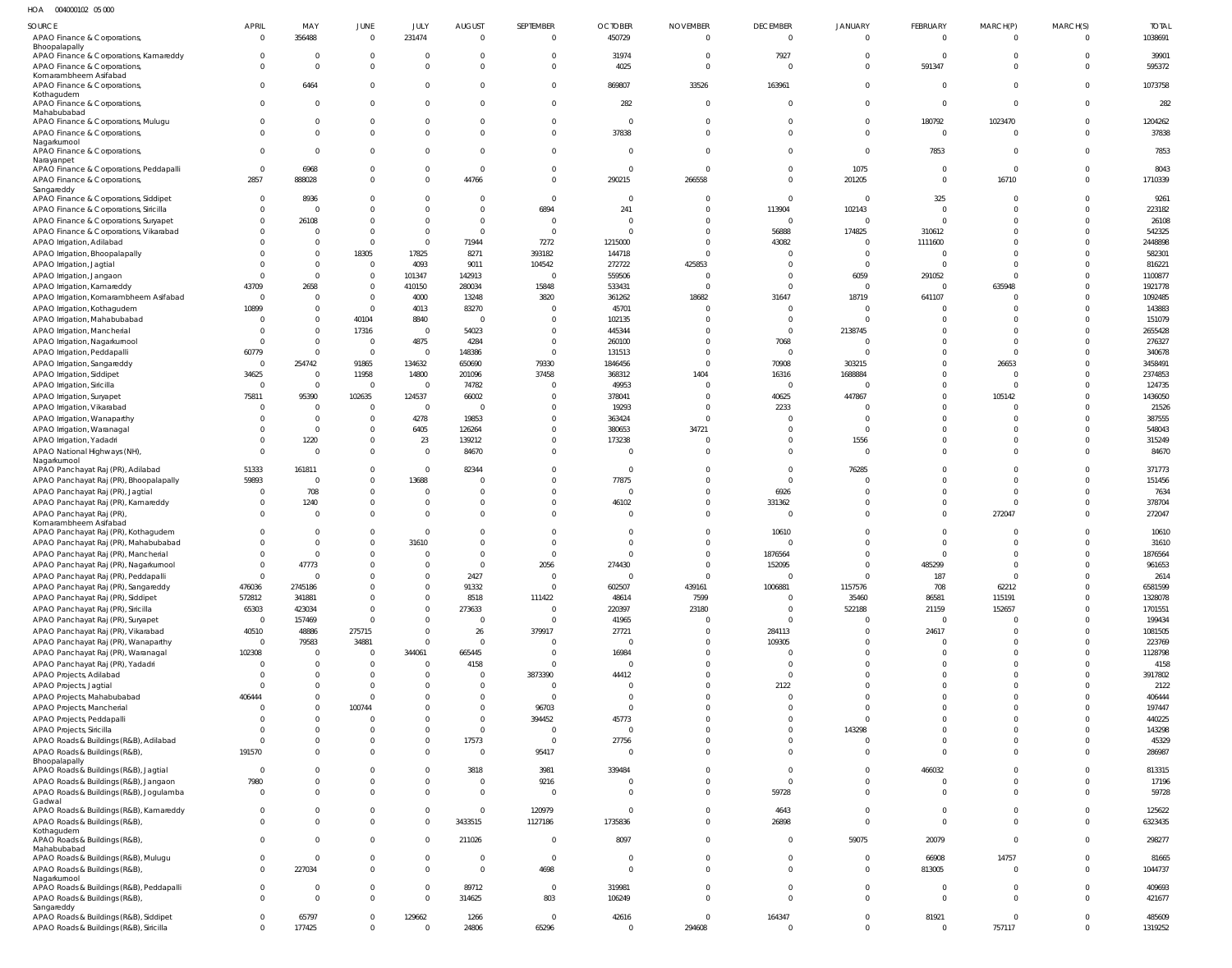HOA 004000102 05 000

| $\sim$                                      |                |          |                |                |                |                |                         |                 |                 |             |                 |          |                |              |
|---------------------------------------------|----------------|----------|----------------|----------------|----------------|----------------|-------------------------|-----------------|-----------------|-------------|-----------------|----------|----------------|--------------|
| SOURCE                                      | APRIL          | MAY      | JUNE           | JULY           | <b>AUGUST</b>  | SEPTEMBER      | <b>OCTOBER</b>          | <b>NOVEMBER</b> | <b>DECEMBER</b> | JANUARY     | <b>FEBRUARY</b> | MARCH(P) | MARCH(S)       | <b>TOTAL</b> |
| APAO Finance & Corporations,                | $\Omega$       | 356488   | $\overline{0}$ | 231474         | $\overline{0}$ | $\Omega$       | 450729                  | $\mathbf{0}$    | $\mathbf 0$     | $\mathbf 0$ | $\mathbf 0$     | $\Omega$ | $\Omega$       | 1038691      |
| Bhoopalapally                               |                |          |                |                |                |                |                         |                 |                 |             |                 |          |                |              |
| APAO Finance & Corporations, Kamareddy      |                |          | $\mathbf 0$    | $\Omega$       | $\Omega$       | $\Omega$       | 31974                   | $\overline{0}$  | 7927            | 0           | $\Omega$        | $\Omega$ | $\mathbf 0$    | 39901        |
| APAO Finance & Corporations,                |                | $\Omega$ | $\Omega$       | $\Omega$       | $\Omega$       | $\Omega$       | 4025                    | $\overline{0}$  | $\Omega$        | $\mathbf 0$ | 591347          | $\Omega$ | $\Omega$       | 595372       |
| Komarambheem Asifabad                       |                |          |                |                |                |                |                         |                 |                 |             |                 |          |                |              |
| APAO Finance & Corporations                 | $\Omega$       | 6464     | $\Omega$       | $\Omega$       | $\Omega$       | $\Omega$       | 869807                  | 33526           | 163961          | $\mathbf 0$ | $\Omega$        | $\Omega$ | $^{\circ}$     | 1073758      |
| Kothagudem                                  |                |          |                |                |                |                |                         |                 |                 |             |                 |          |                |              |
| APAO Finance & Corporations,                | $\Omega$       | $\Omega$ | $\Omega$       | $\Omega$       | $\Omega$       | $\Omega$       | 282                     | $\Omega$        | $\Omega$        | $\Omega$    | $\Omega$        | $\Omega$ | $\Omega$       | 282          |
| Mahabubabad                                 |                |          | $\Omega$       | $\Omega$       | $\Omega$       | $\Omega$       | $\overline{0}$          |                 | $\Omega$        | $\Omega$    |                 |          | $\mathbf 0$    |              |
| APAO Finance & Corporations, Mulugu         |                |          |                |                |                |                |                         | $\overline{0}$  |                 |             | 180792          | 1023470  |                | 1204262      |
| APAO Finance & Corporations,                |                | $\Omega$ | $\Omega$       | $\Omega$       | $\Omega$       | $\Omega$       | 37838                   | $\Omega$        | $\Omega$        | $\Omega$    | $\Omega$        |          | $\Omega$       | 37838        |
| Nagarkurnool                                |                |          |                |                |                |                |                         |                 |                 |             |                 |          |                |              |
| APAO Finance & Corporations,                | $\Omega$       |          | $\Omega$       | $\Omega$       | $\Omega$       | $\Omega$       | $\Omega$                | $\Omega$        | $\Omega$        | $\mathbf 0$ | 7853            | $\Omega$ | $\Omega$       | 7853         |
| Narayanpet                                  | $\Omega$       |          |                |                |                |                |                         | $\Omega$        | $\Omega$        |             |                 | $\Omega$ | $\Omega$       |              |
| APAO Finance & Corporations, Peddapalli     |                | 6968     | $\Omega$       | $\Omega$       | $\overline{0}$ | $\Omega$       | $\overline{0}$          |                 |                 | 1075        | $\mathbf 0$     |          |                | 8043         |
| APAO Finance & Corporations,                | 2857           | 888028   | $\Omega$       | $\Omega$       | 44766          | $\Omega$       | 290215                  | 266558          | $\Omega$        | 201205      | $\mathbf 0$     | 16710    | $\mathbf 0$    | 1710339      |
| Sangareddy                                  |                |          |                |                |                |                |                         |                 |                 |             |                 |          |                |              |
| APAO Finance & Corporations, Siddipet       | $\Omega$       | 8936     | $\Omega$       | $\Omega$       | $\Omega$       | $\Omega$       | $\overline{0}$          | $\Omega$        | $\Omega$        | $\mathbf 0$ | 325             |          | $\Omega$       | 9261         |
| APAO Finance & Corporations, Siricilla      |                | - 0      | <sup>0</sup>   | $\Omega$       | $\Omega$       | 6894           | 241                     | $\Omega$        | 113904          | 102143      | $\Omega$        |          | $\Omega$       | 223182       |
| APAO Finance & Corporations, Suryapet       | -0             | 26108    | $\Omega$       | $\Omega$       | $\Omega$       |                | $\Omega$                | $\Omega$        | $^{\circ}$      | $\Omega$    | $\Omega$        | $\Omega$ | $\Omega$       | 26108        |
| APAO Finance & Corporations, Vikarabad      |                |          | $\Omega$       | $\Omega$       | $\Omega$       | $\Omega$       | $\Omega$                | $\Omega$        | 56888           | 174825      | 310612          | $\Omega$ | $\Omega$       | 542325       |
| APAO Irrigation, Adilabad                   |                |          | $\Omega$       | $\overline{0}$ | 71944          | 7272           | 1215000                 | $\Omega$        | 43082           | $\Omega$    | 1111600         |          | $\Omega$       | 2448898      |
| APAO Irrigation, Bhoopalapally              |                |          | 18305          | 17825          | 8271           | 393182         | 144718                  | $\Omega$        | $\Omega$        | $\Omega$    | $\Omega$        |          | $\Omega$       | 582301       |
| APAO Irrigation, Jagtial                    |                | $\Omega$ | $\overline{0}$ | 4093           | 9011           | 104542         | 272722                  | 425853          | $\Omega$        | $\Omega$    | $\Omega$        | $\Omega$ | $\Omega$       | 816221       |
| APAO Irrigation, Jangaon                    |                |          | $\mathbf 0$    | 101347         | 142913         | $\Omega$       | 559506                  | $\Omega$        | $\Omega$        | 6059        | 291052          |          | $\Omega$       | 1100877      |
|                                             |                |          |                |                |                |                |                         |                 | $\Omega$        | $\Omega$    |                 | 635948   | $\Omega$       |              |
| APAO Irrigation, Kamareddy                  | 43709          | 2658     | $\mathbf 0$    | 410150         | 280034         | 15848          | 533431                  |                 |                 |             | $\Omega$        |          |                | 1921778      |
| APAO Irrigation, Komarambheem Asifabad      | $\circ$        |          | $\mathbf 0$    | 4000           | 13248          | 3820           | 361262                  | 18682           | 31647           | 18719       | 641107          |          | $\Omega$       | 1092485      |
| APAO Irrigation, Kothagudem                 | 10899          |          | $\overline{0}$ | 4013           | 83270          |                | 45701                   |                 | $\Omega$        |             |                 |          | $\Omega$       | 143883       |
| APAO Irrigation, Mahabubabad                |                |          | 40104          | 8840           | $\circ$        |                | 102135                  |                 | $\Omega$        | $\Omega$    |                 |          | $\Omega$       | 151079       |
| APAO Irrigation, Mancherial                 |                |          | 17316          | $\overline{0}$ | 54023          | $\Omega$       | 445344                  | $\Omega$        | $\Omega$        | 2138745     |                 |          | $\Omega$       | 2655428      |
| APAO Irrigation, Nagarkurnool               | $\Omega$       |          | $\overline{0}$ | 4875           | 4284           | $\Omega$       | 260100                  | $\Omega$        | 7068            | $\Omega$    |                 | $\Omega$ | $\Omega$       | 276327       |
| APAO Irrigation, Peddapalli                 | 60779          |          | $\overline{0}$ | $\Omega$       | 148386         | $\Omega$       | 131513                  | $\Omega$        | $\Omega$        | $\Omega$    |                 | $\Omega$ | $\Omega$       | 340678       |
| APAO Irrigation, Sangareddy                 | $\Omega$       | 254742   | 91865          | 134632         | 650690         | 79330          | 1846456                 | $\Omega$        | 70908           | 303215      |                 | 26653    | $\Omega$       | 3458491      |
|                                             | 34625          | $\Omega$ | 11958          | 14800          | 201096         | 37458          |                         | 1404            | 16316           | 1688884     |                 |          | $\Omega$       | 2374853      |
| APAO Irrigation, Siddipet                   |                |          |                |                |                |                | 368312                  |                 |                 |             |                 |          |                |              |
| APAO Irrigation, Siricilla                  | $\overline{0}$ | $\Omega$ | $\overline{0}$ | $\overline{0}$ | 74782          |                | 49953                   | $\Omega$        | $^{\circ}$      | $\Omega$    |                 | $\Omega$ | $\Omega$       | 124735       |
| APAO Irrigation, Suryapet                   | 75811          | 95390    | 102635         | 124537         | 66002          | 0              | 378041                  | $\Omega$        | 40625           | 447867      | $\Omega$        | 105142   | $\Omega$       | 1436050      |
| APAO Irrigation, Vikarabad                  | $\Omega$       |          | $\overline{0}$ | $\circ$        | $\Omega$       |                | 19293                   | $\Omega$        | 2233            | $\Omega$    |                 |          | $\Omega$       | 21526        |
| APAO Irrigation, Wanaparthy                 |                | $\Omega$ | $\Omega$       | 4278           | 19853          | $\Omega$       | 363424                  | $\cap$          | $\Omega$        |             |                 |          | $\Omega$       | 387555       |
| APAO Irrigation, Waranagal                  |                | $\Omega$ | $\Omega$       | 6405           | 126264         | <sup>0</sup>   | 380653                  | 34721           | $\Omega$        | $\Omega$    |                 | $\Omega$ | $\Omega$       | 548043       |
| APAO Irrigation, Yadadri                    |                | 1220     | $\mathbf 0$    | 23             | 139212         | $\Omega$       | 173238                  |                 | $\Omega$        | 1556        | $\Omega$        | $\Omega$ | $\Omega$       | 315249       |
|                                             | $\Omega$       |          | $\Omega$       | $\Omega$       | 84670          | $\Omega$       | $\Omega$                | $\Omega$        | $\Omega$        | $\Omega$    | $\Omega$        | $\Omega$ | $\Omega$       | 84670        |
| APAO National Highways (NH)<br>Nagarkurnool |                |          |                |                |                |                |                         |                 |                 |             |                 |          |                |              |
| APAO Panchayat Raj (PR), Adilabad           | 51333          | 161811   | $\overline{0}$ | $\overline{0}$ | 82344          | $\Omega$       | $\overline{\mathbf{0}}$ | $\Omega$        | $\mathbf 0$     | 76285       | $\Omega$        |          | $\Omega$       | 371773       |
|                                             | 59893          | $\Omega$ | $\Omega$       | 13688          | $\overline{0}$ | $\Omega$       | 77875                   | $\Omega$        | $\Omega$        | $\Omega$    | $\Omega$        | $\Omega$ | $\Omega$       | 151456       |
| APAO Panchayat Raj (PR), Bhoopalapally      |                |          |                |                |                |                |                         |                 |                 |             |                 |          |                |              |
| APAO Panchayat Raj (PR), Jagtial            | $\sqrt{ }$     | 708      | $\mathbf{0}$   | - 0            | $\mathbf 0$    | $\Omega$       | $\Omega$                | $\Omega$        | 6926            | $\Omega$    |                 | $\Omega$ | $\Omega$       | 7634         |
| APAO Panchayat Raj (PR), Kamareddy          |                | 1240     | $\mathbf{0}$   | $\overline{0}$ | $\mathbf 0$    | $\Omega$       | 46102                   | $\Omega$        | 331362          | $\Omega$    |                 | $\Omega$ | $\Omega$       | 378704       |
| APAO Panchayat Raj (PR)                     |                | - 0      | $\Omega$       | $\Omega$       | $\Omega$       | $\Omega$       | $\Omega$                | $\Omega$        | $\Omega$        | $\Omega$    | $\Omega$        | 272047   | $\Omega$       | 272047       |
| Komarambheem Asifabad                       |                |          |                |                |                |                |                         |                 |                 |             |                 |          |                |              |
| APAO Panchayat Raj (PR), Kothagudem         |                |          | $\Omega$       | $\overline{0}$ | $\Omega$       |                | $\Omega$                | $\Omega$        | 10610           |             | $\Omega$        | $\Omega$ | $\Omega$       | 10610        |
| APAO Panchayat Raj (PR), Mahabubabad        |                |          | $\mathbf{0}$   | 31610          | $\mathbf 0$    | $\Omega$       | $\Omega$                | $\Omega$        | $\Omega$        |             | $\Omega$        | $\Omega$ | $\Omega$       | 31610        |
| APAO Panchayat Raj (PR), Mancherial         | $\Omega$       |          | $\Omega$       | $\Omega$       | $\Omega$       | $\Omega$       | $\Omega$                | $\Omega$        | 1876564         | $\Omega$    | $\Omega$        | $\Omega$ | $\Omega$       | 1876564      |
| APAO Panchayat Raj (PR), Nagarkurnool       | -0             | 47773    |                | 0              | $\Omega$       | 2056           | 274430                  | $\overline{0}$  | 152095          | 0           | 485299          | $\Omega$ | $\Omega$       | 961653       |
| APAO Panchayat Raj (PR), Peddapalli         | $\circ$        | $\Omega$ | 0              | $\Omega$       | 2427           | $\overline{0}$ | $\overline{0}$          | $\Omega$        | $\mathbf 0$     | $\Omega$    | 187             | $\Omega$ | $\Omega$       | 2614         |
| APAO Panchayat Raj (PR), Sangareddy         | 476036         | 2745186  | $\mathbf{0}$   | $\Omega$       | 91332          | $\Omega$       | 602507                  | 439161          | 1006881         | 1157576     | 708             | 62212    | $\Omega$       | 6581599      |
|                                             | 572812         | 341881   | $\Omega$       | $\overline{0}$ | 8518           |                |                         | 7599            | $^{\circ}$      |             | 86581           | 115191   | $\Omega$       | 1328078      |
| APAO Panchayat Raj (PR), Siddipet           |                |          |                |                |                | 111422         | 48614                   |                 |                 | 35460       |                 |          |                |              |
| APAO Panchayat Raj (PR), Siricilla          | 65303          | 423034   | $\mathbf 0$    | $\overline{0}$ | 273633         | $\Omega$       | 220397                  | 23180           | $\Omega$        | 522188      | 21159           | 152657   | $\Omega$       | 1701551      |
| APAO Panchayat Raj (PR), Suryapet           | $\overline{0}$ | 157469   | $\Omega$       | $\Omega$       | $\overline{0}$ | $\Omega$       | 41965                   | $\Omega$        | $\mathbf 0$     | $\mathbf 0$ | $\mathbf 0$     | $\Omega$ | $\Omega$       | 199434       |
| APAO Panchayat Raj (PR), Vikarabad          | 40510          | 48886    | 275715         | $\overline{0}$ | 26             | 379917         | 27721                   | $\Omega$        | 284113          | $\mathbf 0$ | 24617           | $\Omega$ | $\Omega$       | 1081505      |
| APAO Panchayat Raj (PR), Wanaparthy         | $\overline{0}$ | 79583    | 34881          | $\Omega$       | $\overline{0}$ | $\Omega$       | $\overline{0}$          | $\overline{0}$  | 109305          | $\Omega$    | $\Omega$        | $\Omega$ | $\Omega$       | 223769       |
| APAO Panchayat Raj (PR), Waranagal          | 102308         | - 0      | $\overline{0}$ | 344061         | 665445         | $\Omega$       | 16984                   | $\overline{0}$  | $\Omega$        | $\Omega$    | $\Omega$        | $\Omega$ | $\Omega$       | 1128798      |
| APAO Panchayat Raj (PR), Yadadri            | $\Omega$       | $\Omega$ | $\mathbf 0$    | $\overline{0}$ | 4158           | $\Omega$       | $\overline{0}$          | $\Omega$        | $\Omega$        | $\Omega$    | $\Omega$        | $\Omega$ | $\Omega$       | 4158         |
| APAO Projects, Adilabad                     |                |          | $\mathbf{0}$   | $\overline{0}$ | $\overline{0}$ | 3873390        | 44412                   | $\Omega$        | $\Omega$        | $\Omega$    | $\Omega$        | $\Omega$ | $\Omega$       | 3917802      |
| APAO Projects, Jagtial                      | $\Omega$       |          | $\mathbf{0}$   | $\Omega$       | $\mathbf 0$    | $\Omega$       | $\Omega$                | $\Omega$        | 2122            | $\Omega$    | $\Omega$        | $\Omega$ | $\Omega$       | 2122         |
|                                             |                |          | $\Omega$       | $\Omega$       | $\mathbf 0$    |                | $\Omega$                | $\Omega$        | $\Omega$        | $\Omega$    | $\Omega$        | $\Omega$ | $\Omega$       |              |
| APAO Projects, Mahabubabad                  | 406444         |          |                |                |                |                |                         |                 |                 |             |                 |          |                | 406444       |
| APAO Projects, Mancherial                   | $\sqrt{ }$     |          | 100744         | $\Omega$       | $\Omega$       | 96703          | $\overline{0}$          | $\Omega$        | $\Omega$        | $\Omega$    | $\Omega$        | $\Omega$ | $\Omega$       | 197447       |
| APAO Projects, Peddapalli                   |                |          | $\Omega$       | $\Omega$       | $\mathbf 0$    | 394452         | 45773                   | $\Omega$        | $\Omega$        | $\Omega$    | $\Omega$        | $\Omega$ | $\Omega$       | 440225       |
| APAO Projects, Siricilla                    |                |          |                | $\Omega$       | $\mathbf 0$    | $\overline{0}$ | $\overline{0}$          | $\Omega$        | $\Omega$        | 143298      | $\Omega$        | $\Omega$ | $\Omega$       | 143298       |
| APAO Roads & Buildings (R&B), Adilabad      | $\Omega$       |          | $\mathbf{0}$   | $\mathbf 0$    | 17573          | $\Omega$       | 27756                   | $\overline{0}$  | $\Omega$        | $\Omega$    | $\Omega$        | $\Omega$ | $\Omega$       | 45329        |
| APAO Roads & Buildings (R&B),               | 191570         |          | $\Omega$       | $\overline{0}$ | $\overline{0}$ | 95417          | $\Omega$                | $\overline{0}$  | $\Omega$        | $\mathbf 0$ | $\Omega$        | $\Omega$ | $\overline{0}$ | 286987       |
| Bhoopalapally                               |                |          |                |                |                |                |                         |                 |                 |             |                 |          |                |              |
| APAO Roads & Buildings (R&B), Jagtial       | $\Omega$       |          | $\mathbf{0}$   | $\overline{0}$ | 3818           | 3981           | 339484                  | $\overline{0}$  | $\mathbf 0$     | $\mathbf 0$ | 466032          | $\Omega$ | $\Omega$       | 813315       |
| APAO Roads & Buildings (R&B), Jangaon       | 7980           |          | $\mathbf{0}$   | $\overline{0}$ | $\overline{0}$ | 9216           | $\Omega$                | $\overline{0}$  | $\mathbf 0$     | $\mathbf 0$ | $\Omega$        | $\Omega$ | $\overline{0}$ | 17196        |
| APAO Roads & Buildings (R&B), Jogulamba     | $\overline{0}$ |          | $\mathbf 0$    | $\Omega$       | $\mathbf 0$    | $\Omega$       | $\Omega$                | $\mathbf{0}$    | 59728           | $\mathbf 0$ | $\Omega$        | $\Omega$ | $\Omega$       | 59728        |
| Gadwal                                      |                |          |                |                |                |                |                         |                 |                 |             |                 |          |                |              |
| APAO Roads & Buildings (R&B), Kamareddy     | $\Omega$       |          | $\Omega$       | $\overline{0}$ | $\mathbf 0$    | 120979         | $\Omega$                | $\overline{0}$  | 4643            | $\Omega$    | $\Omega$        | $\Omega$ | $\overline{0}$ | 125622       |
| APAO Roads & Buildings (R&B),               | $\Omega$       |          | $\mathbf 0$    | $\Omega$       | 3433515        | 1127186        | 1735836                 | $\mathbf{0}$    | 26898           | $\mathbf 0$ | $\Omega$        | $\Omega$ | $\overline{0}$ | 6323435      |
| Kothagudem                                  |                |          |                |                |                |                |                         |                 |                 |             |                 |          |                |              |
| APAO Roads & Buildings (R&B),               | $\Omega$       |          | $\mathbf{0}$   | $\Omega$       | 211026         | $\Omega$       | 8097                    | $\mathbf{0}$    | $^{\circ}$      | 59075       | 20079           | $\Omega$ | $\overline{0}$ | 298277       |
| Mahabubabad                                 |                |          |                |                |                |                |                         |                 |                 |             |                 |          |                |              |
| APAO Roads & Buildings (R&B), Mulugu        | $\Omega$       | - 0      | $\mathbf 0$    | $\overline{0}$ | $\overline{0}$ | $\overline{0}$ | - 0                     | $\mathbf{0}$    | $\mathbf 0$     | $\mathbf 0$ | 66908           | 14757    | $\mathbf 0$    | 81665        |
| APAO Roads & Buildings (R&B),               | $\Omega$       | 227034   | $\mathbf 0$    | $\Omega$       | $\mathbf 0$    | 4698           | $\Omega$                | $\overline{0}$  | $\mathbf 0$     | $\mathbf 0$ | 813005          | $\Omega$ | $\overline{0}$ | 1044737      |
| Nagarkurnool                                |                |          |                |                |                |                |                         |                 |                 |             |                 |          |                |              |
| APAO Roads & Buildings (R&B), Peddapalli    | $\mathbf 0$    |          | $\mathbf 0$    | $\overline{0}$ | 89712          | $\overline{0}$ | 319981                  | $\mathbf{0}$    | $\mathbf 0$     | $\mathbf 0$ | $\mathbf 0$     | $\Omega$ | $\overline{0}$ | 409693       |
| APAO Roads & Buildings (R&B),               | $\Omega$       | $\Omega$ | $\mathbf 0$    | $\Omega$       | 314625         | 803            | 106249                  | $\overline{0}$  | $\Omega$        | $\mathbf 0$ | $\mathbf 0$     | $\Omega$ | $\overline{0}$ | 421677       |
| Sangareddy                                  |                |          |                |                |                |                |                         |                 |                 |             |                 |          |                |              |
| APAO Roads & Buildings (R&B), Siddipet      | $\Omega$       | 65797    | $\mathbf 0$    | 129662         | 1266           | $\overline{0}$ | 42616                   | $\overline{0}$  | 164347          | $\mathbf 0$ | 81921           | $\Omega$ | $\overline{0}$ | 485609       |
| APAO Roads & Buildings (R&B), Siricilla     | $\Omega$       | 177425   | $\mathbf 0$    | - 0            | 24806          | 65296          | $\overline{0}$          | 294608          | $\mathbf 0$     | $\mathbf 0$ | $\mathbf 0$     | 757117   | $\overline{0}$ | 1319252      |
|                                             |                |          |                |                |                |                |                         |                 |                 |             |                 |          |                |              |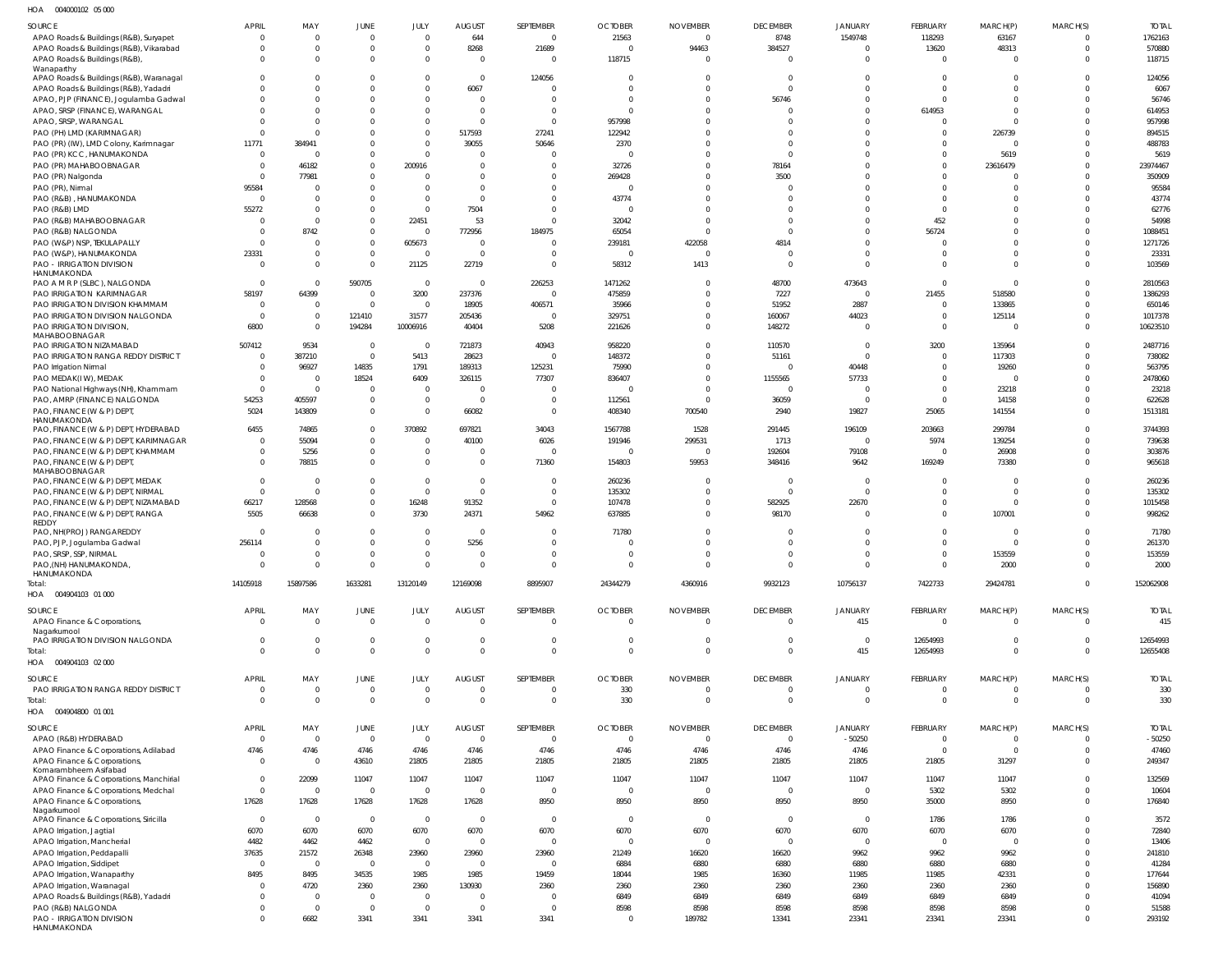004000102 05 000 HOA

| SOURCE                                                                           | <b>APRIL</b>             | MAY                        | JUNE                       | JULY                             | <b>AUGUST</b>             | SEPTEMBER                  | <b>OCTOBER</b>           | <b>NOVEMBER</b>                   | <b>DECEMBER</b>                | <b>JANUARY</b>                | FEBRUARY                   | MARCH(P)             | MARCH(S)                         | <b>TOTAL</b>        |
|----------------------------------------------------------------------------------|--------------------------|----------------------------|----------------------------|----------------------------------|---------------------------|----------------------------|--------------------------|-----------------------------------|--------------------------------|-------------------------------|----------------------------|----------------------|----------------------------------|---------------------|
| APAO Roads & Buildings (R&B), Suryapet                                           | - 0                      | $\Omega$                   | $\mathbf 0$                | $\overline{0}$                   | 644                       | $\mathbf 0$                | 21563                    | $\overline{0}$                    | 8748                           | 1549748                       | 118293                     | 63167                | $\overline{0}$                   | 1762163             |
| APAO Roads & Buildings (R&B), Vikarabad<br>APAO Roads & Buildings (R&B),         |                          | $\Omega$<br>$\Omega$       | $\pmb{0}$<br>$\mathbf 0$   | $\overline{0}$<br>$\mathbf 0$    | 8268<br>$\mathbf{0}$      | 21689<br>$\Omega$          | $\Omega$<br>118715       | 94463<br>$\Omega$                 | 384527<br>$\mathbf 0$          | $\mathbf 0$<br>$\mathbf 0$    | 13620<br>$\mathbf 0$       | 48313<br>$\Omega$    | $\overline{0}$<br>$\overline{0}$ | 570880<br>118715    |
| Wanaparthy                                                                       |                          |                            |                            |                                  |                           |                            |                          |                                   |                                |                               |                            |                      |                                  |                     |
| APAO Roads & Buildings (R&B), Waranagal<br>APAO Roads & Buildings (R&B), Yadadri |                          | <sup>0</sup><br>$\Omega$   | $\mathbf 0$<br>$\Omega$    | $\mathbf 0$<br>$\mathbf 0$       | $\overline{0}$<br>6067    | 124056<br>$\Omega$         | $\Omega$<br>$\Omega$     | $\overline{0}$<br>$\Omega$        | $\mathbf 0$<br>$\Omega$        | $\Omega$<br>$\Omega$          | $\Omega$<br>$\Omega$       | $\Omega$<br>$\Omega$ | $\overline{0}$<br>$\Omega$       | 124056<br>6067      |
| APAO, PJP (FINANCE), Jogulamba Gadwal                                            |                          | <sup>0</sup>               | $\Omega$                   | $\mathbf 0$                      | $\mathbf{0}$              | $\Omega$                   | $\Omega$                 | $\overline{0}$                    | 56746                          | $\Omega$                      | $\Omega$                   | $\Omega$             | $\overline{0}$                   | 56746               |
| APAO, SRSP (FINANCE), WARANGAL<br>APAO, SRSP, WARANGAL                           |                          | $\Omega$<br>$\Omega$       | $\Omega$<br>$\Omega$       | $\mathbf 0$<br>$\mathbf 0$       | $\mathbf 0$<br>$\Omega$   | $\Omega$<br>$\overline{0}$ | $\Omega$<br>957998       | $\Omega$<br>$\Omega$              | $\Omega$<br>$\sqrt{ }$         | $\Omega$<br>$\Omega$          | 614953<br>$\Omega$         | $\Omega$<br>$\Omega$ | $\overline{0}$<br>$\Omega$       | 614953<br>957998    |
| PAO (PH) LMD (KARIMNAGAR)                                                        |                          | $\Omega$                   | $\Omega$                   | $\mathbf 0$                      | 517593                    | 27241                      | 122942                   | $\Omega$                          | $\sqrt{ }$                     | $\Omega$                      | $\Omega$                   | 226739               | $\overline{0}$                   | 894515              |
| PAO (PR) (IW), LMD Colony, Karimnagar                                            | 11771                    | 384941                     | $\Omega$                   | $\Omega$                         | 39055                     | 50646                      | 2370                     | $\Omega$                          | $\Omega$                       | $\Omega$                      | $\Omega$                   | $\cap$               | $\Omega$                         | 488783              |
| PAO (PR) KCC, HANUMAKONDA<br>PAO (PR) MAHABOOBNAGAR                              | - 0<br>$\Omega$          | $\Omega$<br>46182          | 0<br>$\mathbf 0$           | $\mathbf 0$<br>200916            | $\Omega$<br>$\Omega$      | $\Omega$<br>$\Omega$       | $\Omega$<br>32726        | $\Omega$<br>$\overline{0}$        | $\Omega$<br>78164              | $\Omega$<br>$\Omega$          | $\Omega$<br>$\Omega$       | 5619<br>23616479     | $\Omega$<br>$\overline{0}$       | 5619<br>23974467    |
| PAO (PR) Nalgonda                                                                | $\Omega$                 | 77981                      | $\mathbf 0$                | $\Omega$                         | $\Omega$                  | $\mathbf 0$                | 269428                   | $\overline{0}$                    | 3500                           | $\Omega$                      | $\Omega$                   |                      | $\Omega$                         | 350909              |
| PAO (PR), Nirmal                                                                 | 95584                    | $\Omega$                   | $\Omega$                   | $\Omega$                         | $\Omega$                  | $\Omega$                   | $\Omega$                 | $\Omega$                          | $\Omega$                       | $\Omega$                      | $\Omega$                   | $\Omega$             | $\Omega$                         | 95584               |
| PAO (R&B), HANUMAKONDA<br>PAO (R&B) LMD                                          | - 0<br>55272             | $\Omega$<br>$\Omega$       | $\Omega$<br>0              | $\mathbf 0$<br>$\Omega$          | $\Omega$<br>7504          | $\Omega$<br>$\Omega$       | 43774<br>$\overline{0}$  | $\overline{0}$<br>$\Omega$        | $\Omega$<br>$\sqrt{ }$         | $\Omega$<br>$\Omega$          | $\Omega$<br>$\Omega$       | $\Omega$<br>$\Omega$ | $\Omega$<br>$\Omega$             | 43774<br>62776      |
| PAO (R&B) MAHABOOBNAGAR                                                          |                          | $\Omega$                   | $\mathbf 0$                | 22451                            | 53                        | $\Omega$                   | 32042                    | $\Omega$                          | $\Omega$                       | $\Omega$                      | 452                        | $\Omega$             | $\Omega$                         | 54998               |
| PAO (R&B) NALGONDA                                                               |                          | 8742                       | $\mathbf 0$                | $\overline{0}$                   | 772956                    | 184975                     | 65054                    | $\Omega$                          | $\Omega$                       | $\Omega$                      | 56724                      | $\Omega$             | $\overline{0}$                   | 1088451             |
| PAO (W&P) NSP, TEKULAPALLY<br>PAO (W&P), HANUMAKONDA                             | - 0<br>23331             | $\Omega$<br>$\Omega$       | $\pmb{0}$<br>$\mathbf 0$   | 605673<br>$\overline{0}$         | $\mathbf 0$<br>$\Omega$   | $\mathbf 0$<br>$\Omega$    | 239181<br>$\overline{0}$ | 422058<br>$\Omega$                | 4814<br>$\mathbf 0$            | $\Omega$<br>$\Omega$          | $\Omega$<br>$\Omega$       | $\Omega$<br>$\Omega$ | $\overline{0}$<br>$\Omega$       | 1271726<br>23331    |
| PAO - IRRIGATION DIVISION                                                        | $\Omega$                 | $\Omega$                   | $\mathbf 0$                | 21125                            | 22719                     | $\mathbf{0}$               | 58312                    | 1413                              | $\mathbf 0$                    | $\Omega$                      | $\Omega$                   | $\Omega$             | $\Omega$                         | 103569              |
| HANUMAKONDA<br>PAO A M R P (SLBC), NALGONDA                                      | $\Omega$                 | $\Omega$                   | 590705                     | $\mathbf 0$                      | $\overline{0}$            | 226253                     | 1471262                  | $\Omega$                          | 48700                          | 473643                        | $\Omega$                   | $\Omega$             | $\overline{0}$                   | 2810563             |
| PAO IRRIGATION KARIMNAGAR                                                        | 58197                    | 64399                      | $\mathbf 0$                | 3200                             | 237376                    | $\Omega$                   | 475859                   | $\overline{0}$                    | 7227                           | $\mathbf 0$                   | 21455                      | 518580               | $\overline{0}$                   | 1386293             |
| PAO IRRIGATION DIVISION KHAMMAM                                                  | $\Omega$                 | $\overline{0}$             | $\mathbf 0$                | $\overline{0}$                   | 18905                     | 406571                     | 35966                    | $\Omega$                          | 51952                          | 2887                          | $\mathbf 0$                | 133865               | $\overline{0}$                   | 650146              |
| PAO IRRIGATION DIVISION NALGONDA<br>PAO IRRIGATION DIVISION,                     | $\Omega$<br>6800         | $\overline{0}$<br>$\Omega$ | 121410<br>194284           | 31577<br>10006916                | 205436<br>40404           | $\mathbf 0$<br>5208        | 329751<br>221626         | $\overline{0}$<br>$\overline{0}$  | 160067<br>148272               | 44023<br>$\mathbf 0$          | $\mathbf 0$<br>$\mathbf 0$ | 125114               | $\overline{0}$<br>$\overline{0}$ | 1017378<br>10623510 |
| MAHABOOBNAGAR<br>PAO IRRIGATION NIZAMABAD                                        | 507412                   | 9534                       | $\mathbf 0$                | $\overline{0}$                   | 721873                    | 40943                      | 958220                   | $\overline{0}$                    | 110570                         | $\overline{0}$                | 3200                       | 135964               | $\overline{0}$                   | 2487716             |
| PAO IRRIGATION RANGA REDDY DISTRICT                                              | $\Omega$                 | 387210                     | $\mathbf 0$                | 5413                             | 28623                     | $\mathbf 0$                | 148372                   | $\overline{0}$                    | 51161                          | $\mathbf 0$                   | $\mathbf 0$                | 117303               | $\overline{0}$                   | 738082              |
| PAO Irrigation Nirmal                                                            | $\Omega$                 | 96927                      | 14835                      | 1791                             | 189313                    | 125231                     | 75990                    | $\overline{0}$                    | 0                              | 40448                         | $\mathbf 0$                | 19260                | $\overline{0}$                   | 563795              |
| PAO MEDAK(IW), MEDAK<br>PAO National Highways (NH), Khammam                      | $\Omega$                 | $\Omega$<br>$\overline{0}$ | 18524<br>$\mathbf 0$       | 6409<br>$\mathbf 0$              | 326115<br>$\mathbf 0$     | 77307<br>$\mathbf 0$       | 836407<br>$\Omega$       | $\overline{0}$<br>$\Omega$        | 1155565<br>$\overline{0}$      | 57733<br>$^{\circ}$           | $\Omega$<br>$\mathbf 0$    | $\Omega$<br>23218    | $\Omega$<br>$\overline{0}$       | 2478060<br>23218    |
| PAO, AMRP (FINANCE) NALGONDA                                                     | 54253                    | 405597                     | $\mathbf 0$                | $\overline{0}$                   | $\mathbf{0}$              | $\overline{0}$             | 112561                   | $\Omega$                          | 36059                          | $\overline{0}$                | $\Omega$                   | 14158                | $\overline{0}$                   | 622628              |
| PAO, FINANCE (W & P) DEPT                                                        | 5024                     | 143809                     | $\mathbf 0$                | $\Omega$                         | 66082                     | $\mathbf 0$                | 408340                   | 700540                            | 2940                           | 19827                         | 25065                      | 141554               | $\overline{0}$                   | 1513181             |
| HANUMAKONDA<br>PAO, FINANCE (W & P) DEPT, HYDERABAD                              | 6455                     | 74865                      | $\mathbf 0$                | 370892                           | 697821                    | 34043                      | 1567788                  | 1528                              | 291445                         | 196109                        | 203663                     | 299784               | $\overline{0}$                   | 3744393             |
| PAO, FINANCE (W & P) DEPT, KARIMNAGAR                                            | $\Omega$                 | 55094                      | $\mathbf 0$                | $\mathbf 0$                      | 40100                     | 6026                       | 191946                   | 299531                            | 1713                           | $\mathbf 0$                   | 5974                       | 139254               | $\overline{0}$                   | 739638              |
| PAO, FINANCE (W & P) DEPT, KHAMMAM<br>PAO, FINANCE (W & P) DEPT                  | $\Omega$<br>$\Omega$     | 5256<br>78815              | $\mathbf 0$<br>$\mathbf 0$ | $\overline{0}$<br>$\Omega$       | $\Omega$<br>$\Omega$      | $\Omega$<br>71360          | $\Omega$<br>154803       | $\overline{0}$<br>59953           | 192604<br>348416               | 79108<br>9642                 | $\mathbf 0$<br>169249      | 26908<br>73380       | $\overline{0}$<br>$\Omega$       | 303876<br>965618    |
| MAHABOOBNAGAR                                                                    |                          |                            |                            |                                  |                           |                            |                          |                                   |                                |                               |                            |                      |                                  |                     |
| PAO, FINANCE (W & P) DEPT, MEDAK<br>PAO, FINANCE (W & P) DEPT, NIRMAL            | $\Omega$<br>$\Omega$     | $\Omega$<br>$\Omega$       | $\mathbf 0$<br>$\mathbf 0$ | $\overline{0}$<br>$\overline{0}$ | $\Omega$<br>$\mathbf 0$   | $\mathbf 0$<br>$\mathbf 0$ | 260236<br>135302         | $\Omega$<br>$\overline{0}$        | $\mathbf 0$<br>$\mathbf 0$     | $\mathbf 0$<br>$\Omega$       | $\Omega$<br>$\Omega$       | $\Omega$<br>$\Omega$ | $\Omega$<br>$\overline{0}$       | 260236<br>135302    |
| PAO, FINANCE (W & P) DEPT, NIZAMABAD                                             | 66217                    | 128568                     | $\mathbf 0$                | 16248                            | 91352                     | $\mathbf 0$                | 107478                   | $\overline{0}$                    | 582925                         | 22670                         | $\mathbf 0$                | $\Omega$             | $\overline{0}$                   | 1015458             |
| PAO, FINANCE (W & P) DEPT, RANGA<br>REDDY                                        | 5505                     | 66638                      | $\mathbf 0$                | 3730                             | 24371                     | 54962                      | 637885                   | $\Omega$                          | 98170                          | $\mathbf 0$                   | $\Omega$                   | 107001               | $\Omega$                         | 998262              |
| PAO, NH(PROJ) RANGAREDDY                                                         | - 0                      | $\Omega$                   | $\mathbf 0$                | $\mathbf 0$                      | $\overline{0}$            | $\Omega$                   | 71780                    | $\Omega$                          | $\Omega$                       | $\Omega$                      | $\Omega$                   | $\Omega$             | $\Omega$                         | 71780               |
| PAO, PJP, Jogulamba Gadwal<br>PAO, SRSP, SSP, NIRMAL                             | 256114<br>$\Omega$       | $\Omega$<br>$\Omega$       | 0<br>$\mathbf{0}$          | $\mathbf 0$<br>$\mathbf 0$       | 5256<br>$\mathbf{0}$      | $\mathbf 0$<br>$\mathbf 0$ | $\Omega$<br>$\Omega$     | $\Omega$<br>$\Omega$              | $\mathbf 0$<br>$\mathbf 0$     | $\Omega$<br>$\Omega$          | $\mathbf 0$<br>$\Omega$    | $\Omega$<br>153559   | $\Omega$<br>$\Omega$             | 261370<br>153559    |
| PAO, (NH) HANUMAKONDA,                                                           |                          |                            |                            |                                  |                           |                            |                          | $\Omega$                          |                                |                               | $\Omega$                   | 2000                 |                                  | 2000                |
| HANUMAKONDA<br>Total:                                                            | 14105918                 | 15897586                   | 1633281                    | 13120149                         | 12169098                  | 8895907                    | 24344279                 | 4360916                           | 9932123                        | 10756137                      | 7422733                    | 29424781             | $\overline{\mathbf{0}}$          | 152062908           |
| HOA  004904103  01  000                                                          |                          |                            |                            |                                  |                           |                            |                          |                                   |                                |                               |                            |                      |                                  |                     |
| SOURCE                                                                           | <b>APRIL</b>             | MAY                        | JUNE                       | JULY                             | <b>AUGUST</b>             | SEPTEMBER                  | <b>OCTOBER</b>           | <b>NOVEMBER</b>                   | <b>DECEMBER</b>                | <b>JANUARY</b>                | <b>FEBRUARY</b>            | MARCH(P)             | MARCH(S)                         | <b>TOTAL</b>        |
| APAO Finance & Corporations,                                                     | $\Omega$                 | $\Omega$                   | $\mathbf 0$                | $\Omega$                         | $\Omega$                  | $\mathbf 0$                | $\overline{0}$           | $\overline{0}$                    | $\mathbf 0$                    | 415                           | $\overline{0}$             | $\Omega$             | $\overline{0}$                   | 415                 |
| Nagarkurnool<br>PAO IRRIGATION DIVISION NALGONDA                                 | $\Omega$                 | $\Omega$                   | 0                          | $\mathbf 0$                      | $\Omega$                  | $\mathbf 0$                | $\overline{0}$           | $\overline{0}$                    | $\mathbf 0$                    | $\overline{0}$                | 12654993                   | $\Omega$             | $\overline{0}$                   | 12654993            |
| Total:                                                                           |                          | $\Omega$                   | $\mathbf 0$                | $\Omega$                         | $\Omega$                  | $\mathbf 0$                | $\overline{0}$           | $\overline{0}$                    | $\mathbf 0$                    | 415                           | 12654993                   | $\Omega$             | $\overline{\phantom{0}}$         | 12655408            |
| HOA  004904103  02  000                                                          |                          |                            |                            |                                  |                           |                            |                          |                                   |                                |                               |                            |                      |                                  |                     |
| SOURCE<br>PAO IRRIGATION RANGA REDDY DISTRICT                                    | <b>APRIL</b><br>$\Omega$ | MAY<br>$\overline{0}$      | JUNE<br>$\pmb{0}$          | JULY<br>$\overline{0}$           | <b>AUGUST</b><br>$\Omega$ | SEPTEMBER<br>$\mathbf 0$   | <b>OCTOBER</b><br>330    | <b>NOVEMBER</b><br>$\overline{0}$ | <b>DECEMBER</b><br>$\mathbf 0$ | <b>JANUARY</b><br>$\mathbf 0$ | FEBRUARY<br>$\mathbf 0$    | MARCH(P)<br>$\Omega$ | MARCH(S)<br>$\overline{0}$       | <b>TOTAL</b><br>330 |
| Total:                                                                           | $\Omega$                 | $\overline{0}$             | $\bf 0$                    | $\mathbf 0$                      | $\mathbf 0$               | $\mathbf 0$                | 330                      | $\overline{0}$                    | $\mathbb O$                    | $\overline{0}$                | $\mathbf 0$                | $\Omega$             | $\overline{\phantom{0}}$         | 330                 |
| HOA  004904800  01  001                                                          |                          |                            |                            |                                  |                           |                            |                          |                                   |                                |                               |                            |                      |                                  |                     |
| SOURCE                                                                           | <b>APRIL</b>             | MAY                        | JUNE                       | JULY                             | <b>AUGUST</b>             | SEPTEMBER                  | <b>OCTOBER</b>           | NOVEMBER                          | <b>DECEMBER</b>                | <b>JANUARY</b>                | FEBRUARY                   | MARCH(P)             | MARCH(S)                         | <b>TOTAL</b>        |
| APAO (R&B) HYDERABAD                                                             | $\Omega$                 | $\Omega$                   | $\mathbf 0$                | $\overline{0}$                   | $\mathbf 0$               | $\mathbf 0$                | $\overline{0}$           | $\overline{0}$                    | $\overline{0}$                 | $-50250$                      | $\mathbf 0$<br>$\mathbf 0$ | $\Omega$<br>$\Omega$ | $\overline{0}$<br>$\overline{0}$ | $-50250$            |
| APAO Finance & Corporations, Adilabad<br>APAO Finance & Corporations,            | 4746<br>$\mathbf 0$      | 4746<br>$\overline{0}$     | 4746<br>43610              | 4746<br>21805                    | 4746<br>21805             | 4746<br>21805              | 4746<br>21805            | 4746<br>21805                     | 4746<br>21805                  | 4746<br>21805                 | 21805                      | 31297                | $\overline{0}$                   | 47460<br>249347     |
| Komarambheem Asifabad<br>APAO Finance & Corporations, Manchirial                 | $\Omega$                 | 22099                      | 11047                      | 11047                            | 11047                     | 11047                      | 11047                    | 11047                             | 11047                          | 11047                         | 11047                      | 11047                | $\mathbf 0$                      | 132569              |
| APAO Finance & Corporations, Medchal                                             | $\Omega$                 | $\overline{0}$             | $\pmb{0}$                  | $\overline{0}$                   | $\mathbf 0$               | $\mathbf 0$                | $\overline{\phantom{0}}$ | $\overline{\phantom{0}}$          | $\overline{0}$                 | $\overline{0}$                | 5302                       | 5302                 | $\mathbf 0$                      | 10604               |
| APAO Finance & Corporations,                                                     | 17628                    | 17628                      | 17628                      | 17628                            | 17628                     | 8950                       | 8950                     | 8950                              | 8950                           | 8950                          | 35000                      | 8950                 | $\overline{0}$                   | 176840              |
| Nagarkurnool<br>APAO Finance & Corporations, Siricilla                           | $\Omega$                 | $\overline{0}$             | $\mathbf 0$                | $\overline{0}$                   | $\mathbf 0$               | $\overline{0}$             | $\overline{0}$           | $\overline{0}$                    | $\overline{0}$                 | $\overline{0}$                | 1786                       | 1786                 | $\mathbf 0$                      | 3572                |
| APAO Irrigation, Jagtial                                                         | 6070                     | 6070                       | 6070                       | 6070                             | 6070                      | 6070                       | 6070                     | 6070                              | 6070                           | 6070                          | 6070                       | 6070                 | $\Omega$                         | 72840               |
| APAO Irrigation, Mancherial<br>APAO Irrigation, Peddapalli                       | 4482<br>37635            | 4462<br>21572              | 4462<br>26348              | $\overline{0}$<br>23960          | $\mathbf 0$<br>23960      | $\mathbf 0$<br>23960       | $\overline{0}$<br>21249  | $\overline{0}$<br>16620           | $\mathbf 0$<br>16620           | $\overline{0}$<br>9962        | $\mathbf 0$<br>9962        | $\Omega$<br>9962     | $\mathbf 0$<br>$\Omega$          | 13406<br>241810     |
| APAO Irrigation, Siddipet                                                        | $\Omega$                 | $\overline{0}$             | $\mathbf 0$                | $\overline{0}$                   | $\mathbf{0}$              | $\mathbf 0$                | 6884                     | 6880                              | 6880                           | 6880                          | 6880                       | 6880                 | $\mathbf 0$                      | 41284               |
| APAO Irrigation, Wanaparthy                                                      | 8495                     | 8495                       | 34535                      | 1985                             | 1985                      | 19459                      | 18044                    | 1985                              | 16360                          | 11985                         | 11985                      | 42331                | $\Omega$                         | 177644              |
| APAO Irrigation, Waranagal<br>APAO Roads & Buildings (R&B), Yadadri              |                          | 4720<br>$\Omega$           | 2360<br>$\mathbf 0$        | 2360<br>$\mathbf 0$              | 130930<br>$\Omega$        | 2360<br>$\mathbf 0$        | 2360<br>6849             | 2360<br>6849                      | 2360<br>6849                   | 2360<br>6849                  | 2360<br>6849               | 2360<br>6849         | $\Omega$<br>$\Omega$             | 156890<br>41094     |
| PAO (R&B) NALGONDA                                                               |                          | $\Omega$                   | $\mathbf 0$                | $\Omega$                         | $\Omega$                  | $\Omega$                   | 8598                     | 8598                              | 8598                           | 8598                          | 8598                       | 8598                 | $\mathbf 0$                      | 51588               |
| PAO - IRRIGATION DIVISION<br>HANUMAKONDA                                         |                          | 6682                       | 3341                       | 3341                             | 3341                      | 3341                       | 0                        | 189782                            | 13341                          | 23341                         | 23341                      | 23341                | $\Omega$                         | 293192              |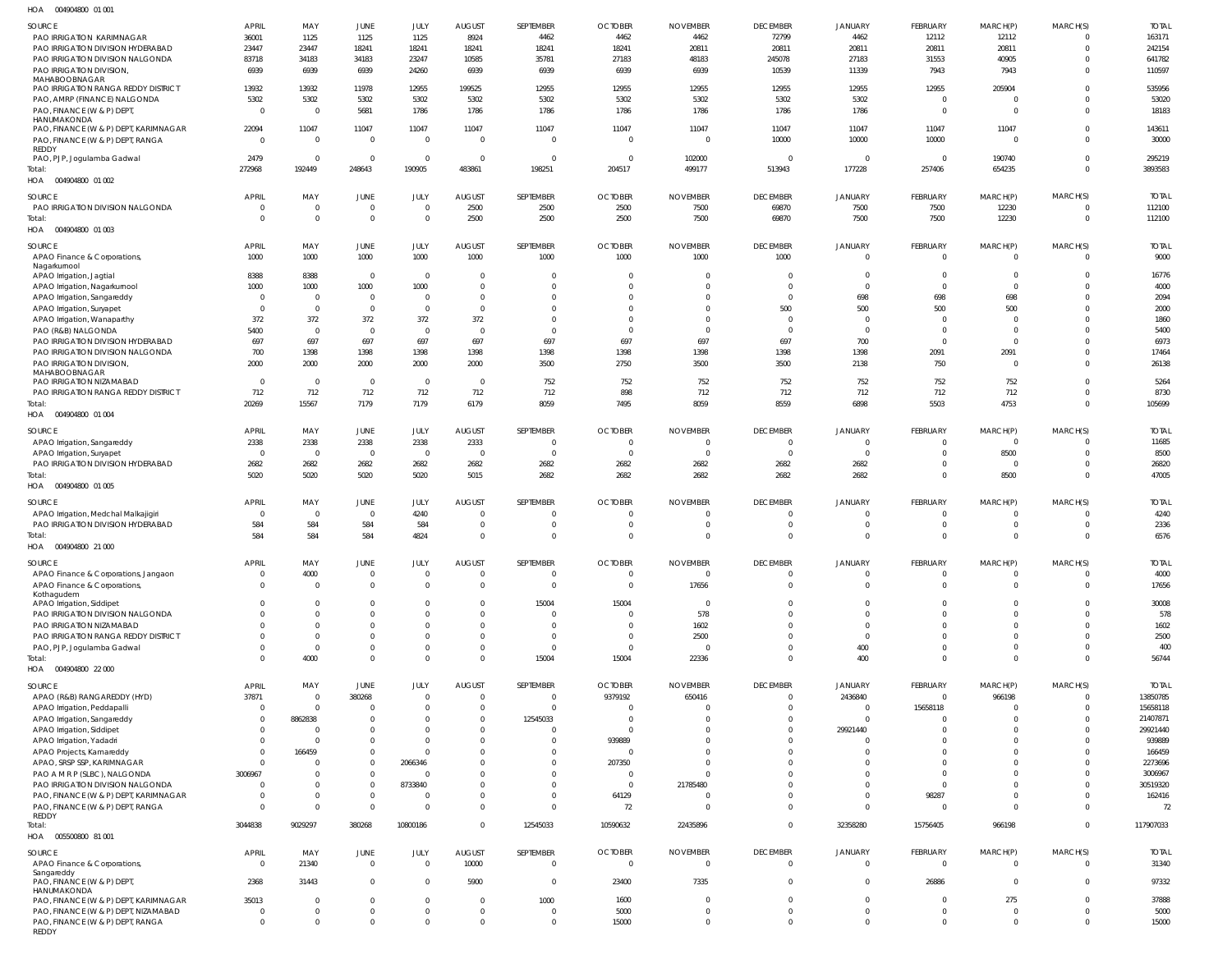004904800 01 001 HOA

| .<br>OUTZUTUUU UIUU                                  |                |                |                          |                |                |                |                |                 |                 |                |                |                |                |              |
|------------------------------------------------------|----------------|----------------|--------------------------|----------------|----------------|----------------|----------------|-----------------|-----------------|----------------|----------------|----------------|----------------|--------------|
| SOURCE                                               | APRIL          | MAY            | JUNE                     | JULY           | <b>AUGUST</b>  | SEPTEMBER      | <b>OCTOBER</b> | <b>NOVEMBER</b> | <b>DECEMBER</b> | <b>JANUARY</b> | FEBRUARY       | MARCH(P)       | MARCH(S)       | <b>TOTAL</b> |
| PAO IRRIGATION KARIMNAGAR                            | 36001          | 1125           | 1125                     | 1125           | 8924           | 4462           | 4462           | 4462            | 72799           | 4462           | 12112          | 12112          | $\Omega$       | 163171       |
| PAO IRRIGATION DIVISION HYDERABAD                    | 23447          | 23447          | 18241                    | 18241          | 18241          | 18241          | 18241          | 20811           | 20811           | 20811          | 20811          | 20811          | $\Omega$       | 242154       |
| PAO IRRIGATION DIVISION NALGONDA                     | 83718          | 34183          | 34183                    | 23247          | 10585          | 35781          | 27183          | 48183           | 245078          | 27183          | 31553          | 40905          | $\Omega$       | 641782       |
| PAO IRRIGATION DIVISION,                             | 6939           | 6939           | 6939                     | 24260          | 6939           | 6939           | 6939           | 6939            | 10539           | 11339          | 7943           | 7943           | $\Omega$       | 110597       |
| MAHABOOBNAGAR<br>PAO IRRIGATION RANGA REDDY DISTRICT | 13932          | 13932          | 11978                    | 12955          | 199525         | 12955          | 12955          | 12955           | 12955           | 12955          | 12955          | 205904         | <sup>0</sup>   | 535956       |
| PAO, AMRP (FINANCE) NALGONDA                         | 5302           | 5302           | 5302                     | 5302           | 5302           | 5302           | 5302           | 5302            | 5302            | 5302           | $\overline{0}$ | $\overline{0}$ | $\Omega$       | 53020        |
| PAO, FINANCE (W & P) DEPT                            | $\Omega$       | $\Omega$       | 5681                     | 1786           | 1786           | 1786           | 1786           | 1786            | 1786            | 1786           | $\overline{0}$ | $\Omega$       | $\Omega$       | 18183        |
| HANUMAKONDA                                          |                |                |                          |                |                |                |                |                 |                 |                |                |                |                |              |
| PAO, FINANCE (W & P) DEPT, KARIMNAGAR                | 22094          | 11047          | 11047                    | 11047          | 11047          | 11047          | 11047          | 11047           | 11047           | 11047          | 11047          | 11047          |                | 143611       |
| PAO, FINANCE (W & P) DEPT, RANGA                     | $\Omega$       | $\overline{0}$ | $\overline{0}$           | $\overline{0}$ | $\Omega$       | $\overline{0}$ | $\Omega$       | $\overline{0}$  | 10000           | 10000          | 10000          | $\Omega$       | $\Omega$       | 30000        |
| REDDY                                                |                |                |                          |                |                |                |                |                 |                 |                |                |                |                |              |
| PAO, PJP, Jogulamba Gadwal                           | 2479           | $\Omega$       | $\overline{0}$           | $\overline{0}$ | $\Omega$       | $\overline{0}$ | $\overline{0}$ | 102000          | $\Omega$        | $\Omega$       | $\Omega$       | 190740         | $\Omega$       | 295219       |
| Total:                                               | 272968         | 192449         | 248643                   | 190905         | 483861         | 198251         | 204517         | 499177          | 513943          | 177228         | 257406         | 654235         | $\Omega$       | 3893583      |
| HOA  004904800  01 002                               |                |                |                          |                |                |                |                |                 |                 |                |                |                |                |              |
| SOURCE                                               | <b>APRIL</b>   | MAY            | <b>JUNE</b>              | JULY           | <b>AUGUST</b>  | SEPTEMBER      | <b>OCTOBER</b> | <b>NOVEMBER</b> | <b>DECEMBER</b> | <b>JANUARY</b> | FEBRUARY       | MARCH(P)       | MARCH(S)       | <b>TOTAL</b> |
| PAO IRRIGATION DIVISION NALGONDA                     | $\overline{0}$ | $\overline{0}$ | $\overline{0}$           | $\overline{0}$ | 2500           | 2500           | 2500           | 7500            | 69870           | 7500           | 7500           | 12230          | $\Omega$       | 112100       |
| Total:                                               | $\Omega$       | $\overline{0}$ | $\overline{0}$           | $\overline{0}$ | 2500           | 2500           | 2500           | 7500            | 69870           | 7500           | 7500           | 12230          | $\overline{0}$ | 112100       |
| HOA  004904800  01  003                              |                |                |                          |                |                |                |                |                 |                 |                |                |                |                |              |
| SOURCE                                               | APRIL          | MAY            | <b>JUNE</b>              | JULY           | <b>AUGUST</b>  | SEPTEMBER      | <b>OCTOBER</b> | <b>NOVEMBER</b> | <b>DECEMBER</b> | <b>JANUARY</b> | FEBRUARY       | MARCH(P)       | MARCH(S)       | <b>TOTAL</b> |
| APAO Finance & Corporations,                         | 1000           | 1000           | 1000                     | 1000           | 1000           | 1000           | 1000           | 1000            | 1000            | $\Omega$       | $\Omega$       | $\Omega$       | $\Omega$       | 9000         |
| Nagarkurnool                                         |                |                |                          |                |                |                |                |                 |                 |                |                |                |                |              |
| APAO Irrigation, Jagtial                             | 8388           | 8388           | $\overline{0}$           | $\Omega$       | $\Omega$       | $\Omega$       | $\Omega$       | $\Omega$        | $\Omega$        | $\Omega$       | $\Omega$       | $\Omega$       | $\Omega$       | 16776        |
| APAO Irrigation, Nagarkurnool                        | 1000           | 1000           | 1000                     | 1000           | $\Omega$       | $\Omega$       | $\Omega$       | $\Omega$        | $\Omega$        | $\Omega$       | $\Omega$       | $\overline{0}$ |                | 4000         |
| APAO Irrigation, Sangareddy                          | $\Omega$       | $\overline{0}$ | $\overline{\phantom{0}}$ | $\mathbf 0$    | $\Omega$       | $\Omega$       | $\Omega$       | $\overline{0}$  | $\Omega$        | 698            | 698            | 698            |                | 2094         |
| APAO Irrigation, Suryapet                            | $\Omega$       | $\Omega$       | $\overline{0}$           | $\overline{0}$ | $\Omega$       | $\Omega$       | $\Omega$       | $\Omega$        | 500             | 500            | 500            | 500            |                | 2000         |
| APAO Irrigation, Wanaparthy                          | 372            | 372            | 372                      | 372            | 372            | $\Omega$       | $\Omega$       | $\Omega$        | $\Omega$        | $\Omega$       | $\Omega$       | $\Omega$       |                | 1860         |
| PAO (R&B) NALGONDA                                   | 5400           | $\Omega$       | $\overline{0}$           | $\overline{0}$ | $\Omega$       | $\Omega$       | $\Omega$       | $\Omega$        | $\Omega$        | $\overline{0}$ | $\Omega$       | $\Omega$       |                | 5400         |
| PAO IRRIGATION DIVISION HYDERABAD                    | 697            | 697            | 697                      | 697            | 697            | 697            | 697            | 697             | 697             | 700            | $\Omega$       | $\overline{0}$ |                | 6973         |
| PAO IRRIGATION DIVISION NALGONDA                     | 700            | 1398           | 1398                     | 1398           | 1398           | 1398           | 1398           | 1398            | 1398            | 1398           | 2091           | 2091           |                | 17464        |
| PAO IRRIGATION DIVISION,                             | 2000           | 2000           | 2000                     | 2000           | 2000           | 3500           | 2750           | 3500            | 3500            | 2138           | 750            | $\overline{0}$ |                | 26138        |
| MAHABOOBNAGAR<br>PAO IRRIGATION NIZAMABAD            | $\Omega$       | $\Omega$       | $\overline{0}$           | $\overline{0}$ | $\overline{0}$ | 752            | 752            | 752             | 752             | 752            | 752            | 752            |                | 5264         |
| PAO IRRIGATION RANGA REDDY DISTRICT                  | 712            | 712            | 712                      | 712            | 712            | 712            | 898            | 712             | 712             | 712            | 712            | 712            | $\Omega$       | 8730         |
| Total:                                               | 20269          | 15567          | 7179                     | 7179           | 6179           | 8059           | 7495           | 8059            | 8559            | 6898           | 5503           | 4753           | $\Omega$       | 105699       |
| HOA  004904800  01 004                               |                |                |                          |                |                |                |                |                 |                 |                |                |                |                |              |
|                                                      |                |                |                          |                |                |                |                |                 |                 |                |                |                |                |              |
| SOURCE                                               | APRIL          | MAY            | JUNE                     | JULY           | <b>AUGUST</b>  | SEPTEMBER      | <b>OCTOBER</b> | <b>NOVEMBER</b> | <b>DECEMBER</b> | <b>JANUARY</b> | FEBRUARY       | MARCH(P)       | MARCH(S)       | <b>TOTAL</b> |
| APAO Irrigation, Sangareddy                          | 2338           | 2338           | 2338                     | 2338           | 2333           | $\overline{0}$ | $\overline{0}$ | $\overline{0}$  | $\Omega$        | $\Omega$       | $\Omega$       | $\overline{0}$ | $\Omega$       | 11685        |
| APAO Irrigation, Suryapet                            | $\Omega$       | $\overline{0}$ | $\overline{0}$           | $\overline{0}$ | $\overline{0}$ | $\overline{0}$ | $\overline{0}$ | $\Omega$        | $\Omega$        | $\overline{0}$ | $\Omega$       | 8500           | $\Omega$       | 8500         |
| PAO IRRIGATION DIVISION HYDERABAD                    | 2682           | 2682           | 2682                     | 2682           | 2682           | 2682           | 2682           | 2682            | 2682            | 2682           | $\Omega$       | $\Omega$       | $\Omega$       | 26820        |
| Total:                                               | 5020           | 5020           | 5020                     | 5020           | 5015           | 2682           | 2682           | 2682            | 2682            | 2682           | $\Omega$       | 8500           | $\Omega$       | 47005        |
| HOA  004904800  01  005                              |                |                |                          |                |                |                |                |                 |                 |                |                |                |                |              |
| SOURCE                                               | <b>APRIL</b>   | MAY            | JUNE                     | JULY           | <b>AUGUST</b>  | SEPTEMBER      | <b>OCTOBER</b> | <b>NOVEMBER</b> | <b>DECEMBER</b> | <b>JANUARY</b> | FEBRUARY       | MARCH(P)       | MARCH(S)       | <b>TOTAL</b> |
| APAO Irrigation, Medchal Malkajigiri                 | $\Omega$       | $\overline{0}$ | $\overline{0}$           | 4240           | $\Omega$       | $\Omega$       | $\Omega$       | $\Omega$        | $\Omega$        | $\Omega$       | $\Omega$       | $\overline{0}$ |                | 4240         |
| PAO IRRIGATION DIVISION HYDERABAD                    | 584            | 584            | 584                      | 584            | $\Omega$       | $\Omega$       | $\Omega$       | $\Omega$        | $\Omega$        | $\Omega$       | $\Omega$       | $\overline{0}$ | $\Omega$       | 2336         |
| Total:                                               | 584            | 584            | 584                      | 4824           | $\Omega$       | $\Omega$       | $\Omega$       | $\Omega$        | $\Omega$        | $\Omega$       | $\Omega$       | $\Omega$       | $\Omega$       | 6576         |
| HOA  004904800  21 000                               |                |                |                          |                |                |                |                |                 |                 |                |                |                |                |              |
| SOURCE                                               | <b>APRIL</b>   | MAY            | JUNE                     | JULY           | AUGUST         | SEPTEMBER      | <b>OCTOBER</b> | <b>NOVEMBER</b> | <b>DECEMBER</b> | JANUARY        | FEBRUARY       | MARCH(P        | MARCH(S)       | Total        |
| APAO Finance & Corporations, Jangaon                 | $\Omega$       | 4000           | $\mathbf 0$              | $\mathbf 0$    | $\Omega$       | $\Omega$       | $\overline{0}$ | $\Omega$        | $\Omega$        | $\Omega$       | $\Omega$       | $\Omega$       |                | 4000         |
| APAO Finance & Corporations,                         | $\Omega$       | $\Omega$       | $\mathbf 0$              | $\Omega$       | $\Omega$       | $\Omega$       | $\overline{0}$ | 17656           | $\Omega$        | $\Omega$       | $\Omega$       | $\Omega$       | $\Omega$       | 17656        |
| Kothagudem                                           |                |                |                          |                |                |                |                |                 |                 |                |                |                |                |              |
| APAO Irrigation, Siddipet                            |                | $\Omega$       | $\Omega$                 | $\Omega$       | $\Omega$       | 15004          | 15004          | $\overline{0}$  | $\Omega$        | $\Omega$       | $\Omega$       | $\Omega$       | $\Omega$       | 30008        |
| PAO IRRIGATION DIVISION NALGONDA                     |                | $\Omega$       | $\Omega$                 | $\Omega$       | $\Omega$       | $\Omega$       | $\Omega$       | 578             | $\Omega$        | $\Omega$       | $\Omega$       | $\Omega$       |                | 578          |
| PAO IRRIGATION NIZAMABAD                             |                | $\Omega$       | $\Omega$                 | $\mathbf 0$    | $\Omega$       | $\Omega$       | $\Omega$       | 1602            | $\Omega$        | $\Omega$       | $\Omega$       | $\Omega$       |                | 1602         |
| PAO IRRIGATION RANGA REDDY DISTRICT                  |                | $\Omega$       | $\Omega$                 | $\Omega$       | $\Omega$       | $\Omega$       | $\Omega$       | 2500            | $\Omega$        | $\Omega$       | $\Omega$       | $\Omega$       |                | 2500         |
| PAO, PJP, Jogulamba Gadwal                           |                | $\Omega$       | $\mathbf 0$              | $\mathbf 0$    | $\Omega$       | $\Omega$       | $\Omega$       | $\Omega$        | $\Omega$        | 400            | $\Omega$       | $\Omega$       |                | 400          |
| Total:                                               |                | 4000           | $\mathbf 0$              | $\Omega$       | $\Omega$       | 15004          | 15004          | 22336           | $\Omega$        | 400            | $\Omega$       | $\Omega$       | $\Omega$       | 56744        |
| HOA  004904800  22 000                               |                |                |                          |                |                |                |                |                 |                 |                |                |                |                |              |
| SOURCE                                               | APRIL          | MAY            | JUNE                     | JULY           | <b>AUGUST</b>  | SEPTEMBER      | <b>OCTOBER</b> | <b>NOVEMBER</b> | <b>DECEMBER</b> | <b>JANUARY</b> | FEBRUARY       | MARCH(P)       | MARCH(S)       | <b>TOTAL</b> |
| APAO (R&B) RANGAREDDY (HYD)                          | 37871          | $\Omega$       | 380268                   | $\overline{0}$ | $\Omega$       | $\Omega$       | 9379192        | 650416          | $\Omega$        | 2436840        | $\Omega$       | 966198         |                | 13850785     |
| APAO Irrigation, Peddapalli                          | $\Omega$       | $\Omega$       | $\Omega$                 | $\Omega$       | $\Omega$       | $\Omega$       | $\Omega$       | $\Omega$        | $\Omega$        | $\Omega$       | 15658118       | $\Omega$       |                | 15658118     |
| APAO Irrigation, Sangareddy                          |                | 8862838        | $\Omega$                 | $\Omega$       | $\Omega$       | 12545033       | $\Omega$       | C               | $\Omega$        | $\Omega$       |                | $\Omega$       |                | 21407871     |
| APAO Irrigation, Siddipet                            |                | $\Omega$       | $\Omega$                 | $\Omega$       | $\Omega$       | $\Omega$       | $\Omega$       | $\Omega$        | $\Omega$        | 29921440       | $\Omega$       | $\Omega$       |                | 29921440     |
| APAO Irrigation, Yadadri                             |                |                | $\Omega$                 | $\Omega$       | $\Omega$       | $\Omega$       | 939889         | $\Omega$        | $\Omega$        | - 0            | $\Omega$       | $\Omega$       |                | 939889       |
| APAO Projects, Kamareddy                             |                | 166459         | $\Omega$                 | $\Omega$       | $\Omega$       | $\Omega$       | $\Omega$       | $\Omega$        | $\Omega$        | $\Omega$       | $\Omega$       | $\Omega$       |                | 166459       |
| APAO, SRSP SSP, KARIMNAGAR                           |                | 0              | $\mathbf 0$              | 2066346        | $\Omega$       | $\Omega$       | 207350         | $\Omega$        | $\Omega$        | $\Omega$       | $\Omega$       | $\Omega$       |                | 2273696      |
| PAO A M R P (SLBC), NALGONDA                         | 3006967        |                | $\mathbf 0$              | $\Omega$       | $\Omega$       | $\Omega$       | $\Omega$       | $\Omega$        | $\Omega$        | $\Omega$       | $\Omega$       | $\Omega$       |                | 3006967      |
| PAO IRRIGATION DIVISION NALGONDA                     |                | $\Omega$       | $\mathbf 0$              | 8733840        | $\Omega$       | $\Omega$       | $\Omega$       | 21785480        | $\Omega$        | $\Omega$       | $\Omega$       | $\Omega$       |                | 30519320     |
| PAO, FINANCE (W & P) DEPT, KARIMNAGAR                |                | $\Omega$       | $\mathbf 0$              | $\Omega$       | $\Omega$       | $\Omega$       | 64129          | $\Omega$        | $\Omega$        | $\Omega$       | 98287          | $\Omega$       |                | 162416       |
| PAO, FINANCE (W & P) DEPT, RANGA                     |                | $\Omega$       | $\mathbf 0$              | $\Omega$       | $\Omega$       | $\Omega$       | 72             | $\Omega$        | $\Omega$        | $\Omega$       | $\Omega$       | $\Omega$       |                | 72           |
| REDDY                                                |                |                |                          |                |                |                |                |                 |                 |                |                |                |                |              |
| Total:                                               | 3044838        | 9029297        | 380268                   | 10800186       | $\Omega$       | 12545033       | 10590632       | 22435896        | $\Omega$        | 32358280       | 15756405       | 966198         | $\Omega$       | 117907033    |
| HOA   005500800   81   001                           |                |                |                          |                |                |                |                |                 |                 |                |                |                |                |              |
| SOURCE                                               | <b>APRIL</b>   | MAY            | JUNE                     | JULY           | <b>AUGUST</b>  | SEPTEMBER      | <b>OCTOBER</b> | <b>NOVEMBER</b> | <b>DECEMBER</b> | <b>JANUARY</b> | FEBRUARY       | MARCH(P)       | MARCH(S)       | <b>TOTAL</b> |
| APAO Finance & Corporations,                         | $\overline{0}$ | 21340          | $\overline{\mathbf{0}}$  | $\mathbf 0$    | 10000          | $\overline{0}$ | $\overline{0}$ | $\overline{0}$  | $\Omega$        | $\Omega$       | $\overline{0}$ | $\Omega$       | $\Omega$       | 31340        |
| Sangareddy                                           |                |                |                          |                |                |                |                |                 |                 |                |                |                |                |              |
| PAO, FINANCE (W & P) DEPT<br>HANUMAKONDA             | 2368           | 31443          | $\overline{0}$           | $\mathbf{0}$   | 5900           | $\overline{0}$ | 23400          | 7335            | $\Omega$        | $\Omega$       | 26886          | $\overline{0}$ | $\Omega$       | 97332        |
| PAO, FINANCE (W & P) DEPT, KARIMNAGAR                | 35013          | $\Omega$       | $\mathbf 0$              | $\overline{0}$ | $\Omega$       | 1000           | 1600           | $\overline{0}$  | $\Omega$        | $\Omega$       | $\Omega$       | 275            | $\Omega$       | 37888        |
| PAO, FINANCE (W & P) DEPT, NIZAMABAD                 | - 0            | $\Omega$       | $\mathbf 0$              | $\mathbf 0$    | $\overline{0}$ | $\overline{0}$ | 5000           | $\overline{0}$  | $\Omega$        | $\Omega$       | $\Omega$       | $\overline{0}$ | $\Omega$       | 5000         |
| PAO, FINANCE (W & P) DEPT, RANGA                     | $\Omega$       | $\Omega$       | $\mathbf 0$              | $\mathbf 0$    | $\overline{0}$ | $\overline{0}$ | 15000          | $\overline{0}$  | $\Omega$        | $\Omega$       | $\Omega$       | $\overline{0}$ | $\Omega$       | 15000        |
| REDDY                                                |                |                |                          |                |                |                |                |                 |                 |                |                |                |                |              |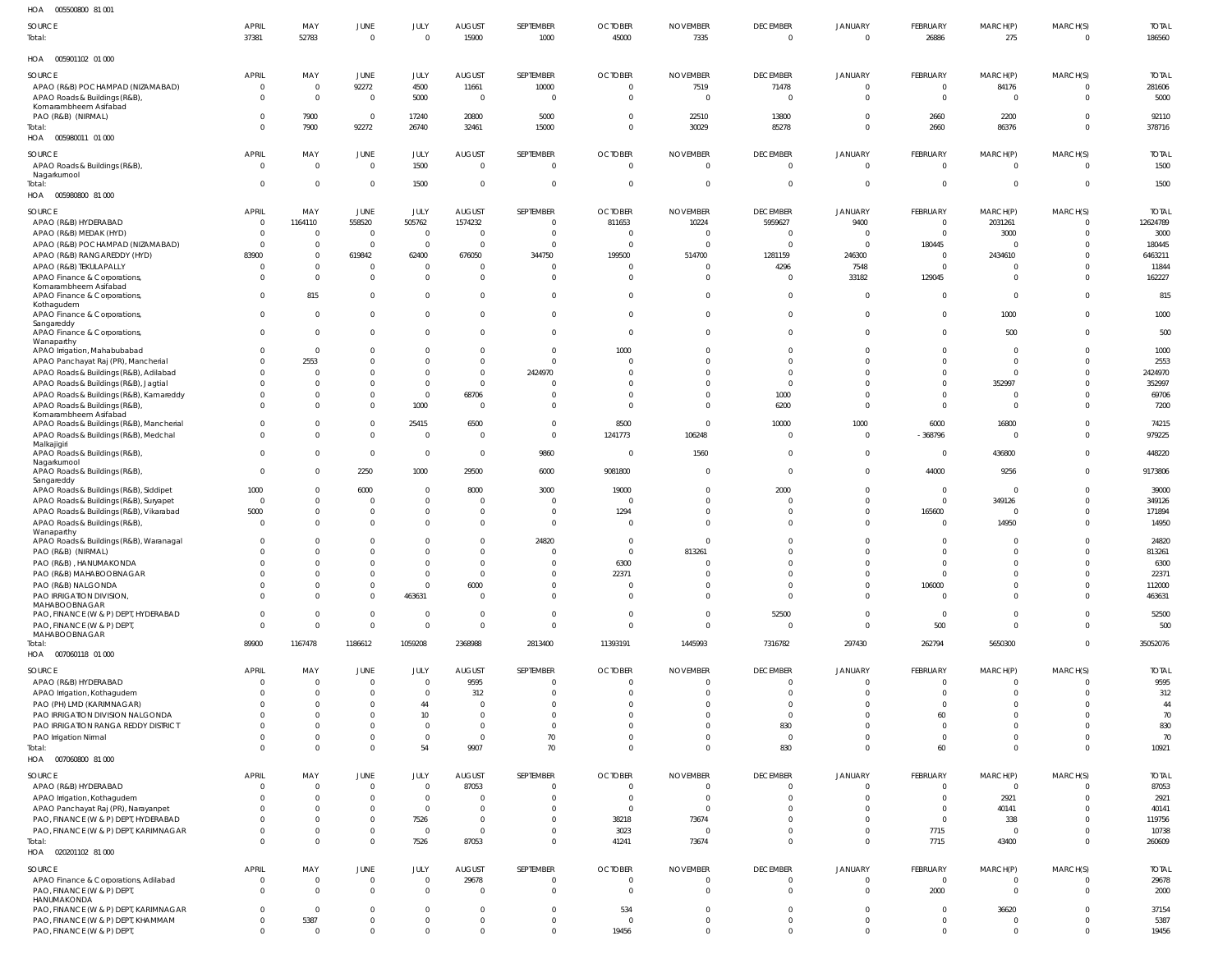| HOA<br>005500800 81 001                                                  |                            |                         |                               |                        |                                  |                      |                            |                                |                            |                                  |                        |                                  |                                  |                  |
|--------------------------------------------------------------------------|----------------------------|-------------------------|-------------------------------|------------------------|----------------------------------|----------------------|----------------------------|--------------------------------|----------------------------|----------------------------------|------------------------|----------------------------------|----------------------------------|------------------|
| SOURCE                                                                   | <b>APRIL</b>               | MAY                     | JUNE                          | JULY                   | <b>AUGUST</b>                    | SEPTEMBER            | <b>OCTOBER</b>             | <b>NOVEMBER</b>                | <b>DECEMBER</b>            | <b>JANUARY</b>                   | FEBRUARY               | MARCH(P)                         | MARCH(S)                         | <b>TOTAL</b>     |
| Total:                                                                   | 37381                      | 52783                   | $\mathbf 0$                   | $\Omega$               | 15900                            | 1000                 | 45000                      | 7335                           | $\overline{0}$             | $\overline{0}$                   | 26886                  | 275                              | $\overline{0}$                   | 186560           |
| HOA  005901102  01  000                                                  |                            |                         |                               |                        |                                  |                      |                            |                                |                            |                                  |                        |                                  |                                  |                  |
| SOURCE                                                                   | <b>APRIL</b>               | MAY                     | JUNE                          | JULY                   | <b>AUGUST</b>                    | SEPTEMBER            | <b>OCTOBER</b>             | <b>NOVEMBER</b>                | <b>DECEMBER</b>            | JANUARY                          | FEBRUARY               | MARCH(P)                         | MARCH(S)                         | <b>TOTAL</b>     |
| APAO (R&B) POCHAMPAD (NIZAMABAD)                                         | $\overline{0}$<br>$\Omega$ | $\overline{0}$          | 92272                         | 4500                   | 11661                            | 10000<br>- 0         | $\overline{0}$<br>$\Omega$ | 7519                           | 71478                      | $\overline{0}$                   |                        | 84176                            | $\overline{0}$<br>$\Omega$       | 281606           |
| APAO Roads & Buildings (R&B),<br>Komarambheem Asifabad                   |                            | $\overline{0}$          | $\mathbf 0$                   | 5000                   | $\overline{0}$                   |                      |                            | $\mathbf{0}$                   | $\overline{0}$             | $\overline{0}$                   | - 0                    | $\overline{0}$                   |                                  | 5000             |
| PAO (R&B) (NIRMAL)                                                       |                            | 7900                    | $\mathbf 0$                   | 17240                  | 20800                            | 5000                 | $\Omega$                   | 22510                          | 13800                      | $\overline{0}$                   | 2660                   | 2200                             | $\Omega$                         | 92110            |
| Total:                                                                   |                            | 7900                    | 92272                         | 26740                  | 32461                            | 15000                | $\Omega$                   | 30029                          | 85278                      | $\Omega$                         | 2660                   | 86376                            | $\overline{0}$                   | 378716           |
| HOA  005980011  01  000                                                  |                            |                         |                               |                        |                                  |                      |                            |                                |                            |                                  |                        |                                  |                                  |                  |
| SOURCE                                                                   | <b>APRIL</b>               | MAY                     | JUNE                          | JULY                   | <b>AUGUST</b>                    | SEPTEMBER            | <b>OCTOBER</b>             | <b>NOVEMBER</b>                | <b>DECEMBER</b>            | <b>JANUARY</b>                   | FEBRUARY               | MARCH(P)                         | MARCH(S)                         | <b>TOTAL</b>     |
| APAO Roads & Buildings (R&B),                                            | $\Omega$                   | $\Omega$                | $\mathbf 0$                   | 1500                   | $\overline{0}$                   | $\Omega$             | $\Omega$                   | $\mathbf{0}$                   | $\overline{0}$             | $\overline{0}$                   | $\Omega$               | $\overline{0}$                   | $\overline{0}$                   | 1500             |
| Nagarkurnool<br>Total:                                                   | - 0                        | $\Omega$                | $\mathbf 0$                   | 1500                   | $\overline{0}$                   | - 0                  | $\Omega$                   | $\mathbf{0}$                   | 0                          | $\overline{0}$                   | - 0                    | $\overline{0}$                   | $\overline{0}$                   | 1500             |
| HOA  005980800  81  000                                                  |                            |                         |                               |                        |                                  |                      |                            |                                |                            |                                  |                        |                                  |                                  |                  |
| SOURCE                                                                   | <b>APRIL</b>               | MAY                     | JUNE                          | JULY                   | <b>AUGUST</b>                    | SEPTEMBER            | <b>OCTOBER</b>             | <b>NOVEMBER</b>                | <b>DECEMBER</b>            | JANUARY                          | FEBRUARY               | MARCH(P)                         | MARCH(S)                         | <b>TOTAL</b>     |
| APAO (R&B) HYDERABAD                                                     | - 0                        | 1164110                 | 558520                        | 505762                 | 1574232                          | - 0                  | 811653                     | 10224                          | 5959627                    | 9400                             | - 0                    | 2031261                          | $\mathbf{0}$                     | 12624789         |
| APAO (R&B) MEDAK (HYD)                                                   |                            | $\overline{0}$          | $\mathbf 0$                   | $\overline{0}$         | $\overline{0}$                   |                      | $\Omega$                   | $\mathbf{0}$                   | 0                          | - 0                              | - 0                    | 3000                             | $\Omega$                         | 3000             |
| APAO (R&B) POCHAMPAD (NIZAMABAD)                                         | - 0                        | $\mathbf 0$             | $\mathbf 0$                   | $\overline{0}$         | $\overline{\mathbf{0}}$          | $\Omega$             |                            | $\Omega$                       | $\Omega$                   | $\overline{0}$                   | 180445                 | $\overline{0}$                   | $\Omega$                         | 180445           |
| APAO (R&B) RANGAREDDY (HYD)                                              | 83900                      | 0<br>$\mathbf 0$        | 619842                        | 62400<br>$\Omega$      | 676050<br>$\mathbf 0$            | 344750               | 199500                     | 514700<br>$\mathbf{0}$         | 1281159                    | 246300                           | - 0                    | 2434610<br>$\overline{0}$        | $\Omega$<br>$\Omega$             | 6463211          |
| APAO (R&B) TEKULAPALLY<br>APAO Finance & Corporations                    |                            | $\Omega$                | $\overline{0}$<br>$\mathbf 0$ | $\Omega$               | $\Omega$                         | - 0                  | $\Omega$                   | $\mathbf 0$                    | 4296<br>0                  | 7548<br>33182                    | 129045                 | $\overline{0}$                   | $\Omega$                         | 11844<br>162227  |
| Komarambheem Asifabad                                                    |                            |                         |                               |                        |                                  |                      |                            |                                |                            |                                  |                        |                                  |                                  |                  |
| APAO Finance & Corporations,                                             |                            | 815                     | $\mathbf 0$                   | $\Omega$               | $\overline{0}$                   | $\Omega$             | $\Omega$                   | $\overline{0}$                 | $\overline{0}$             | $\overline{0}$                   |                        | $\overline{0}$                   | $\Omega$                         | 815              |
| Kothagudem<br>APAO Finance & Corporations,                               | $\Omega$                   | $\mathbf 0$             | $\mathbf 0$                   | $\Omega$               | $\mathbf 0$                      | $\Omega$             | $\Omega$                   | $\overline{0}$                 | $\mathbf{0}$               | $\overline{0}$                   |                        | 1000                             | $\overline{0}$                   | 1000             |
| Sangareddy                                                               |                            |                         |                               |                        |                                  |                      |                            |                                |                            |                                  |                        |                                  |                                  |                  |
| APAO Finance & Corporations,<br>Wanaparthy                               | $\Omega$                   | $\Omega$                | $\mathbf 0$                   | $\Omega$               | $\Omega$                         | $\Omega$             | $\Omega$                   | $\overline{0}$                 | $\mathbf{0}$               | $\overline{0}$                   |                        | 500                              | $\overline{0}$                   | 500              |
| APAO Irrigation, Mahabubabad                                             |                            | $\overline{0}$          | $\mathbf{0}$                  | $\Omega$               | $\overline{0}$                   | $\Omega$             | 1000                       | $\Omega$                       | 0                          | -0                               |                        | $\overline{0}$                   | $\Omega$                         | 1000             |
| APAO Panchayat Raj (PR), Mancherial                                      |                            | 2553                    | $\mathbf{0}$                  | $\Omega$               | $\overline{0}$                   | $\Omega$             |                            | $\Omega$                       | $\Omega$                   | $\Omega$                         |                        | $\overline{0}$                   | $\Omega$                         | 2553             |
| APAO Roads & Buildings (R&B), Adilabad                                   |                            |                         | $\mathbf{0}$                  | $\Omega$               | $\Omega$                         | 2424970              |                            | $\Omega$                       | $\Omega$                   | $\Omega$                         |                        | $\overline{0}$                   | $\Omega$                         | 2424970          |
| APAO Roads & Buildings (R&B), Jagtial                                    |                            | $\Omega$                | $\mathbf{0}$                  | $\Omega$               | $\overline{0}$                   |                      |                            | $\Omega$                       | $\Omega$                   | -0                               |                        | 352997                           | $\Omega$                         | 352997           |
| APAO Roads & Buildings (R&B), Kamareddy<br>APAO Roads & Buildings (R&B), |                            | $\Omega$<br>$\Omega$    | $\mathbf{0}$<br>$\mathbf{0}$  | $\overline{0}$<br>1000 | 68706<br>$\overline{0}$          | $\Omega$             | $\Omega$                   | $\mathbf{0}$<br>$\mathbf 0$    | 1000<br>6200               | -0<br>$\Omega$                   |                        | $\overline{0}$<br>$\overline{0}$ | $\Omega$<br>$\Omega$             | 69706<br>7200    |
| Komarambheem Asifabad                                                    |                            |                         |                               |                        |                                  |                      |                            |                                |                            |                                  |                        |                                  |                                  |                  |
| APAO Roads & Buildings (R&B), Mancherial                                 |                            | $\Omega$                | $\mathbf 0$                   | 25415                  | 6500                             | $\Omega$             | 8500                       | $\overline{0}$                 | 10000                      | 1000                             | 6000                   | 16800                            | $\Omega$                         | 74215            |
| APAO Roads & Buildings (R&B), Medchal<br>Malkajigiri                     |                            | $\mathbf 0$             | $\mathbf 0$                   | $\Omega$               | $\overline{0}$                   | $\Omega$             | 1241773                    | 106248                         | $\Omega$                   | $\overline{0}$                   | $-368796$              | $\overline{0}$                   | $\Omega$                         | 979225           |
| APAO Roads & Buildings (R&B),                                            | $\Omega$                   | $\mathbf 0$             | $\mathbf 0$                   | $\overline{0}$         | $\overline{0}$                   | 9860                 | $\Omega$                   | 1560                           | $\overline{0}$             | $\overline{0}$                   | - 0                    | 436800                           | $\Omega$                         | 448220           |
| Nagarkurnool                                                             |                            |                         |                               |                        |                                  |                      |                            |                                |                            |                                  |                        |                                  |                                  |                  |
| APAO Roads & Buildings (R&B),<br>Sangareddy                              | $\Omega$                   | $\mathbf 0$             | 2250                          | 1000                   | 29500                            | 6000                 | 9081800                    | $\overline{0}$                 | $\mathbf{0}$               | $\overline{0}$                   | 44000                  | 9256                             | $\Omega$                         | 9173806          |
| APAO Roads & Buildings (R&B), Siddipet                                   | 1000                       | $\Omega$                | 6000                          | $\Omega$               | 8000                             | 3000                 | 19000                      | $\overline{0}$                 | 2000                       | $\Omega$                         | - 0                    | $\overline{0}$                   | $\Omega$                         | 39000            |
| APAO Roads & Buildings (R&B), Suryapet                                   | $\Omega$                   | $\mathbf 0$             | $\mathbf 0$                   | $\overline{0}$         | $\overline{0}$                   | $\Omega$             |                            | $\mathbf 0$                    | $\Omega$                   | $\Omega$                         | $\Omega$               | 349126                           | $\mathbf{0}$                     | 349126           |
| APAO Roads & Buildings (R&B), Vikarabad                                  | 5000                       | $\mathbf 0$             | $\mathbf 0$                   | $\Omega$               | $\overline{0}$                   | $\Omega$             | 1294                       | $\Omega$                       | $\Omega$                   | $^{\circ}$                       | 165600                 | $\overline{0}$                   | $\Omega$                         | 171894           |
| APAO Roads & Buildings (R&B),<br>Wanaparthy                              | $\Omega$                   | $\Omega$                | $\overline{0}$                | $\Omega$               | $\Omega$                         | $\Omega$             | $\Omega$                   | $\Omega$                       | $\Omega$                   | $\Omega$                         |                        | 14950                            | $\Omega$                         | 14950            |
| APAO Roads & Buildings (R&B), Waranagal                                  | $\Omega$                   | $\Omega$                | $\mathbf{0}$                  | $\Omega$               | $\mathbf 0$                      | 24820                |                            | $\Omega$                       | $\Omega$                   | $\Omega$                         |                        | $\overline{0}$                   | $\Omega$                         | 24820            |
| PAO (R&B) (NIRMAL)                                                       |                            | $\Omega$                | $\Omega$                      | $\Omega$               | $\Omega$                         | $\cap$               | $\Omega$                   | 813261                         | $\Omega$                   | $\Omega$                         |                        | $\Omega$                         | $\Omega$                         | 813261           |
| PAO (R&B), HANUMAKONDA                                                   |                            | $\Omega$                | $\Omega$                      | $\Omega$               | $\Omega$                         | $\Omega$             | 6300                       | $\Omega$                       | $\Omega$                   | $\Omega$                         |                        | $\Omega$                         | $\Omega$                         | 6300             |
| PAO (R&B) MAHABOOBNAGAR                                                  |                            | $\mathbf 0$<br>$\Omega$ | $\mathbf 0$<br>$\mathbf 0$    | $\Omega$<br>$\Omega$   | $\overline{0}$<br>6000           | $\Omega$<br>$\Omega$ | 22371<br>$\Omega$          | $\mathbf{0}$<br>$\Omega$       | $\Omega$<br>$\Omega$       | $\overline{0}$<br>$\overline{0}$ | $\bigcap$<br>106000    | $\Omega$<br>$\Omega$             | $\Omega$<br>$\Omega$             | 22371            |
| PAO (R&B) NALGONDA<br>PAO IRRIGATION DIVISION,                           |                            | $\Omega$                | $\mathbf{0}$                  | 463631                 | $\overline{\mathbf{0}}$          | $\Omega$             |                            | $\overline{0}$                 | $\Omega$                   | $\Omega$                         |                        | $\Omega$                         | $\Omega$                         | 112000<br>463631 |
| MAHABOOBNAGAR                                                            |                            |                         |                               |                        |                                  |                      |                            |                                |                            |                                  |                        |                                  |                                  |                  |
| PAO, FINANCE (W & P) DEPT, HYDERABAD                                     |                            | $\mathbf 0$             | $\mathbf 0$                   | $\Omega$               | $\overline{0}$                   | $\Omega$             | $\Omega$                   | $\overline{0}$                 | 52500                      | $\overline{0}$                   | $\overline{0}$         | $\overline{0}$                   | $\Omega$                         | 52500            |
| PAO, FINANCE (W & P) DEPT,<br>MAHABOOBNAGAR                              |                            | $\Omega$                | $\mathbf 0$                   | $\Omega$               | $\Omega$                         | $\Omega$             | $\Omega$                   | $\mathbf{0}$                   | $\Omega$                   | $\Omega$                         | 500                    | $\overline{0}$                   | $\Omega$                         | 500              |
| Total:                                                                   | 89900                      | 1167478                 | 1186612                       | 1059208                | 2368988                          | 2813400              | 11393191                   | 1445993                        | 7316782                    | 297430                           | 262794                 | 5650300                          | $\overline{0}$                   | 35052076         |
| HOA   007060118   01   000                                               |                            |                         |                               |                        |                                  |                      |                            |                                |                            |                                  |                        |                                  |                                  |                  |
| SOURCE                                                                   | <b>APRIL</b>               | MAY                     | JUNE                          | JULY                   | <b>AUGUST</b>                    | SEPTEMBER            | <b>OCTOBER</b>             | <b>NOVEMBER</b>                | <b>DECEMBER</b>            | <b>JANUARY</b>                   | FEBRUARY               | MARCH(P)                         | MARCH(S)                         | <b>TOTAL</b>     |
| APAO (R&B) HYDERABAD                                                     |                            | $\Omega$                | $\overline{0}$                | $\Omega$               | 9595                             | $\Omega$             | $\Omega$                   | $\mathbf{0}$                   | $\Omega$                   | $\overline{0}$                   | $\bigcap$              | $\overline{0}$                   | $\Omega$                         | 9595             |
| APAO Irrigation, Kothagudem                                              |                            | $\Omega$                | $\mathbf{0}$                  | $\Omega$               | 312                              | $\Omega$             | $\Omega$                   | $\Omega$                       | $\Omega$                   | $\Omega$                         |                        | $\Omega$                         | $\Omega$                         | 312              |
| PAO (PH) LMD (KARIMNAGAR)                                                |                            | $\Omega$                | $\mathbf 0$                   | 44                     | $\Omega$                         | - 0                  |                            | $\Omega$                       | $\Omega$                   | $\Omega$                         |                        | $\Omega$                         | $\Omega$                         | 44               |
| PAO IRRIGATION DIVISION NALGONDA                                         |                            | $\Omega$                | $\Omega$                      | 10 <sup>10</sup>       | $\Omega$                         | $\Omega$<br>$\Omega$ |                            | <sup>0</sup>                   | $\Omega$                   | $\Omega$                         | 60                     | $\Omega$<br>$\Omega$             | $\Omega$<br>$\Omega$             | 70               |
| PAO IRRIGATION RANGA REDDY DISTRICT<br>PAO Irrigation Nirmal             |                            | $\Omega$                | $\mathbf 0$<br>$\mathbf{0}$   | $\Omega$<br>$\Omega$   | $\overline{0}$<br>$\overline{0}$ | 70                   | $\Omega$                   | $\Omega$<br>$\Omega$           | 830<br>$\overline{0}$      | $\Omega$<br>$\Omega$             | $\Omega$               | $\Omega$                         | $\Omega$                         | 830<br>70        |
| Total:                                                                   |                            | $\Omega$                | $\mathbf 0$                   | 54                     | 9907                             | 70                   | $\Omega$                   | $\overline{0}$                 | 830                        | $\Omega$                         | 60                     | $\overline{0}$                   | $\mathbf{0}$                     | 10921            |
| HOA  007060800  81  000                                                  |                            |                         |                               |                        |                                  |                      |                            |                                |                            |                                  |                        |                                  |                                  |                  |
| SOURCE                                                                   | <b>APRIL</b>               | MAY                     | JUNE                          | JULY                   | <b>AUGUST</b>                    | SEPTEMBER            | <b>OCTOBER</b>             | <b>NOVEMBER</b>                | <b>DECEMBER</b>            | JANUARY                          | FEBRUARY               | MARCH(P)                         | MARCH(S)                         | <b>TOTAL</b>     |
| APAO (R&B) HYDERABAD                                                     |                            | $\mathbf 0$             | $\mathbf 0$                   | $\overline{0}$         | 87053                            | - 0                  | $\Omega$                   | $\overline{0}$                 | 0                          | $^{\circ}$                       | - 0                    | $\overline{0}$                   | $\Omega$                         | 87053            |
| APAO Irrigation, Kothagudem                                              |                            | $\Omega$                | $\mathbf 0$                   | $\overline{0}$         | $\overline{0}$                   | - 0                  | $\Omega$                   | $\mathbf 0$                    | $\Omega$                   | $\overline{0}$                   |                        | 2921                             | $\Omega$                         | 2921             |
| APAO Panchayat Raj (PR), Narayanpet                                      |                            | $\Omega$                | $\mathbf 0$                   | $\overline{0}$         | $\overline{0}$                   | - 0                  | $\Omega$                   | $\overline{0}$                 | $\Omega$                   | $\Omega$                         |                        | 40141                            | $\Omega$                         | 40141            |
| PAO, FINANCE (W & P) DEPT, HYDERABAD                                     |                            | $\Omega$                | $\mathbf 0$                   | 7526                   | $\overline{0}$                   | $\Omega$             | 38218                      | 73674                          | $\Omega$                   | $\Omega$                         | $\Omega$               | 338                              | $\Omega$                         | 119756           |
| PAO, FINANCE (W & P) DEPT, KARIMNAGAR                                    |                            | $\Omega$                | $\mathbf 0$                   | $\overline{0}$         | $\overline{0}$                   | $\Omega$             | 3023                       | $\overline{0}$                 | $\Omega$                   | $\overline{0}$                   | 7715                   | $\overline{\phantom{0}}$         | $\Omega$                         | 10738            |
| Total:<br>HOA  020201102  81 000                                         |                            | $\Omega$                | $\mathbf 0$                   | 7526                   | 87053                            | $\Omega$             | 41241                      | 73674                          | $\overline{0}$             | $\Omega$                         | 7715                   | 43400                            | $\Omega$                         | 260609           |
|                                                                          |                            |                         |                               |                        |                                  |                      |                            |                                |                            |                                  |                        |                                  |                                  |                  |
| SOURCE                                                                   | <b>APRIL</b>               | MAY                     | JUNE                          | JULY                   | <b>AUGUST</b>                    | SEPTEMBER            | <b>OCTOBER</b>             | <b>NOVEMBER</b>                | <b>DECEMBER</b>            | JANUARY                          | FEBRUARY               | MARCH(P)                         | MARCH(S)                         | <b>TOTAL</b>     |
| APAO Finance & Corporations, Adilabad<br>PAO, FINANCE (W & P) DEPT,      | $\Omega$<br>$\Omega$       | $\mathbf 0$<br>$\Omega$ | $\mathbf 0$<br>$\mathbf 0$    | $\Omega$<br>$\Omega$   | 29678<br>$\overline{0}$          | - 0<br>$\Omega$      | $\Omega$<br>$\Omega$       | $\overline{0}$<br>$\mathbf{0}$ | $\overline{0}$<br>$\Omega$ | $\overline{0}$<br>$\overline{0}$ | $\overline{0}$<br>2000 | $\overline{0}$<br>$\overline{0}$ | $\overline{0}$<br>$\overline{0}$ | 29678<br>2000    |
| HANUMAKONDA                                                              |                            |                         |                               |                        |                                  |                      |                            |                                |                            |                                  |                        |                                  |                                  |                  |
| PAO, FINANCE (W & P) DEPT, KARIMNAGAR                                    |                            | $\Omega$                | $\mathbf{0}$                  | $\Omega$               | $\overline{0}$                   | $\Omega$             | 534                        | $\Omega$                       | $\Omega$                   | $\overline{0}$                   |                        | 36620                            | $\Omega$                         | 37154            |
| PAO, FINANCE (W & P) DEPT, KHAMMAM                                       | $\Omega$                   | 5387                    | $\mathbf{0}$                  | $\Omega$               | $\mathbf 0$                      | $\Omega$             |                            | $\mathbf 0$                    | $\Omega$                   | $\overline{0}$                   |                        | $\overline{0}$                   | $\mathbf{0}$                     | 5387             |
| PAO, FINANCE (W & P) DEPT                                                |                            | $\mathbf 0$             | $\mathbf 0$                   | $\Omega$               | $\mathbf 0$                      | $\Omega$             | 19456                      | $\mathbf 0$                    | $\Omega$                   | $\Omega$                         | $\Omega$               | $\mathbf{0}$                     | $\mathbf 0$                      | 19456            |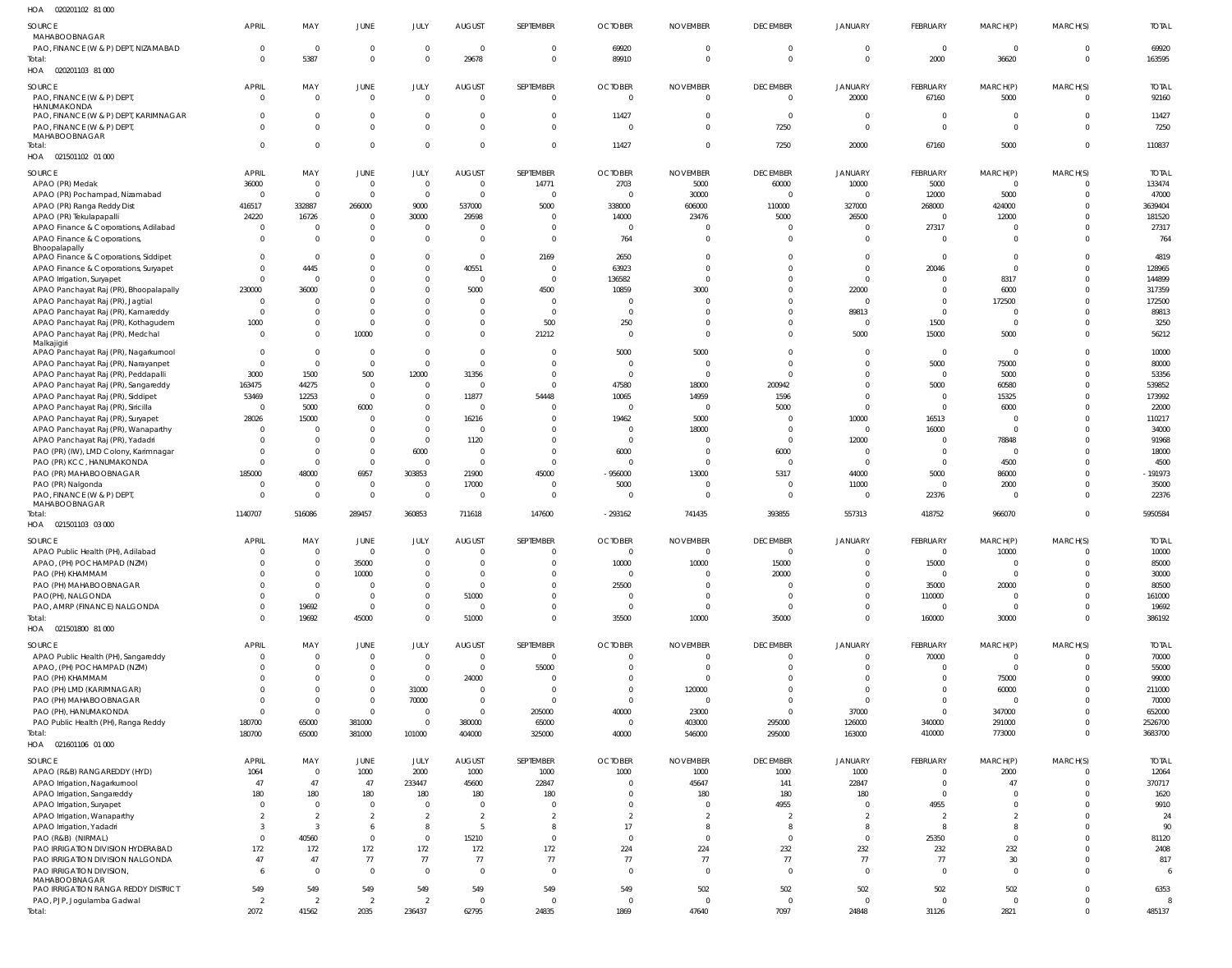| SOURCE                                                                         | <b>APRIL</b>                   | MAY                              | JUNE                         | <b>JULY</b>                      | <b>AUGUST</b>                                      | SEPTEMBER                    | <b>OCTOBER</b>                   | <b>NOVEMBER</b>                | <b>DECEMBER</b>             | <b>JANUARY</b>                   | FEBRUARY                   | MARCH(P)                    | MARCH(S)             | <b>TOTAL</b>          |
|--------------------------------------------------------------------------------|--------------------------------|----------------------------------|------------------------------|----------------------------------|----------------------------------------------------|------------------------------|----------------------------------|--------------------------------|-----------------------------|----------------------------------|----------------------------|-----------------------------|----------------------|-----------------------|
| MAHABOOBNAGAR<br>PAO, FINANCE (W & P) DEPT, NIZAMABAD                          | $\mathbf 0$                    | $\overline{0}$                   | $\mathbf{0}$                 | $\overline{0}$                   | $\overline{\mathbf{0}}$                            | $\Omega$                     | 69920                            | $\mathbf 0$                    | $\overline{0}$              | $\overline{0}$                   | $\overline{0}$             | $\mathbf{0}$                | $\Omega$             | 69920                 |
| Total:                                                                         | $\Omega$                       | 5387                             | $\mathbf 0$                  | $\overline{0}$                   | 29678                                              | $\mathbf{0}$                 | 89910                            | $\mathbf 0$                    | $\Omega$                    | $\overline{0}$                   | 2000                       | 36620                       | $\overline{0}$       | 163595                |
| HOA  020201103  81  000                                                        |                                |                                  |                              |                                  |                                                    |                              |                                  |                                |                             |                                  |                            |                             |                      |                       |
| SOURCE                                                                         | <b>APRIL</b>                   | MAY                              | JUNE                         | JULY                             | <b>AUGUST</b>                                      | SEPTEMBER                    | <b>OCTOBER</b>                   | <b>NOVEMBER</b>                | <b>DECEMBER</b>             | JANUARY                          | FEBRUARY                   | MARCH(P)                    | MARCH(S)             | <b>TOTAL</b>          |
| PAO, FINANCE (W & P) DEPT,<br>HANUMAKONDA                                      | $\overline{0}$                 | $\overline{0}$                   | $\mathbf{0}$                 | $\overline{0}$                   | $\overline{\mathbf{0}}$                            | $\overline{0}$               | $\overline{0}$                   | $\overline{0}$                 | $\Omega$                    | 20000                            | 67160                      | 5000                        | $\Omega$             | 92160                 |
| PAO, FINANCE (W & P) DEPT, KARIMNAGAR                                          | $\Omega$                       | $\overline{0}$                   | $\mathbf{0}$                 | $\overline{0}$                   | $\overline{0}$                                     | $\mathbf{0}$                 | 11427                            | $\overline{0}$                 | $\overline{0}$              | $\overline{0}$                   | - 0                        | $\mathbf{0}$                | $\Omega$             | 11427                 |
| PAO, FINANCE (W & P) DEPT,<br>MAHABOOBNAGAR                                    | $\Omega$                       | $\Omega$                         | $\mathbf 0$                  | $\overline{0}$                   | $\Omega$                                           | $\mathbf 0$                  | $\overline{0}$                   | $\mathbf{0}$                   | 7250                        | $\overline{0}$                   | $\Omega$                   | $\mathbf 0$                 | $\Omega$             | 7250                  |
| Total:                                                                         | $\Omega$                       | $\overline{0}$                   | $\mathbf 0$                  | $\overline{0}$                   | $\overline{0}$                                     | $\overline{0}$               | 11427                            | $\mathbf 0$                    | 7250                        | 20000                            | 67160                      | 5000                        | $\Omega$             | 110837                |
| HOA  021501102  01  000                                                        |                                |                                  |                              |                                  |                                                    |                              |                                  |                                |                             |                                  |                            |                             |                      |                       |
| SOURCE                                                                         | <b>APRIL</b>                   | MAY                              | JUNE                         | JULY                             | <b>AUGUST</b>                                      | SEPTEMBER                    | <b>OCTOBER</b>                   | <b>NOVEMBER</b>                | <b>DECEMBER</b>             | <b>JANUARY</b>                   | FEBRUARY                   | MARCH(P)                    | MARCH(S)             | <b>TOTAL</b>          |
| APAO (PR) Medak<br>APAO (PR) Pochampad, Nizamabad                              | 36000<br>$\overline{0}$        | $\overline{0}$<br>$\overline{0}$ | $\mathbf{0}$<br>$\mathbf{0}$ | $\overline{0}$<br>$\overline{0}$ | $\overline{\mathbf{0}}$<br>$\overline{\mathbf{0}}$ | 14771                        | 2703<br>$\Omega$                 | 5000<br>30000                  | 60000<br>$\Omega$           | 10000<br>$\overline{0}$          | 5000<br>12000              | $\mathbf{0}$<br>5000        | $\Omega$<br>$\Omega$ | 133474<br>47000       |
| APAO (PR) Ranga Reddy Dist                                                     | 416517                         | 332887                           | 266000                       | 9000                             | 537000                                             | 5000                         | 338000                           | 606000                         | 110000                      | 327000                           | 268000                     | 424000                      | $\Omega$             | 3639404               |
| APAO (PR) Tekulapapalli                                                        | 24220                          | 16726                            | $^{\circ}$                   | 30000                            | 29598                                              | $\Omega$                     | 14000                            | 23476                          | 5000                        | 26500                            | $\Omega$                   | 12000                       | $\Omega$             | 181520                |
| APAO Finance & Corporations, Adilabad<br>APAO Finance & Corporations,          | $\overline{0}$<br>$\Omega$     | $\overline{0}$<br>$\overline{0}$ | $\mathbf{0}$<br>$\mathbf{0}$ | $\overline{0}$<br>$\overline{0}$ | $\Omega$<br>$\Omega$                               | $\mathbf{0}$<br>$\mathbf{0}$ | $\Omega$<br>764                  | $\mathbf{0}$<br>$\overline{0}$ | $\Omega$<br>$\Omega$        | $\overline{0}$<br>$\overline{0}$ | 27317<br>$\Omega$          | $\mathbf{0}$<br>$\Omega$    | $\Omega$<br>$\Omega$ | 27317<br>764          |
| Bhoopalapally                                                                  |                                |                                  |                              |                                  |                                                    |                              |                                  |                                |                             |                                  |                            |                             |                      |                       |
| APAO Finance & Corporations, Siddipet<br>APAO Finance & Corporations, Suryapet | $\Omega$<br>$\Omega$           | $\Omega$<br>4445                 | $\Omega$<br>$\Omega$         | $\mathbf{0}$<br>$\mathbf{0}$     | $\overline{0}$<br>40551                            | 2169<br>$\Omega$             | 2650<br>63923                    | $\Omega$<br>$\Omega$           | $\Omega$<br>$\Omega$        | $\Omega$<br>$\Omega$             | $\Omega$<br>20046          | $\Omega$<br>$\Omega$        | $\Omega$<br>$\Omega$ | 4819<br>128965        |
| APAO Irrigation, Suryapet                                                      | $\Omega$                       | $\Omega$                         | $\Omega$                     | $\mathbf{0}$                     | $\overline{0}$                                     | $\Omega$                     | 136582                           | $\Omega$                       | $\Omega$                    | $\overline{0}$                   | $\Omega$                   | 8317                        | $\Omega$             | 144899                |
| APAO Panchayat Raj (PR), Bhoopalapally                                         | 230000                         | 36000                            | $\Omega$                     | $\mathbf{0}$                     | 5000                                               | 4500                         | 10859                            | 3000                           | $\Omega$                    | 22000                            |                            | 6000                        | $\Omega$             | 317359                |
| APAO Panchayat Raj (PR), Jagtial                                               | $\overline{0}$                 | $\Omega$                         | $\Omega$                     | $\mathbf{0}$                     | $\Omega$                                           | $\Omega$                     | $\Omega$                         | $\Omega$                       | $\Omega$                    | $\overline{0}$                   | $\Omega$                   | 172500                      | $\Omega$             | 172500                |
| APAO Panchayat Raj (PR), Kamareddy<br>APAO Panchayat Raj (PR), Kothagudem      | $\Omega$<br>1000               | $\Omega$<br>$\overline{0}$       | $\Omega$<br>$\Omega$         | $\mathbf{0}$<br>$\mathbf{0}$     | $\Omega$<br>$\mathbf 0$                            | $\Omega$<br>500              | $\Omega$<br>250                  | $\Omega$<br>$\Omega$           | $\Omega$<br>$\Omega$        | 89813<br>$\overline{0}$          | $\Omega$<br>1500           | $\Omega$<br>$\mathbf{0}$    | $\Omega$<br>$\Omega$ | 89813<br>3250         |
| APAO Panchayat Raj (PR), Medchal                                               | $\Omega$                       | $\Omega$                         | 10000                        | $\Omega$                         | $\Omega$                                           | 21212                        | $\Omega$                         | $\Omega$                       | $\Omega$                    | 5000                             | 15000                      | 5000                        | $\Omega$             | 56212                 |
| Malkajigiri<br>APAO Panchayat Raj (PR), Nagarkurnool                           | $\Omega$                       | $\Omega$                         | $\Omega$                     | $\Omega$                         | $\Omega$                                           | <sup>0</sup>                 | 5000                             | 5000                           | $\Omega$                    | $\Omega$                         | $\Omega$                   | $\Omega$                    | $\Omega$             | 10000                 |
| APAO Panchayat Raj (PR), Narayanpet                                            | $\Omega$                       | $\overline{0}$                   | $\Omega$                     | $\overline{0}$                   | $\Omega$                                           | 0                            | $\Omega$                         | $\Omega$                       | $\Omega$                    | $\Omega$                         | 5000                       | 75000                       | $\Omega$             | 80000                 |
| APAO Panchayat Raj (PR), Peddapalli                                            | 3000                           | 1500                             | 500                          | 12000                            | 31356                                              | $\Omega$                     | $\Omega$                         | $\overline{0}$                 | $\Omega$                    | $\Omega$                         | $\Omega$                   | 5000                        | $\Omega$             | 53356                 |
| APAO Panchayat Raj (PR), Sangareddy                                            | 163475                         | 44275                            | $\overline{0}$               | $\overline{0}$                   | - 0                                                | $\Omega$                     | 47580                            | 18000                          | 200942                      | $\Omega$                         | 5000                       | 60580                       | $\Omega$             | 539852                |
| APAO Panchayat Raj (PR), Siddipet<br>APAO Panchayat Raj (PR), Siricilla        | 53469<br>$\Omega$              | 12253<br>5000                    | $\mathbf 0$<br>6000          | $\mathbf{0}$<br>$\overline{0}$   | 11877<br>$\overline{\mathbf{0}}$                   | 54448<br>$\Omega$            | 10065<br>$\Omega$                | 14959<br>$\Omega$              | 1596<br>5000                | $\Omega$<br>$\Omega$             | $\Omega$<br>$\Omega$       | 15325<br>6000               |                      | 173992<br>22000       |
| APAO Panchayat Raj (PR), Suryapet                                              | 28026                          | 15000                            | $\Omega$                     | $\mathbf{0}$                     | 16216                                              | 0                            | 19462                            | 5000                           | $\Omega$                    | 10000                            | 16513                      | $\Omega$                    |                      | 110217                |
| APAO Panchayat Raj (PR), Wanaparthy                                            | $\Omega$                       | $\Omega$                         | $\Omega$                     | $\overline{0}$                   | $\overline{\mathbf{0}}$                            | 0                            | $\Omega$                         | 18000                          | $\Omega$                    | $\overline{0}$                   | 16000                      | $\Omega$                    |                      | 34000                 |
| APAO Panchayat Raj (PR), Yadadri<br>PAO (PR) (IW), LMD Colony, Karimnagar      | $\Omega$<br>$\Omega$           | $\Omega$<br>$\Omega$             | $\Omega$<br>$\mathbf{0}$     | $\overline{0}$<br>6000           | 1120<br>$\overline{\mathbf{0}}$                    | 0<br>$\Omega$                | $\Omega$<br>6000                 | $\Omega$<br>$\mathbf{0}$       | $\Omega$<br>6000            | 12000<br>0                       | $\sqrt{ }$<br>$\Omega$     | 78848<br>$\Omega$           |                      | 91968<br>18000        |
| PAO (PR) KCC, HANUMAKONDA                                                      | $\Omega$                       | $\Omega$                         | $\Omega$                     | $\overline{0}$                   | $\overline{\mathbf{0}}$                            | $\Omega$                     | $\Omega$                         | $\overline{0}$                 | $\Omega$                    | $\overline{0}$                   | $\Omega$                   | 4500                        | $\Omega$             | 4500                  |
| PAO (PR) MAHABOOBNAGAR                                                         | 185000                         | 48000                            | 6957                         | 303853                           | 21900                                              | 45000                        | -956000                          | 13000                          | 5317                        | 44000                            | 5000                       | 86000                       | $\Omega$             | $-191973$             |
| PAO (PR) Nalgonda                                                              | $\Omega$<br>$\Omega$           | $\Omega$                         | $\mathbf{0}$                 | $\overline{0}$                   | 17000                                              | $\Omega$                     | 5000                             | $\overline{0}$                 | $\Omega$                    | 11000                            | $\Omega$                   | 2000                        | $\Omega$             | 35000                 |
| PAO, FINANCE (W & P) DEPT,<br>MAHABOOBNAGAR                                    |                                | $\overline{0}$                   | $\mathbf 0$                  | $\,0\,$                          | $\overline{\mathbf{0}}$                            | $\mathbf 0$                  | $\Omega$                         | $\mathbf 0$                    | $\Omega$                    | $\overline{0}$                   | 22376                      | $\Omega$                    | $\Omega$             | 22376                 |
| Total:                                                                         | 1140707                        | 516086                           | 289457                       | 360853                           | 711618                                             | 147600                       | $-293162$                        | 741435                         | 393855                      | 557313                           | 418752                     | 966070                      | $\Omega$             | 5950584               |
| HOA  021501103  03  000                                                        |                                |                                  |                              |                                  |                                                    |                              |                                  |                                |                             |                                  |                            |                             |                      |                       |
| SOURCE<br>APAO Public Health (PH), Adilabad                                    | <b>APRIL</b><br>$\overline{0}$ | MAY<br>$\overline{0}$            | JUNE<br>$\mathbf 0$          | JULY<br>$\overline{0}$           | <b>AUGUST</b><br>$\overline{0}$                    | SEPTEMBER<br>$\mathbf{0}$    | <b>OCTOBER</b><br>$\overline{0}$ | <b>NOVEMBER</b><br>$\Omega$    | <b>DECEMBER</b><br>$\Omega$ | <b>JANUARY</b><br>$\Omega$       | FEBRUARY<br>$\overline{0}$ | MARCH(P)<br>10000           | MARCH(S)<br>$\Omega$ | <b>TOTAL</b><br>10000 |
| APAO, (PH) POCHAMPAD (NZM)                                                     | $\Omega$                       | $\Omega$                         | 35000                        | $\Omega$                         | $\Omega$                                           | $\Omega$                     | 10000                            | 10000                          | 15000                       | $\Omega$                         | 15000                      |                             | $\Omega$             | 85000                 |
| PAO (PH) KHAMMAM                                                               |                                | $\overline{0}$                   | 10000                        | $\Omega$                         | $\overline{\mathbf{0}}$                            | 0                            | $\overline{0}$                   | $\mathbf{0}$                   | 20000                       | $\Omega$                         | $\overline{0}$             | $\mathbf{0}$                | $\Omega$             | 30000                 |
| PAO (PH) MAHABOOBNAGAR                                                         | $\Omega$                       | $\Omega$                         | $\Omega$                     | $\overline{0}$                   | $\overline{\mathbf{0}}$                            | $\Omega$                     | 25500                            | $\mathbf 0$                    | - 0                         | 0                                | 35000                      | 20000                       | $\Omega$             | 80500                 |
| PAO(PH), NALGONDA<br>PAO, AMRP (FINANCE) NALGONDA                              | $\Omega$<br>$\Omega$           | $\Omega$<br>19692                | $\mathbf{0}$<br>$\mathbf 0$  | $\mathbf{0}$<br>$\overline{0}$   | 51000<br>$\overline{\mathbf{0}}$                   | $\Omega$<br>$\Omega$         | $\overline{0}$<br>$\overline{0}$ | $\mathbf 0$<br>$\overline{0}$  | - 0<br>- 0                  | 0<br>0                           | 110000<br>$\overline{0}$   | $\mathbf{0}$<br>$\mathbf 0$ | $\Omega$<br>$\Omega$ | 161000<br>19692       |
| Total:                                                                         | $\Omega$                       | 19692                            | 45000                        | $\overline{0}$                   | 51000                                              | $\mathbf{0}$                 | 35500                            | 10000                          | 35000                       | $\overline{0}$                   | 160000                     | 30000                       | $\Omega$             | 386192                |
| HOA  021501800  81 000                                                         |                                |                                  |                              |                                  |                                                    |                              |                                  |                                |                             |                                  |                            |                             |                      |                       |
| SOURCE                                                                         | <b>APRIL</b>                   | MAY                              | JUNE                         | JULY                             | <b>AUGUST</b>                                      | SEPTEMBER                    | <b>OCTOBER</b>                   | <b>NOVEMBER</b>                | <b>DECEMBER</b>             | <b>JANUARY</b>                   | FEBRUARY                   | MARCH(P)                    | MARCH(S)             | <b>TOTAL</b>          |
| APAO Public Health (PH), Sangareddy                                            | 0                              | $\Omega$                         | 0                            | $\overline{0}$                   | $\overline{\mathbf{0}}$                            | $\Omega$                     | $\mathbf{0}$                     | 0                              | $\Omega$                    | $\Omega$                         | 70000                      | 0                           |                      | 70000                 |
| APAO, (PH) POCHAMPAD (NZM)<br>PAO (PH) KHAMMAM                                 | 0                              | $\Omega$<br>$\Omega$             | $\mathbf{0}$<br>$\Omega$     | $\overline{0}$<br>$\overline{0}$ | $\overline{\mathbf{0}}$<br>24000                   | 55000                        | $\Omega$<br>$\Omega$             | $\Omega$<br>$\Omega$           | $\Omega$                    | $\Omega$<br>$\Omega$             | $\Omega$                   | $\mathbf{0}$<br>75000       | $\Omega$             | 55000<br>99000        |
| PAO (PH) LMD (KARIMNAGAR)                                                      |                                | $\Omega$                         | $\Omega$                     | 31000                            | $\overline{\mathbf{0}}$                            | $\Omega$                     | $\Omega$                         | 120000                         | $\Omega$                    | $\Omega$                         |                            | 60000                       |                      | 211000                |
| PAO (PH) MAHABOOBNAGAR                                                         | $\Omega$                       | $\Omega$                         | $\Omega$                     | 70000                            | $\overline{\mathbf{0}}$                            | $\Omega$                     | $\Omega$                         | $\Omega$                       | $\Omega$                    | $\Omega$                         |                            | $\Omega$                    |                      | 70000                 |
| PAO (PH), HANUMAKONDA                                                          | $\Omega$<br>180700             | $\Omega$<br>65000                | $\Omega$<br>381000           | $\overline{0}$<br>$\overline{0}$ | $\overline{\mathbf{0}}$<br>380000                  | 205000<br>65000              | 40000<br>$\overline{0}$          | 23000<br>403000                | $\Omega$<br>295000          | 37000<br>126000                  | $\Omega$<br>340000         | 347000<br>291000            | $\Omega$             | 652000<br>2526700     |
| PAO Public Health (PH), Ranga Reddy<br>Total:                                  | 180700                         | 65000                            | 381000                       | 101000                           | 404000                                             | 325000                       | 40000                            | 546000                         | 295000                      | 163000                           | 410000                     | 773000                      | $\Omega$             | 3683700               |
| HOA  021601106  01  000                                                        |                                |                                  |                              |                                  |                                                    |                              |                                  |                                |                             |                                  |                            |                             |                      |                       |
| SOURCE                                                                         | <b>APRIL</b>                   | MAY                              | JUNE                         | JULY                             | <b>AUGUST</b>                                      | SEPTEMBER                    | <b>OCTOBER</b>                   | <b>NOVEMBER</b>                | <b>DECEMBER</b>             | JANUARY                          | FEBRUARY                   | MARCH(P)                    | MARCH(S)             | <b>TOTAL</b>          |
| APAO (R&B) RANGAREDDY (HYD)                                                    | 1064                           | $\overline{0}$                   | 1000                         | 2000                             | 1000                                               | 1000                         | 1000                             | 1000                           | 1000                        | 1000                             | $\Omega$                   | 2000                        | $\Omega$             | 12064                 |
| APAO Irrigation, Nagarkurnool                                                  | 47<br>180                      | 47<br>180                        | 47<br>180                    | 233447<br>180                    | 45600<br>180                                       | 22847<br>180                 | $\overline{0}$<br>$\Omega$       | 45647<br>180                   | 141<br>180                  | 22847<br>180                     | $\Omega$<br>$\Omega$       | 47<br>$\Omega$              | $\Omega$<br>$\Omega$ | 370717<br>1620        |
| APAO Irrigation, Sangareddy<br>APAO Irrigation, Suryapet                       | 0                              | $\Omega$                         | $\mathbf 0$                  | $\overline{0}$                   | $\overline{\mathbf{0}}$                            | $\Omega$                     | $\Omega$                         | $\overline{0}$                 | 4955                        | $\overline{0}$                   | 4955                       | $\Omega$                    | $\Omega$             | 9910                  |
| APAO Irrigation, Wanaparthy                                                    | $\overline{2}$                 | $\overline{2}$                   | $\overline{2}$               | $\overline{2}$                   | $\overline{2}$                                     | $\overline{2}$               | $\overline{2}$                   | 2                              | $\overline{2}$              | 2                                | $\overline{2}$             | 2                           | $\Omega$             | 24                    |
| APAO Irrigation, Yadadri                                                       | 3                              | 3                                | 6                            | 8                                | - 5                                                | 8                            | 17                               | 8                              | -8                          | 8                                | -8                         | 8                           | $\Omega$             | 90                    |
| PAO (R&B) (NIRMAL)<br>PAO IRRIGATION DIVISION HYDERABAD                        | $\mathbf 0$<br>172             | 40560<br>172                     | $\mathbf{0}$<br>172          | $\,0\,$<br>172                   | 15210<br>172                                       | $\mathbf{0}$<br>172          | $\overline{0}$<br>224            | $\overline{0}$<br>224          | $\overline{0}$<br>232       | $\overline{0}$<br>232            | 25350<br>232               | $\mathbf{0}$<br>232         | $\Omega$<br>$\Omega$ | 81120<br>2408         |
| PAO IRRIGATION DIVISION NALGONDA                                               | 47                             | 47                               | 77                           | 77                               | 77                                                 | 77                           | 77                               | 77                             | 77                          | 77                               | 77                         | $30\,$                      | $\Omega$             | 817                   |
| PAO IRRIGATION DIVISION,                                                       | 6                              | $\Omega$                         | $\mathbf 0$                  | $\overline{0}$                   | $\overline{\mathbf{0}}$                            | $\overline{0}$               | $\overline{0}$                   | $\,0\,$                        | $\Omega$                    | $\overline{0}$                   | $\overline{0}$             | $\overline{0}$              | $\Omega$             | 6                     |
| MAHABOOBNAGAR<br>PAO IRRIGATION RANGA REDDY DISTRICT                           | 549                            | 549                              | 549                          | 549                              | 549                                                | 549                          | 549                              | 502                            | 502                         | 502                              | 502                        | 502                         | $\Omega$             | 6353                  |
| PAO, PJP, Jogulamba Gadwal                                                     | $\overline{2}$                 | $\overline{2}$                   | $\overline{2}$               | 2                                | $\overline{\mathbf{0}}$                            | 0                            | $\overline{0}$                   | $\overline{0}$                 | $\overline{0}$              | $\overline{0}$                   | $\overline{0}$             | $\mathbf 0$                 | $\overline{0}$       | 8                     |
| Total:                                                                         | 2072                           | 41562                            | 2035                         | 236437                           | 62795                                              | 24835                        | 1869                             | 47640                          | 7097                        | 24848                            | 31126                      | 2821                        | $\Omega$             | 485137                |

020201102 81 000 HOA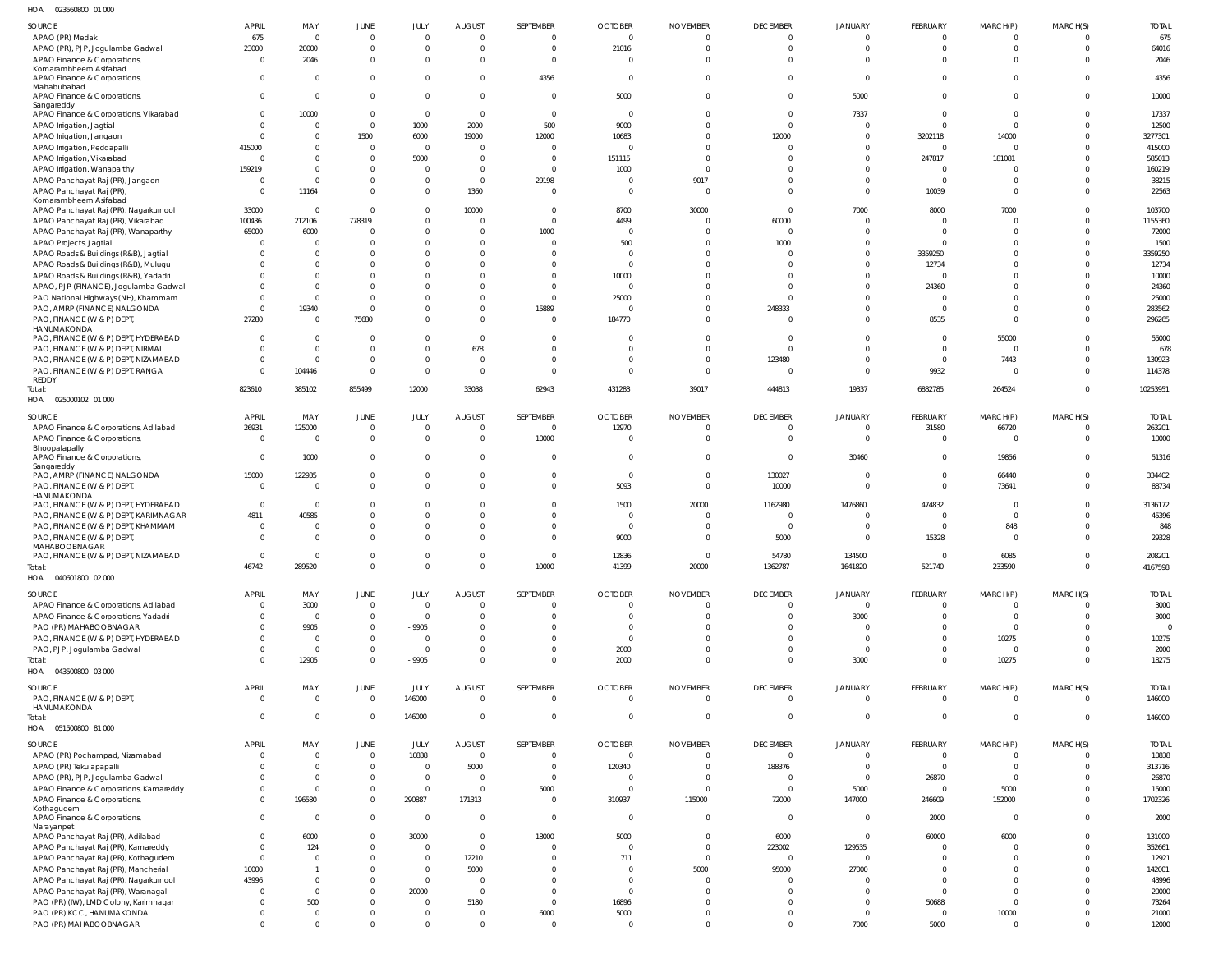023560800 01 000 HOA

| $\cdot$                                               |                |                |                |                |                |                         |                          |                 |                 |                |                 |                |              |                |
|-------------------------------------------------------|----------------|----------------|----------------|----------------|----------------|-------------------------|--------------------------|-----------------|-----------------|----------------|-----------------|----------------|--------------|----------------|
| SOURCE                                                | <b>APRIL</b>   | MAY            | JUNE           | JULY           | <b>AUGUST</b>  | SEPTEMBER               | <b>OCTOBER</b>           | <b>NOVEMBER</b> | <b>DECEMBER</b> | <b>JANUARY</b> | <b>FEBRUARY</b> | MARCH(P)       | MARCH(S)     | <b>TOTAL</b>   |
| APAO (PR) Medak                                       | 675            | $\Omega$       | $\mathbf 0$    | $\Omega$       | $\Omega$       | $\mathbf 0$             | $\overline{0}$           | $\mathbf 0$     | $\Omega$        | $\Omega$       | $\Omega$        | $\Omega$       |              | 675            |
| APAO (PR), PJP, Jogulamba Gadwal                      | 23000          | 20000          | $\mathbf 0$    | $\Omega$       | $\Omega$       | $\mathbf 0$             | 21016                    | $\mathbf 0$     | $\Omega$        | $\Omega$       | $\Omega$        | $\overline{0}$ | $\Omega$     | 64016          |
| APAO Finance & Corporations                           | $\overline{0}$ | 2046           | $\mathbf 0$    | $\Omega$       | $\Omega$       | $\overline{0}$          | $\Omega$                 | $\Omega$        | $\Omega$        | $\Omega$       | $\Omega$        | $\Omega$       |              | 2046           |
| Komarambheem Asifabad                                 |                |                |                |                |                |                         |                          |                 |                 |                |                 |                |              |                |
| APAO Finance & Corporations                           | $\Omega$       | $\Omega$       | $\Omega$       | $\Omega$       | $\Omega$       | 4356                    | $\overline{0}$           | $\mathbf 0$     | $\Omega$        | $\Omega$       | $\Omega$        | $\Omega$       | <sup>0</sup> | 4356           |
| Mahabubabad                                           |                |                |                |                |                |                         |                          |                 |                 |                |                 |                |              |                |
| APAO Finance & Corporations,<br>Sangareddy            | $\Omega$       | $\Omega$       | $\mathbf 0$    | $\mathbf{0}$   | $\Omega$       | $\mathbf 0$             | 5000                     | $\Omega$        | $\Omega$        | 5000           | $\Omega$        | $\Omega$       | $\Omega$     | 10000          |
| APAO Finance & Corporations, Vikarabad                | $\Omega$       | 10000          | $\mathbf 0$    | $\mathbf{0}$   | $\Omega$       | $\overline{0}$          | $\overline{0}$           | $\Omega$        | $\Omega$        | 7337           | $\Omega$        | $\Omega$       |              | 17337          |
| APAO Irrigation, Jagtial                              | $\Omega$       | $\Omega$       | $\Omega$       | 1000           | 2000           | 500                     | 9000                     | $\Omega$        | $\Omega$        | $\Omega$       | $\Omega$        | $\Omega$       |              | 12500          |
| APAO Irrigation, Jangaon                              | $\Omega$       |                | 1500           | 6000           | 19000          | 12000                   | 10683                    | $\Omega$        | 12000           | $\Omega$       | 3202118         | 14000          |              | 3277301        |
| APAO Irrigation, Peddapalli                           | 415000         |                | $\mathbf 0$    | $\Omega$       | $\Omega$       | $\Omega$                | $\Omega$                 | $\Omega$        | $\Omega$        | $\Omega$       | $\Omega$        | $\Omega$       |              | 415000         |
|                                                       | $\Omega$       |                | $\Omega$       | 5000           | $\Omega$       | $\Omega$                | 151115                   | $\Omega$        |                 | $\Omega$       | 247817          | 181081         |              | 585013         |
| APAO Irrigation, Vikarabad                            | 159219         | $\Omega$       | 0              | $\Omega$       | $\Omega$       | $\Omega$                |                          | $\Omega$        |                 | $\Omega$       | $\Omega$        | $\Omega$       |              |                |
| APAO Irrigation, Wanaparthy                           |                |                |                |                |                |                         | 1000                     |                 |                 |                |                 |                |              | 160219         |
| APAO Panchayat Raj (PR), Jangaon                      | - 0            | $\Omega$       | $\Omega$       | $\Omega$       | $\Omega$       | 29198                   | $\Omega$                 | 9017            | $\Omega$        | $\Omega$       | $\Omega$        | $\Omega$       |              | 38215          |
| APAO Panchayat Raj (PR)<br>Komarambheem Asifabad      | $\Omega$       | 11164          | $\Omega$       | $\Omega$       | 1360           | $\Omega$                | $\Omega$                 | $\Omega$        | $\Omega$        | $\Omega$       | 10039           | $\Omega$       | $\Omega$     | 22563          |
| APAO Panchayat Raj (PR), Nagarkurnool                 | 33000          | $\Omega$       | $\Omega$       | $\Omega$       | 10000          | $\overline{0}$          | 8700                     | 30000           | $\Omega$        | 7000           | 8000            | 7000           |              | 103700         |
| APAO Panchayat Raj (PR), Vikarabad                    | 100436         | 212106         | 778319         | $\Omega$       | $\Omega$       | $\Omega$                | 4499                     | $\Omega$        | 60000           | $\Omega$       | $\Omega$        | $\Omega$       |              | 1155360        |
| APAO Panchayat Raj (PR), Wanaparthy                   | 65000          | 6000           | $\Omega$       | $\Omega$       | $\Omega$       | 1000                    | $\overline{0}$           | $\Omega$        | $\Omega$        | $\Omega$       | $\Omega$        | $\Omega$       |              | 72000          |
| APAO Projects, Jagtial                                | $\Omega$       | $\Omega$       | 0              | $\Omega$       | $\Omega$       | $\Omega$                | 500                      | $\Omega$        | 1000            | $\Omega$       | $\Omega$        | $\Omega$       |              | 1500           |
|                                                       |                |                |                | $\Omega$       |                | $\Omega$                | $\Omega$                 | $\Omega$        |                 |                |                 | $\Omega$       |              |                |
| APAO Roads & Buildings (R&B), Jagtial                 | -0             |                |                |                |                |                         |                          |                 | - 0             | $\Omega$       | 3359250         |                |              | 3359250        |
| APAO Roads & Buildings (R&B), Mulugu                  | $\Omega$       |                | 0              | $\Omega$       | $\Omega$       | $\Omega$                | $\Omega$                 | $\Omega$        | $\Omega$        | $\Omega$       | 12734           | $\Omega$       |              | 12734          |
| APAO Roads & Buildings (R&B), Yadadri                 |                |                |                | $\Omega$       |                | $\Omega$                | 10000                    | $\Omega$        |                 | $\Omega$       | - 0             | $\Omega$       |              | 10000          |
| APAO, PJP (FINANCE), Jogulamba Gadwal                 | -0             | $\Omega$       | 0              | $\Omega$       | $\Omega$       | $\Omega$                | $\Omega$                 | $\Omega$        | $\Omega$        | $\Omega$       | 24360           | $\Omega$       |              | 24360          |
| PAO National Highways (NH), Khammam                   | $\Omega$       |                | 0              | $\Omega$       |                | $\overline{0}$          | 25000                    | $\Omega$        | $\Omega$        | $\Omega$       | $\Omega$        | $\Omega$       |              | 25000          |
| PAO, AMRP (FINANCE) NALGONDA                          | $\Omega$       | 19340          | $\Omega$       | $\Omega$       | $\Omega$       | 15889                   | $\Omega$                 | $\Omega$        | 248333          | $\Omega$       | $\Omega$        | $\Omega$       |              | 283562         |
| PAO, FINANCE (W & P) DEPT                             | 27280          | $\Omega$       | 75680          | $\Omega$       | $\Omega$       | $\Omega$                | 184770                   | $\Omega$        | - 0             | $\Omega$       | 8535            | $\Omega$       |              | 296265         |
| HANUMAKONDA                                           |                |                |                |                |                |                         |                          |                 |                 |                |                 |                |              |                |
| PAO, FINANCE (W & P) DEPT, HYDERABAD                  | $\Omega$       | $\Omega$       | $\Omega$       | $\Omega$       | $\Omega$       | $\Omega$                | $\Omega$                 | $\Omega$        | $\Omega$        | $\Omega$       | $\Omega$        | 55000          |              | 55000          |
| PAO, FINANCE (W & P) DEPT, NIRMAL                     | $\Omega$       | $\Omega$       | $\Omega$       | $\Omega$       | 678            | $\Omega$                | $\Omega$                 | $\Omega$        | $\Omega$        | $\Omega$       | $\Omega$        | $\Omega$       |              | 678            |
| PAO, FINANCE (W & P) DEPT, NIZAMABAD                  | $\Omega$       | $\Omega$       | $\Omega$       | $\Omega$       | $\Omega$       | $\Omega$                | $\Omega$                 | $\Omega$        | 123480          | $\Omega$       | $\overline{0}$  | 7443           |              | 130923         |
| PAO, FINANCE (W & P) DEPT, RANGA                      | $\Omega$       | 104446         | $\mathbf 0$    | $\Omega$       | $\Omega$       | $\Omega$                | $\Omega$                 | $\Omega$        | $\Omega$        | $\Omega$       | 9932            | $\Omega$       | 0            | 114378         |
| REDDY                                                 | 823610         |                |                |                |                |                         |                          |                 | 444813          |                |                 | 264524         | $\Omega$     |                |
| Total:                                                |                | 385102         | 855499         | 12000          | 33038          | 62943                   | 431283                   | 39017           |                 | 19337          | 6882785         |                |              | 10253951       |
| HOA  025000102  01 000                                |                |                |                |                |                |                         |                          |                 |                 |                |                 |                |              |                |
| SOURCE                                                | APRIL          | MAY            | <b>JUNE</b>    | JULY           | <b>AUGUST</b>  | SEPTEMBER               | <b>OCTOBER</b>           | <b>NOVEMBER</b> | <b>DECEMBER</b> | <b>JANUARY</b> | FEBRUARY        | MARCH(P)       | MARCH(S)     | <b>TOTAL</b>   |
| APAO Finance & Corporations, Adilabad                 | 26931          | 125000         | $\mathbf 0$    | $\overline{0}$ | $\Omega$       | $\mathbf 0$             | 12970                    | $\overline{0}$  | $\Omega$        | $\overline{0}$ | 31580           | 66720          | 0            | 263201         |
| APAO Finance & Corporations                           | $\overline{0}$ | $\Omega$       | $\mathbf 0$    | $\Omega$       | $\Omega$       | 10000                   | $\overline{0}$           | $\overline{0}$  | $\Omega$        | $\overline{0}$ | $\Omega$        | $\circ$        | $\Omega$     | 10000          |
| Bhoopalapally                                         |                |                |                |                |                |                         |                          |                 |                 |                |                 |                |              |                |
| APAO Finance & Corporations,                          | $\overline{0}$ | 1000           | 0              | $\mathbf 0$    | $\Omega$       | $\overline{0}$          | $\overline{0}$           | $\overline{0}$  | $\Omega$        | 30460          | $\Omega$        | 19856          | $\Omega$     | 51316          |
| Sangareddy                                            |                |                |                |                |                |                         |                          |                 |                 |                |                 |                |              |                |
| PAO, AMRP (FINANCE) NALGONDA                          | 15000          | 122935         | 0              | $\mathbf 0$    | $\Omega$       | $\overline{0}$          | $\overline{\phantom{0}}$ | $\overline{0}$  | 130027          | $\mathbf 0$    | $\Omega$        | 66440          | 0            | 334402         |
| PAO, FINANCE (W & P) DEPT                             | $\overline{0}$ | $\Omega$       | $\Omega$       | $\mathbf 0$    | $\Omega$       | $\overline{0}$          | 5093                     | $\overline{0}$  | 10000           | $\Omega$       | $\Omega$        | 73641          | $\Omega$     | 88734          |
| HANUMAKONDA                                           |                |                |                |                |                |                         |                          |                 |                 |                |                 |                |              |                |
| PAO, FINANCE (W & P) DEPT, HYDERABAD                  | $\overline{0}$ | $\overline{0}$ | 0              | 0              | $\Omega$       | $\mathbf 0$             | 1500                     | 20000           | 1162980         | 1476860        | 474832          | $\overline{0}$ | 0            | 3136172        |
| PAO, FINANCE (W & P) DEPT, KARIMNAGAR                 | 4811           | 40585          | $\Omega$       | $\mathbf{0}$   | $\Omega$       | $\Omega$                | $\overline{\mathbf{0}}$  | $\Omega$        | $\Omega$        | $\Omega$       | $\Omega$        | $\overline{0}$ | <sup>0</sup> | 45396          |
| PAO, FINANCE (W & P) DEPT, KHAMMAM                    | $\overline{0}$ | $\Omega$       | 0              | $\mathbf{0}$   | $\Omega$       | $\Omega$                | $\overline{\mathbf{0}}$  | $\Omega$        | $\overline{0}$  | $\Omega$       | $\Omega$        | 848            | 0            | 848            |
| PAO, FINANCE (W & P) DEPT                             | $\Omega$       |                | $\Omega$       | $\Omega$       | $\Omega$       | $\Omega$                | 9000                     | $\Omega$        | 5000            | $\Omega$       | 15328           | $\Omega$       |              | 29328          |
| MAHABOOBNAGAR<br>PAO, FINANCE (W & P) DEPT, NIZAMABAD | $\Omega$       | $\Omega$       | $\Omega$       | $\Omega$       | $\Omega$       | $\Omega$                | 12836                    | $\Omega$        | 54780           | 134500         | $\Omega$        | 6085           | $\Omega$     | 208201         |
|                                                       | 46742          | 289520         | $\mathbf 0$    | $\mathbf 0$    | $\Omega$       | 10000                   | 41399                    | 20000           |                 | 1641820        |                 |                | $\mathbf 0$  | 4167598        |
| Total:<br>HOA                                         |                |                |                |                |                |                         |                          |                 | 1362787         |                | 521740          | 233590         |              |                |
| 040601800 02 000                                      |                |                |                |                |                |                         |                          |                 |                 |                |                 |                |              |                |
| SOURCE                                                | <b>APRIL</b>   | MAY            | <b>JUNE</b>    | JULY           | <b>AUGUST</b>  | SEPTEMBER               | <b>OCTOBER</b>           | <b>NOVEMBER</b> | <b>DECEMBER</b> | <b>JANUARY</b> | FEBRUARY        | MARCH(P)       | MARCH(S)     | <b>TOTAL</b>   |
| APAO Finance & Corporations, Adilabad                 | $\overline{0}$ | 3000           | $\mathbf 0$    | $\overline{0}$ | $\Omega$       | $\mathbf 0$             | $\overline{0}$           | $\mathbf 0$     | $\Omega$        | $\overline{0}$ | $\Omega$        | $\overline{0}$ | $\Omega$     | 3000           |
| APAO Finance & Corporations, Yadadri                  | $\Omega$       | $\Omega$       | $\mathbf 0$    | $\Omega$       | $\Omega$       | $\Omega$                | $\Omega$                 | $\Omega$        | $\Omega$        | 3000           | $\Omega$        | $\overline{0}$ | 0            | 3000           |
| PAO (PR) MAHABOOBNAGAR                                | $\Omega$       | 9905           | $\mathbf 0$    | $-9905$        | $\Omega$       | $\Omega$                | $\mathbf 0$              | $\mathbf 0$     | $\Omega$        | $\Omega$       | $\Omega$        | $\overline{0}$ |              | $\overline{0}$ |
| PAO, FINANCE (W & P) DEPT, HYDERABAD                  | $\Omega$       | $\Omega$       | $\mathbf 0$    | $\Omega$       | $\Omega$       | $\Omega$                | $\Omega$                 | $\Omega$        | $\Omega$        | $\overline{0}$ | $\Omega$        | 10275          |              | 10275          |
| PAO, PJP, Jogulamba Gadwal                            | $\Omega$       | $\Omega$       | $\mathbf 0$    | $\mathbf{0}$   | $\Omega$       | $\mathbf 0$             | 2000                     | $\Omega$        | $\Omega$        | $\overline{0}$ | $\Omega$        | $\overline{0}$ |              | 2000           |
| Total:                                                | $\Omega$       | 12905          | $\mathbf 0$    | $-9905$        | $\Omega$       | $\overline{0}$          | 2000                     | $\Omega$        | $\Omega$        | 3000           | $\Omega$        | 10275          | $\Omega$     | 18275          |
| HOA  043500800  03 000                                |                |                |                |                |                |                         |                          |                 |                 |                |                 |                |              |                |
|                                                       |                |                |                |                |                |                         |                          |                 |                 |                |                 |                |              |                |
| SOURCE                                                | <b>APRIL</b>   | MAY            | JUNE           | JULY           | <b>AUGUST</b>  | SEPTEMBER               | <b>OCTOBER</b>           | <b>NOVEMBER</b> | <b>DECEMBER</b> | JANUARY        | FEBRUARY        | MARCH(P)       | MARCH(S)     | <b>TOTAL</b>   |
| PAO, FINANCE (W & P) DEPT                             | $\overline{0}$ | $\Omega$       | $\mathbf 0$    | 146000         | $\overline{0}$ | $\overline{\mathbf{0}}$ | $\overline{0}$           | $\overline{0}$  | $\overline{0}$  | $\overline{0}$ | $\overline{0}$  | $\overline{0}$ | $\Omega$     | 146000         |
| HANUMAKONDA                                           |                |                |                |                |                |                         |                          |                 |                 |                |                 |                |              |                |
| Total:                                                | $\overline{0}$ | $\Omega$       | $\overline{0}$ | 146000         | $\overline{0}$ | $\overline{0}$          | $\overline{0}$           | $\overline{0}$  | $\overline{0}$  | $\overline{0}$ | $\overline{0}$  | $\overline{0}$ | $\mathbf{0}$ | 146000         |
| HOA  051500800  81 000                                |                |                |                |                |                |                         |                          |                 |                 |                |                 |                |              |                |
| SOURCE                                                | <b>APRIL</b>   | MAY            | <b>JUNE</b>    | JULY           | <b>AUGUST</b>  | SEPTEMBER               | <b>OCTOBER</b>           | <b>NOVEMBER</b> | <b>DECEMBER</b> | <b>JANUARY</b> | <b>FEBRUARY</b> | MARCH(P)       | MARCH(S)     | <b>TOTAL</b>   |
| APAO (PR) Pochampad, Nizamabad                        | $\Omega$       | $\Omega$       | $\mathbf 0$    | 10838          | $\Omega$       | $\mathbf 0$             | $\mathbf 0$              | $\mathbf 0$     | $\Omega$        | $\Omega$       | $\Omega$        | $\Omega$       |              | 10838          |
| APAO (PR) Tekulapapalli                               | $\Omega$       |                | $\mathbf 0$    | $\Omega$       | 5000           | $\overline{0}$          | 120340                   | $\mathbf 0$     | 188376          | $\Omega$       | $\overline{0}$  | $\overline{0}$ |              | 313716         |
| APAO (PR), PJP, Jogulamba Gadwal                      | $\Omega$       | $\Omega$       | $\mathbf 0$    | $\Omega$       | $\Omega$       | $\overline{0}$          | $\Omega$                 | $\overline{0}$  | $\Omega$        | $\Omega$       | 26870           | $\overline{0}$ |              | 26870          |
|                                                       | $\Omega$       |                | $\mathbf 0$    | $\mathbf 0$    | $\Omega$       |                         | $\overline{0}$           | $\overline{0}$  | $\Omega$        |                | $\Omega$        |                |              |                |
| APAO Finance & Corporations, Kamareddy                | $\Omega$       |                | $\mathbf 0$    |                |                | 5000<br>$\overline{0}$  |                          |                 |                 | 5000           |                 | 5000           |              | 15000          |
| APAO Finance & Corporations,<br>Kothagudem            |                | 196580         |                | 290887         | 171313         |                         | 310937                   | 115000          | 72000           | 147000         | 246609          | 152000         | 0            | 1702326        |
| APAO Finance & Corporations,                          | $\Omega$       | $\Omega$       | $\mathbf 0$    | $\overline{0}$ | $\Omega$       | $\overline{0}$          | $\overline{0}$           | $\Omega$        | $\overline{0}$  | $\overline{0}$ | 2000            | $\overline{0}$ | 0            | 2000           |
| Narayanpet                                            |                |                |                |                |                |                         |                          |                 |                 |                |                 |                |              |                |
| APAO Panchayat Raj (PR), Adilabad                     | 0              | 6000           | 0              | 30000          | $\Omega$       | 18000                   | 5000                     | $\overline{0}$  | 6000            | $\overline{0}$ | 60000           | 6000           |              | 131000         |
| APAO Panchayat Raj (PR), Kamareddy                    | 0              | 124            | $\Omega$       | $\mathbf 0$    | $\Omega$       | $\overline{0}$          | $\overline{0}$           | $\overline{0}$  | 223002          | 129535         | $\Omega$        | $\overline{0}$ |              | 352661         |
| APAO Panchayat Raj (PR), Kothagudem                   | 0              |                | 0              | $\mathbf{0}$   | 12210          | $\overline{0}$          | 711                      | $\overline{0}$  | $\Omega$        | $\Omega$       | $\Omega$        | $\Omega$       |              | 12921          |
| APAO Panchayat Raj (PR), Mancherial                   | 10000          |                |                | $\mathbf 0$    | 5000           | $\overline{0}$          | $\overline{0}$           | 5000            | 95000           | 27000          | $\Omega$        | $\overline{0}$ |              | 142001         |
| APAO Panchayat Raj (PR), Nagarkurnool                 | 43996          |                | 0              | $\mathbf{0}$   | $\Omega$       | $\Omega$                | $\Omega$                 | $\Omega$        | $\Omega$        | $\Omega$       | $\Omega$        | $\overline{0}$ |              | 43996          |
| APAO Panchayat Raj (PR), Waranagal                    | $\Omega$       |                | 0              | 20000          | $\mathbf{0}$   | $\overline{0}$          | $\overline{0}$           | $\Omega$        | $\Omega$        | $\Omega$       | $\Omega$        | $\overline{0}$ |              | 20000          |
| PAO (PR) (IW), LMD Colony, Karimnagar                 | -0             | 500            | 0              | $\mathbf 0$    | 5180           | $\overline{0}$          | 16896                    | $\Omega$        | $\Omega$        | $\Omega$       | 50688           | $\overline{0}$ |              | 73264          |
| PAO (PR) KCC, HANUMAKONDA                             | -0             |                | 0              | $\mathbf{0}$   | $\Omega$       | 6000                    | 5000                     | $\overline{0}$  | $\Omega$        | $\mathbf{0}$   | $\overline{0}$  | 10000          |              | 21000          |
| PAO (PR) MAHABOOBNAGAR                                | $\Omega$       | $\Omega$       | $\Omega$       | $\mathbf 0$    | $\Omega$       | $\overline{0}$          | $\overline{0}$           | $\overline{0}$  | $\Omega$        | 7000           | 5000            | $\overline{0}$ | $\Omega$     | 12000          |
|                                                       |                |                |                |                |                |                         |                          |                 |                 |                |                 |                |              |                |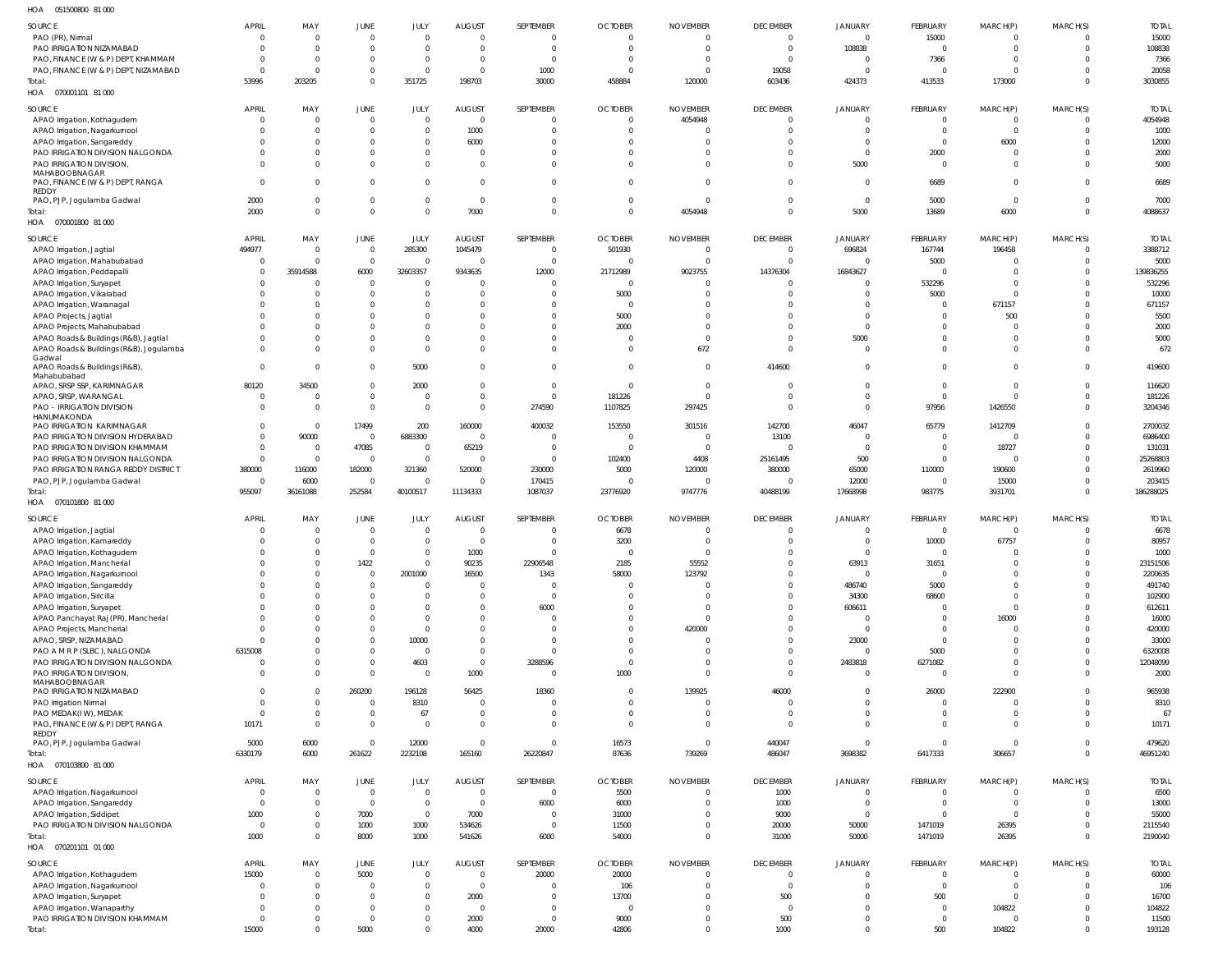| HOA<br>051500800 81 000                                 |                |                |                                  |                |                |                |                |                 |                 |                         |                |                            |                      |              |
|---------------------------------------------------------|----------------|----------------|----------------------------------|----------------|----------------|----------------|----------------|-----------------|-----------------|-------------------------|----------------|----------------------------|----------------------|--------------|
| SOURCE                                                  | <b>APRIL</b>   | MAY            | <b>JUNE</b>                      | JULY           | <b>AUGUST</b>  | SEPTEMBER      | <b>OCTOBER</b> | <b>NOVEMBER</b> | <b>DECEMBER</b> | <b>JANUARY</b>          | FEBRUARY       | MARCH(P)                   | MARCH(S)             | <b>TOTAL</b> |
| PAO (PR), Nirmal                                        | $\mathbf{0}$   | $\Omega$       | $\overline{0}$                   | $\overline{0}$ | $\overline{0}$ | $\overline{0}$ | $\mathbf{0}$   | $\Omega$        | $\mathbf 0$     | $\overline{0}$          | 15000          | $\overline{0}$             | $\overline{0}$       | 15000        |
| PAO IRRIGATION NIZAMABAD                                | $\overline{0}$ | $\Omega$       | $\overline{0}$                   | $\overline{0}$ | $\overline{0}$ | $\overline{0}$ | $\Omega$       | $\Omega$        | $\overline{0}$  | 108838                  | $\overline{0}$ | $\overline{0}$             | $\overline{0}$       | 108838       |
| PAO, FINANCE (W & P) DEPT, KHAMMAM                      | $\Omega$       | $\Omega$       | $\overline{0}$                   | $\overline{0}$ | $\overline{0}$ | $\overline{0}$ | $\Omega$       | $\Omega$        | $\overline{0}$  | $\overline{0}$          | 7366           | $\overline{0}$             | $\Omega$             | 7366         |
|                                                         |                | $\Omega$       |                                  | $\overline{0}$ |                |                | $\Omega$       | $\Omega$        |                 |                         | $\Omega$       |                            | $\Omega$             |              |
| PAO, FINANCE (W & P) DEPT, NIZAMABAD                    | $\Omega$       |                | $\overline{0}$<br>$\overline{0}$ |                | $\overline{0}$ | 1000           |                |                 | 19058           | $\overline{\mathbf{0}}$ |                | $\overline{0}$             | $\Omega$             | 20058        |
| Total:                                                  | 53996          | 203205         |                                  | 351725         | 198703         | 30000          | 458884         | 120000          | 603436          | 424373                  | 413533         | 173000                     |                      | 3030855      |
| HOA  070001101  81 000                                  |                |                |                                  |                |                |                |                |                 |                 |                         |                |                            |                      |              |
| SOURCE                                                  | <b>APRIL</b>   | MAY            | <b>JUNE</b>                      | JULY           | <b>AUGUST</b>  | SEPTEMBER      | <b>OCTOBER</b> | <b>NOVEMBER</b> | <b>DECEMBER</b> | <b>JANUARY</b>          | FEBRUARY       | MARCH(P)                   | MARCH(S)             | <b>TOTAL</b> |
| APAO Irrigation, Kothagudem                             | $\mathbf 0$    | $\Omega$       | $\overline{0}$                   | $\overline{0}$ | $\overline{0}$ | $\overline{0}$ | 0              | 4054948         | $\mathbf 0$     | $\overline{0}$          | $\overline{0}$ | $\overline{0}$             | $\mathbf{0}$         | 4054948      |
| APAO Irrigation, Nagarkurnool                           | $\mathbf 0$    | $\Omega$       | $\overline{0}$                   | $\overline{0}$ | 1000           | $\mathbf 0$    | $\Omega$       |                 | $\mathbf 0$     | $\overline{0}$          | $\overline{0}$ | $\overline{0}$             | $\overline{0}$       | 1000         |
| APAO Irrigation, Sangareddy                             | $\Omega$       | $\Omega$       | $\overline{0}$                   | $\overline{0}$ | 6000           | $\mathbf 0$    | $\Omega$       |                 | $\Omega$        | $\overline{0}$          | $\overline{0}$ | 6000                       | $\Omega$             | 12000        |
| PAO IRRIGATION DIVISION NALGONDA                        | $\Omega$       | $\Omega$       | $\overline{0}$                   | $\overline{0}$ | $\overline{0}$ | $\mathbf{0}$   | $\Omega$       |                 | $\Omega$        | $\overline{0}$          | 2000           | $\overline{0}$             | $\Omega$             | 2000         |
| PAO IRRIGATION DIVISION,                                | $\Omega$       | $\Omega$       | $\overline{0}$                   | $\overline{0}$ | $\overline{0}$ | $\mathbf{0}$   | $\Omega$       | $\Omega$        | $\Omega$        | 5000                    | $\overline{0}$ | $\mathbf 0$                | $\Omega$             | 5000         |
| <b>MAHABOOBNAGAR</b>                                    |                |                |                                  |                |                |                |                |                 |                 |                         |                |                            |                      |              |
| PAO, FINANCE (W & P) DEPT, RANGA                        | $\Omega$       | $\Omega$       | $\overline{0}$                   | $\overline{0}$ | $\overline{0}$ | $\mathbf{0}$   | $\Omega$       | $\Omega$        | $\Omega$        | $\overline{0}$          | 6689           | $\overline{0}$             | $\Omega$             | 6689         |
| REDDY                                                   |                |                |                                  |                |                |                |                |                 |                 |                         |                |                            |                      |              |
| PAO, PJP, Jogulamba Gadwal                              | 2000           | $\Omega$       | $\overline{0}$                   | $\overline{0}$ | $\overline{0}$ | $\mathbf 0$    | $\Omega$       | $\Omega$        | $\mathbf 0$     | $\overline{0}$          | 5000           | $\mathbf{0}$               | $\Omega$             | 7000         |
| Total:                                                  | 2000           | $\Omega$       | $\overline{0}$                   | $\overline{0}$ | 7000           | $\mathbf{0}$   | $\Omega$       | 4054948         | $\mathbf 0$     | 5000                    | 13689          | 6000                       | $\mathbf{0}$         | 4088637      |
| HOA  070001800  81 000                                  |                |                |                                  |                |                |                |                |                 |                 |                         |                |                            |                      |              |
| SOURCE                                                  | <b>APRIL</b>   | MAY            | <b>JUNE</b>                      | JULY           | <b>AUGUST</b>  | SEPTEMBER      | <b>OCTOBER</b> | <b>NOVEMBER</b> | <b>DECEMBER</b> | <b>JANUARY</b>          | FEBRUARY       | MARCH(P)                   | MARCH(S)             | <b>TOTAL</b> |
| APAO Irrigation, Jagtial                                | 494977         | $\Omega$       | $\overline{0}$                   | 285300         | 1045479        | $\overline{0}$ | 501930         | $\Omega$        | $\overline{0}$  | 696824                  | 167744         | 196458                     | $\overline{0}$       | 3388712      |
| APAO Irrigation, Mahabubabad                            | $^{\circ}$     | $\Omega$       | $\overline{0}$                   | $\overline{0}$ | 0              | $\overline{0}$ | $\Omega$       |                 | $\Omega$        | $\Omega$                | 5000           | 0                          | $\overline{0}$       | 5000         |
| APAO Irrigation, Peddapalli                             | $\mathbf 0$    | 35914588       | 6000                             | 32603357       | 9343635        | 12000          | 21712989       | 9023755         | 14376304        | 16843627                | $\Omega$       | - 0                        | $\mathbf 0$          | 139836255    |
|                                                         | $\Omega$       | $\Omega$       | $\overline{0}$                   | $\overline{0}$ | - 0            | $\overline{0}$ | $\Omega$       |                 | $\Omega$        | $\Omega$                | 532296         | $\overline{0}$             | $\Omega$             | 532296       |
| APAO Irrigation, Suryapet<br>APAO Irrigation, Vikarabad | $\Omega$       | $\Omega$       | $\overline{0}$                   | $\overline{0}$ | $\overline{0}$ | $\mathbf{0}$   | 5000           |                 | $\Omega$        | $\overline{0}$          | 5000           | $\overline{0}$             | $\Omega$             | 10000        |
| APAO Irrigation, Waranagal                              | $\Omega$       | $\Omega$       | $\overline{0}$                   | $\overline{0}$ | $\Omega$       | $\mathbf 0$    | $\Omega$       | $\cap$          | $\Omega$        | $\Omega$                | $\Omega$       | 671157                     | $\Omega$             | 671157       |
|                                                         |                |                |                                  |                |                |                |                |                 |                 |                         |                |                            |                      |              |
| APAO Projects, Jagtial                                  | $\Omega$       | $\Omega$       | $\overline{0}$                   | $\mathbf{0}$   | $\Omega$       | $\mathbf 0$    | 5000           |                 | $\Omega$        | $\Omega$                | $\Omega$       | 500                        | $\Omega$             | 5500         |
| APAO Projects, Mahabubabad                              | $\Omega$       | $\Omega$       | $\overline{0}$                   | $\mathbf 0$    | $\Omega$       | $\mathbf 0$    | 2000           | $\Omega$        | $\Omega$        | $\Omega$                | $\Omega$       | $\overline{0}$             | $\Omega$             | 2000         |
| APAO Roads & Buildings (R&B), Jagtial                   | $\Omega$       | $\Omega$       | $\overline{0}$                   | $\overline{0}$ | $\mathbf{0}$   | $\mathbf 0$    | $\Omega$       | $\Omega$        | $\Omega$        | 5000                    | $\overline{0}$ | $\mathbf 0$                | $\Omega$             | 5000         |
| APAO Roads & Buildings (R&B), Jogulamba                 | $\Omega$       | $\Omega$       | $\overline{0}$                   | $\overline{0}$ | $\Omega$       | $\mathbf{0}$   | $\Omega$       | 672             | $\Omega$        | $\overline{0}$          | $\Omega$       | $\overline{0}$             | $\Omega$             | 672          |
| Gadwal<br>APAO Roads & Buildings (R&B),                 | $\mathbf 0$    | $\Omega$       | $\overline{\mathbf{0}}$          | 5000           | $\mathbf{0}$   | $\mathbf{0}$   | $\Omega$       | $\overline{0}$  | 414600          | $\Omega$                | $\overline{0}$ | $\overline{0}$             | $\Omega$             | 419600       |
| Mahabubabad                                             |                |                |                                  |                |                |                |                |                 |                 |                         |                |                            |                      |              |
| APAO, SRSP SSP, KARIMNAGAR                              | 80120          | 34500          | $\overline{0}$                   | 2000           | $\overline{0}$ | $\mathbf{0}$   | $\Omega$       | $\Omega$        | $\Omega$        | $\Omega$                | $\overline{0}$ | $\overline{0}$             | $\Omega$             | 116620       |
| APAO, SRSP, WARANGAL                                    | $\overline{0}$ | $\Omega$       | $\overline{0}$                   | $\overline{0}$ | $\overline{0}$ | $\mathbf{0}$   | 181226         | $\Omega$        | $\mathbf 0$     | $\overline{0}$          | $\overline{0}$ | $\overline{0}$             | $\Omega$             | 181226       |
| PAO - IRRIGATION DIVISION                               | $\mathbf 0$    | $\Omega$       | $\overline{0}$                   | $\overline{0}$ | $\Omega$       | 274590         | 1107825        | 297425          | $\Omega$        | $\Omega$                | 97956          | 1426550                    | $\Omega$             | 3204346      |
| HANUMAKONDA                                             |                |                |                                  |                |                |                |                |                 |                 |                         |                |                            |                      |              |
| PAO IRRIGATION KARIMNAGAR                               | $\Omega$       | $\Omega$       | 17499                            | 200            | 160000         | 400032         | 153550         | 301516          | 142700          | 46047                   | 65779          | 1412709                    | $\Omega$             | 2700032      |
| PAO IRRIGATION DIVISION HYDERABAD                       | $\mathbf 0$    | 90000          | $\overline{\mathbf{0}}$          | 6883300        | $\overline{0}$ | $\Omega$       | $\Omega$       |                 | 13100           | $\overline{0}$          | $\overline{0}$ | 0                          | $\Omega$             | 6986400      |
| PAO IRRIGATION DIVISION KHAMMAM                         | $\mathbf 0$    | $\Omega$       | 47085                            | $\overline{0}$ | 65219          | $\overline{0}$ | $\Omega$       | $\Omega$        | $\Omega$        | $\overline{0}$          | $\overline{0}$ | 18727                      | $\Omega$             | 131031       |
| PAO IRRIGATION DIVISION NALGONDA                        | $\mathbf 0$    | $\overline{0}$ | $\overline{0}$                   | $\overline{0}$ | $\overline{0}$ | $\Omega$       | 102400         | 4408            | 25161495        | 500                     | $\Omega$       | $\overline{0}$             | $\Omega$             | 25268803     |
| PAO IRRIGATION RANGA REDDY DISTRICT                     | 380000         | 116000         | 182000                           | 321360         | 520000         | 230000         | 5000           | 120000          | 380000          | 65000                   | 110000         | 190600                     | $\Omega$             | 2619960      |
|                                                         |                |                |                                  |                |                |                |                |                 |                 |                         |                |                            |                      |              |
|                                                         | $\overline{0}$ | 6000           | $\overline{0}$                   | $\Omega$       | 0              | 170415         | $\Omega$       |                 | $\Omega$        | 12000                   | $\Omega$       | 15000                      | $\Omega$             | 203415       |
| PAO, PJP, Jogulamba Gadwal                              |                |                |                                  |                |                |                |                |                 |                 |                         |                |                            | $\mathbf 0$          |              |
| Total:                                                  | 955097         | 36161088       | 252584                           | 40100517       | 11134333       | 1087037        | 23776920       | 9747776         | 40488199        | 17668998                | 983775         | 3931701                    |                      | 186288025    |
| HOA  070101800  81 000                                  |                |                |                                  |                |                |                |                |                 |                 |                         |                |                            |                      |              |
| SOURCE                                                  | <b>APRIL</b>   | MAY            | <b>JUNE</b>                      | JULY           | <b>AUGUST</b>  | SEPTEMBER      | <b>OCTOBER</b> | <b>NOVEMBER</b> | <b>DECEMBER</b> | <b>JANUARY</b>          | FEBRUARY       | MARCH(P)                   | MARCH(S)             | <b>TOTAL</b> |
| APAO Irrigation, Jagtial                                | $\mathbf 0$    | $\Omega$       | $\overline{0}$                   | $\overline{0}$ | 0              | $\Omega$       | 6678           |                 | $\Omega$        |                         | $\overline{0}$ | $\overline{0}$             | 0                    | 6678         |
| APAO Irrigation, Kamareddy                              | $\mathbf{0}$   | $\Omega$       | $\overline{0}$                   | $\overline{0}$ | $\overline{0}$ | $\mathbf{0}$   | 3200           |                 | $\mathbf 0$     | $\Omega$                | 10000          | 67757                      | $\Omega$             | 80957        |
| APAO Irrigation, Kothagudem                             | $\Omega$       | $\cap$         | $\Omega$                         | $\Omega$       | 1000           | $\Omega$       | $\Omega$       |                 | $\Omega$        | $\Omega$                | $\Omega$       | $\Omega$                   | $\Omega$             | 1000         |
| APAO Irrigation, Mancherial                             | $\mathbf 0$    | $\Omega$       | 1422                             | $\overline{0}$ | 90235          | 22906548       | 2185           | 55552           | $\mathbf 0$     | 63913                   | 31651          | $\mathbf{0}$               | $\Omega$             | 23151506     |
| APAO Irrigation, Nagarkurnool                           | $\mathbf 0$    | $\Omega$       | $\overline{0}$                   | 2001000        | 16500          | 1343           | 58000          | 123792          | $\mathbf 0$     | $\overline{0}$          | $\overline{0}$ | $\mathbf{0}$               | $\Omega$             | 2200635      |
| APAO Irrigation, Sangareddy                             | $\Omega$       | $\Omega$       | $\overline{0}$                   | $\overline{0}$ | $\overline{0}$ | $\overline{0}$ | $\Omega$       |                 | $\mathbf 0$     | 486740                  | 5000           | $\overline{0}$             | $\Omega$             | 491740       |
| APAO Irrigation, Siricilla                              | $\Omega$       | $\Omega$       | $\overline{0}$                   | $\overline{0}$ | $\overline{0}$ | $\overline{0}$ | 0              |                 | $\Omega$        | 34300                   | 68600          | $\overline{0}$             | $\Omega$             | 102900       |
| APAO Irrigation, Suryapet                               | $\Omega$       | $\cap$         | $\overline{0}$                   | $\overline{0}$ | $\overline{0}$ | 6000           | <sup>0</sup>   | - 0             | $\mathbf 0$     | 606611                  | $\overline{0}$ | $\overline{0}$             | $\Omega$             | 612611       |
| APAO Panchayat Raj (PR), Mancherial                     | $\Omega$       | $\Omega$       | $\overline{0}$                   | $\overline{0}$ | $\overline{0}$ | $\overline{0}$ | <sup>0</sup>   | $\Omega$        | $\Omega$        | $\overline{0}$          | $\Omega$       | 16000                      | $\Omega$             | 16000        |
| APAO Projects, Mancherial                               | $\Omega$       | $\Omega$       | $\overline{0}$                   | $\overline{0}$ | $\overline{0}$ | $\mathbf{0}$   | <sup>0</sup>   | 420000          | $\Omega$        | $\overline{0}$          | $\Omega$       | $\overline{0}$             | $\Omega$             | 420000       |
| APAO, SRSP, NIZAMABAD                                   | $\Omega$       | $\Omega$       | $\overline{0}$                   | 10000          | $\mathbf{0}$   | $\mathbf{0}$   | <sup>0</sup>   |                 | $\Omega$        | 23000                   | $\overline{0}$ | $\mathbf{0}$               | $\Omega$             | 33000        |
| PAO A M R P (SLBC), NALGONDA                            | 6315008        | $\Omega$       | $\overline{0}$                   | $\overline{0}$ | $\overline{0}$ | $\overline{0}$ | $\Omega$       |                 | $\mathbf 0$     | $\overline{0}$          | 5000           | $\overline{0}$             | $\Omega$             | 6320008      |
| PAO IRRIGATION DIVISION NALGONDA                        | $\overline{0}$ | $\Omega$       | $\overline{0}$                   | 4603           | $\overline{0}$ | 3288596        | $\Omega$       |                 | $\mathbf 0$     | 2483818                 | 6271082        | $\overline{0}$             | $\Omega$             | 12048099     |
| PAO IRRIGATION DIVISION,                                | $\mathbf 0$    | $\Omega$       | $\overline{0}$                   | $\overline{0}$ | 1000           | $\overline{0}$ | 1000           | $\Omega$        | $\overline{0}$  | $\overline{0}$          | $\overline{0}$ | $\overline{0}$             | $\Omega$             | 2000         |
| MAHABOOBNAGAR                                           |                |                |                                  |                |                |                |                |                 |                 |                         |                |                            |                      |              |
| PAO IRRIGATION NIZAMABAD                                | $\mathbf 0$    | $\Omega$       | 260200                           | 196128         | 56425          | 18360          | $\Omega$       | 139925          | 46000           | $\overline{0}$          | 26000          | 222900                     | $\Omega$             | 965938       |
| PAO Irrigation Nirmal                                   | $\mathbf 0$    | $\Omega$       | $\overline{0}$                   | 8310           | $\overline{0}$ | $\overline{0}$ | $\Omega$       | $\cap$          | $\overline{0}$  | $\overline{0}$          | $\overline{0}$ | $\overline{0}$             | $\Omega$             | 8310         |
| PAO MEDAK(IW), MEDAK                                    | $\mathbf 0$    | $\Omega$       | $\overline{0}$                   | 67             | $\overline{0}$ | $\mathbf{0}$   | $\Omega$       |                 | $\overline{0}$  | $\overline{0}$          | $\overline{0}$ | $\overline{0}$             | $\Omega$             | 67           |
| PAO, FINANCE (W & P) DEPT, RANGA                        | 10171          | $\Omega$       | $\overline{0}$                   | $\overline{0}$ | $\overline{0}$ | $\overline{0}$ | $\Omega$       | $\Omega$        | $\overline{0}$  | $\overline{0}$          | $\overline{0}$ | $\mathbf 0$                | $\mathbf 0$          | 10171        |
| REDDY                                                   |                |                |                                  |                |                |                |                |                 |                 |                         |                |                            |                      |              |
| PAO, PJP, Jogulamba Gadwal                              | 5000           | 6000           | $\overline{0}$                   | 12000          | $\overline{0}$ | $\overline{0}$ | 16573          | $\Omega$        | 440047          | $\overline{0}$          | $\overline{0}$ | $\mathbf{0}$               | $\Omega$             | 479620       |
| Total:                                                  | 6330179        | 6000           | 261622                           | 2232108        | 165160         | 26220847       | 87636          | 739269          | 486047          | 3698382                 | 6417333        | 306657                     | $\mathbf 0$          | 46951240     |
| HOA  070103800  81 000                                  |                |                |                                  |                |                |                |                |                 |                 |                         |                |                            |                      |              |
| SOURCE                                                  | <b>APRIL</b>   | MAY            | <b>JUNE</b>                      | JULY           | <b>AUGUST</b>  | SEPTEMBER      | <b>OCTOBER</b> | <b>NOVEMBER</b> | <b>DECEMBER</b> | <b>JANUARY</b>          | FEBRUARY       |                            |                      | <b>TOTAL</b> |
|                                                         | $\overline{0}$ | $\Omega$       |                                  | $\overline{0}$ | $\overline{0}$ |                |                | $\Omega$        |                 | $\overline{0}$          | $\overline{0}$ | MARCH(P)<br>$\overline{0}$ | MARCH(S)<br>$\Omega$ |              |
| APAO Irrigation, Nagarkurnool                           | $\overline{0}$ | $\Omega$       | $\overline{0}$<br>$\overline{0}$ | $\overline{0}$ | $\overline{0}$ | $\overline{0}$ | 5500           | $\Omega$        | 1000            | $\overline{0}$          | $\overline{0}$ | $\overline{0}$             | $\Omega$             | 6500         |
| APAO Irrigation, Sangareddy                             |                | $\Omega$       |                                  |                |                | 6000           | 6000           | $\Omega$        | 1000            | $\overline{\mathbf{0}}$ | $\overline{0}$ | $\overline{0}$             | $\Omega$             | 13000        |
| APAO Irrigation, Siddipet                               | 1000           | $\Omega$       | 7000                             | $\overline{0}$ | 7000           | $\overline{0}$ | 31000          | $\Omega$        | 9000            |                         |                |                            | $\Omega$             | 55000        |
| PAO IRRIGATION DIVISION NALGONDA                        | $\overline{0}$ |                | 1000                             | 1000           | 534626         | $\overline{0}$ | 11500          |                 | 20000           | 50000                   | 1471019        | 26395                      |                      | 2115540      |
| Total:                                                  | 1000           | $\Omega$       | 8000                             | 1000           | 541626         | 6000           | 54000          | $\Omega$        | 31000           | 50000                   | 1471019        | 26395                      | $\Omega$             | 2190040      |
| HOA  070201101  01  000                                 |                |                |                                  |                |                |                |                |                 |                 |                         |                |                            |                      |              |
| SOURCE                                                  | <b>APRIL</b>   | MAY            | <b>JUNE</b>                      | JULY           | <b>AUGUST</b>  | SEPTEMBER      | <b>OCTOBER</b> | <b>NOVEMBER</b> | <b>DECEMBER</b> | <b>JANUARY</b>          | FEBRUARY       | MARCH(P)                   | MARCH(S)             | <b>TOTAL</b> |
| APAO Irrigation, Kothagudem                             | 15000          | $\Omega$       | 5000                             | $\overline{0}$ | $\overline{0}$ | 20000          | 20000          |                 | $\overline{0}$  | $\Omega$                | $\overline{0}$ | $\overline{0}$             | $\mathbf{0}$         | 60000        |
| APAO Irrigation, Nagarkurnool                           | $\overline{0}$ | $\Omega$       | $\overline{0}$                   | $\overline{0}$ | $\overline{0}$ | $\overline{0}$ | 106            |                 | $\overline{0}$  | $\Omega$                | $\overline{0}$ | $\overline{0}$             | $\Omega$             | 106          |
| APAO Irrigation, Suryapet                               | $\mathbf 0$    | $\Omega$       | $\overline{0}$                   | $\overline{0}$ | 2000           | $\mathbf 0$    | 13700          |                 | 500             | $\Omega$                | 500            | $\overline{0}$             | $\Omega$             | 16700        |
| APAO Irrigation, Wanaparthy                             | $\Omega$       | $\Omega$       | $\overline{0}$                   | $\overline{0}$ | $\overline{0}$ | $\mathbf{0}$   | $\Omega$       |                 | $\overline{0}$  | $\Omega$                | $\overline{0}$ | 104822                     | $\Omega$             | 104822       |
| PAO IRRIGATION DIVISION KHAMMAM                         | $\overline{0}$ | $\Omega$       | $\overline{0}$                   | $\overline{0}$ | 2000           | $\mathbf{0}$   | 9000           |                 | 500             | $\Omega$                | $\overline{0}$ | $\overline{0}$             | $\Omega$             | 11500        |
| Total:                                                  | 15000          | $\Omega$       | 5000                             | $\overline{0}$ | 4000           | 20000          | 42806          | $\Omega$        | 1000            | $\Omega$                | 500            | 104822                     | $\Omega$             | 193128       |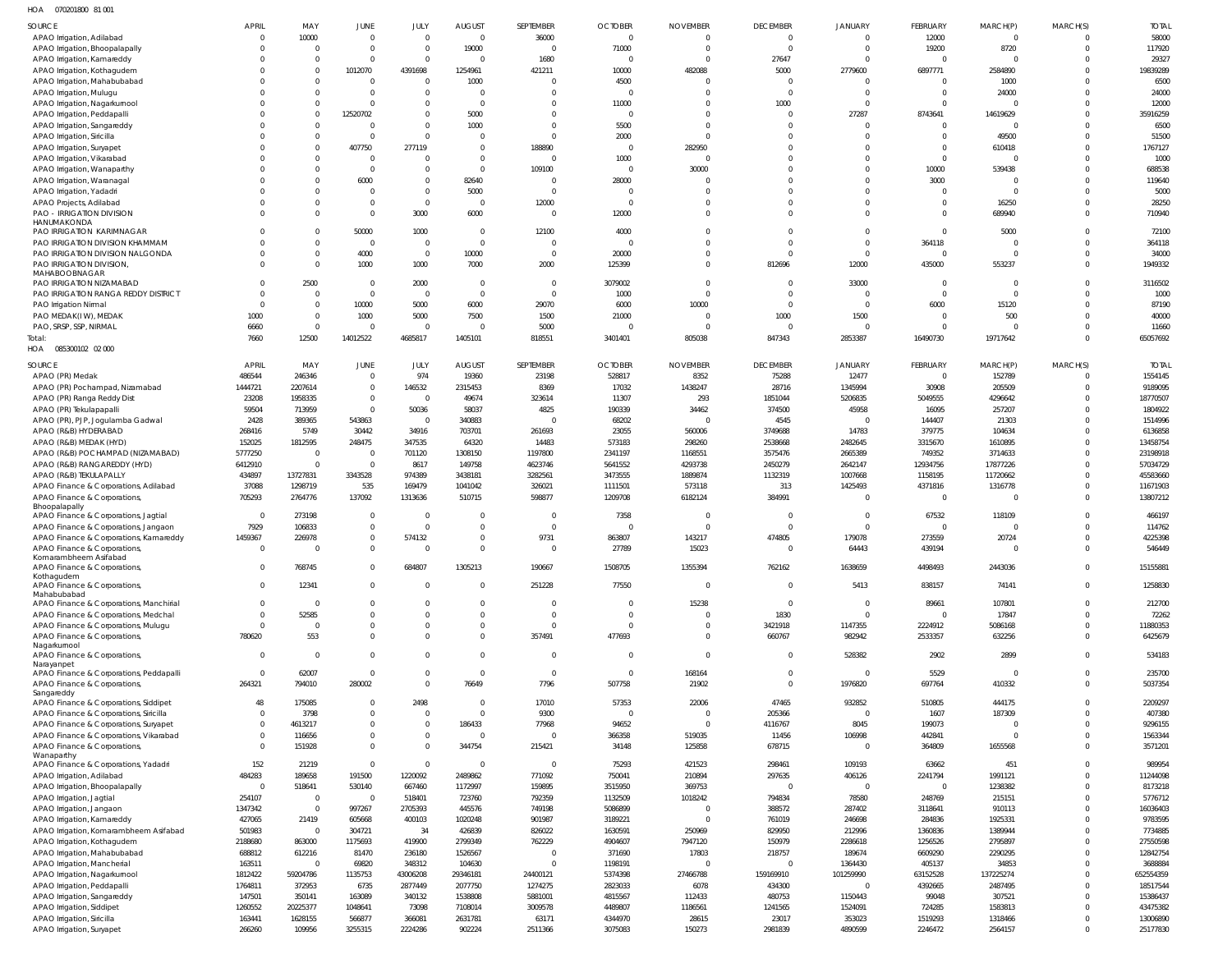070201800 81 001 HOA

|                                            | <b>APRIL</b> | MAY            |                         |                     |                                 | SEPTEMBER      |                               |                                   | <b>DECEMBER</b>            | <b>JANUARY</b> | <b>FEBRUARY</b> |                            |             |                       |
|--------------------------------------------|--------------|----------------|-------------------------|---------------------|---------------------------------|----------------|-------------------------------|-----------------------------------|----------------------------|----------------|-----------------|----------------------------|-------------|-----------------------|
| SOURCE<br>APAO Irrigation, Adilabad        | - 0          | 10000          | JUNE<br>$\overline{0}$  | JULY<br>$\mathbf 0$ | <b>AUGUST</b><br>$\overline{0}$ | 36000          | <b>OCTOBER</b><br>$\mathbf 0$ | <b>NOVEMBER</b><br>$\overline{0}$ | $\Omega$                   | $\overline{0}$ | 12000           | MARCH(P)<br>$\overline{0}$ | MARCH(S)    | <b>TOTAL</b><br>58000 |
| APAO Irrigation, Bhoopalapally             |              | $\overline{0}$ | $\mathbf 0$             | $\mathbf 0$         | 19000                           | $\overline{0}$ | 71000                         | $\overline{0}$                    | $\Omega$                   | $\overline{0}$ | 19200           | 8720                       | $\Omega$    | 117920                |
| APAO Irrigation, Kamareddy                 |              | $\overline{0}$ | $\mathbf 0$             | $\mathbf 0$         | $\Omega$                        | 1680           | $\overline{0}$                | $\overline{0}$                    | 27647                      | $\Omega$       | $\Omega$        | $\circ$                    | U           | 29327                 |
| APAO Irrigation, Kothagudem                |              | $\overline{0}$ | 1012070                 | 4391698             | 1254961                         | 421211         | 10000                         | 482088                            | 5000                       | 2779600        | 6897771         | 2584890                    | $\Omega$    | 19839289              |
| APAO Irrigation, Mahabubabad               |              | $\overline{0}$ | $\overline{\mathbf{0}}$ | $\mathbf 0$         | 1000                            | $\overline{0}$ | 4500                          | $\overline{0}$                    | $\Omega$                   | $\Omega$       | $\Omega$        | 1000                       |             | 6500                  |
| APAO Irrigation, Mulugu                    |              | $\Omega$       | $\mathbf 0$             | $\mathbf 0$         | $\Omega$                        | $\Omega$       | $\overline{0}$                | $\Omega$                          | $\Omega$                   | $\Omega$       | $\Omega$        | 24000                      |             | 24000                 |
| APAO Irrigation, Nagarkurnool              |              | $\overline{0}$ | $\mathbf 0$             | $\mathbf 0$         | $\Omega$                        | 0              | 11000                         | 0                                 | 1000                       | $\overline{0}$ | $\Omega$        | $\Omega$                   |             | 12000                 |
| APAO Irrigation, Peddapalli                |              | $\Omega$       | 12520702                | $\mathbf{0}$        | 5000                            | $\Omega$       | $\overline{0}$                | $\Omega$                          | $\Omega$                   | 27287          | 8743641         | 14619629                   |             | 35916259              |
| APAO Irrigation, Sangareddy                |              | $\Omega$       | 0                       | $\mathbf{0}$        | 1000                            | $\overline{0}$ | 5500                          | $\overline{0}$                    | $\Omega$                   | $\overline{0}$ | $\Omega$        | $\circ$                    |             | 6500                  |
| APAO Irrigation, Siricilla                 |              | $\Omega$       | $\mathbf 0$             | $\mathbf 0$         | $\Omega$                        | $\Omega$       | 2000                          | $\overline{0}$                    | $\Omega$                   | $\Omega$       | $\Omega$        | 49500                      |             | 51500                 |
| APAO Irrigation, Suryapet                  |              | $\Omega$       | 407750                  | 277119              | $\overline{0}$                  | 188890         | $\overline{0}$                | 282950                            | $\Omega$                   | $\Omega$       | $\Omega$        | 610418                     |             | 1767127               |
| APAO Irrigation, Vikarabad                 |              | $\Omega$       | $\overline{0}$          | $\mathbf 0$         | $\Omega$                        | $\overline{0}$ | 1000                          | $\overline{0}$                    | $\Omega$                   | $\Omega$       | $\overline{0}$  | $\circ$                    |             | 1000                  |
| APAO Irrigation, Wanaparthy                |              | $\Omega$       | $\overline{0}$          | $\mathbf{0}$        | $\Omega$                        | 109100         | $\overline{0}$                | 30000                             | $\Omega$                   | $\Omega$       | 10000           | 539438                     |             | 688538                |
| APAO Irrigation, Waranagal                 |              | $\Omega$       | 6000                    | $\mathbf{0}$        | 82640                           | $\overline{0}$ | 28000                         | $\overline{0}$                    | $\Omega$                   | $\Omega$       | 3000            | $\overline{0}$             |             | 119640                |
| APAO Irrigation, Yadadri                   |              | $\Omega$       | $\overline{0}$          | $\mathbf 0$         | 5000                            | $\Omega$       | $\Omega$                      | $\Omega$                          | $\Omega$                   | $\Omega$       | $\Omega$        | - 0                        |             | 5000                  |
| APAO Projects, Adilabad                    |              | $\Omega$       | $\mathbf 0$             | $\mathbf 0$         | $\Omega$                        | 12000          | $\overline{0}$                | $\Omega$                          | $\Omega$                   | $\Omega$       | $\Omega$        | 16250                      |             | 28250                 |
| PAO - IRRIGATION DIVISION                  |              | $\Omega$       | $\mathbf 0$             | 3000                | 6000                            | $\overline{0}$ | 12000                         | $\Omega$                          | $\Omega$                   | $\Omega$       | $\Omega$        | 689940                     | $\Omega$    | 710940                |
| HANUMAKONDA                                |              |                |                         |                     |                                 |                |                               |                                   |                            |                |                 |                            |             |                       |
| PAO IRRIGATION KARIMNAGAR                  |              | $\Omega$       | 50000                   | 1000                | $\overline{0}$                  | 12100          | 4000                          | $\Omega$                          | $\Omega$                   | $\Omega$       | $\Omega$        | 5000                       | U           | 72100                 |
| PAO IRRIGATION DIVISION KHAMMAM            |              | $\Omega$       | $\overline{\mathbf{0}}$ | $\overline{0}$      | $\Omega$                        | $\overline{0}$ | $\overline{0}$                | $\Omega$                          | $\Omega$                   | $\overline{0}$ | 364118          | - 0                        | U           | 364118                |
| PAO IRRIGATION DIVISION NALGONDA           |              | $\Omega$       | 4000                    | $\mathbf 0$         | 10000                           | $\overline{0}$ | 20000                         | $\mathbf{0}$                      | $\Omega$                   | $\overline{0}$ | $\Omega$        | - 0                        | $\Omega$    | 34000                 |
| PAO IRRIGATION DIVISION,                   |              | $\Omega$       | 1000                    | 1000                | 7000                            | 2000           | 125399                        | $\mathbf 0$                       | 812696                     | 12000          | 435000          | 553237                     | $\Omega$    | 1949332               |
| MAHABOOBNAGAR                              |              |                |                         |                     |                                 |                |                               |                                   |                            |                |                 |                            |             |                       |
| PAO IRRIGATION NIZAMABAD                   |              | 2500           | $\overline{0}$          | 2000                | $\overline{0}$                  | $\overline{0}$ | 3079002                       | $\overline{0}$                    | $\Omega$                   | 33000          | $\Omega$        | $\circ$                    | $\Omega$    | 3116502               |
| PAO IRRIGATION RANGA REDDY DISTRICT        |              | $\Omega$       | $\mathbf 0$             | $\overline{0}$      | $\Omega$                        | $\overline{0}$ | 1000                          | $\Omega$                          | $\Omega$                   | $\overline{0}$ | $\Omega$        | $\circ$                    |             | 1000                  |
| PAO Irrigation Nirmal                      | $\Omega$     | $\overline{0}$ | 10000                   | 5000                | 6000                            | 29070          | 6000                          | 10000                             | $\Omega$                   | $\overline{0}$ | 6000            | 15120                      | U           | 87190                 |
| PAO MEDAK(IW), MEDAK                       | 1000         | $\overline{0}$ | 1000                    | 5000                | 7500                            | 1500           | 21000                         | $\overline{0}$                    | 1000                       | 1500           | $\overline{0}$  | 500                        |             | 40000                 |
| PAO, SRSP, SSP, NIRMAL                     | 6660         | $\overline{0}$ | $\overline{0}$          | $\circ$             | $\Omega$                        | 5000           | $\overline{0}$                | $\overline{0}$                    | $\Omega$                   | $\overline{0}$ | $\overline{0}$  | $\circ$                    |             | 11660                 |
| Total:                                     | 7660         | 12500          | 14012522                | 4685817             | 1405101                         | 818551         | 3401401                       | 805038                            | 847343                     | 2853387        | 16490730        | 19717642                   | $\Omega$    | 65057692              |
| HOA  085300102  02  000                    |              |                |                         |                     |                                 |                |                               |                                   |                            |                |                 |                            |             |                       |
| SOURCE                                     | APRIL        | MAY            | JUNE                    | <b>JULY</b>         | <b>AUGUST</b>                   | SEPTEMBER      | <b>OCTOBER</b>                | <b>NOVEMBER</b>                   | <b>DECEMBER</b>            | <b>JANUARY</b> | <b>FEBRUARY</b> | MARCH(P)                   | MARCH(S)    | <b>TOTAL</b>          |
| APAO (PR) Medak                            | 486544       | 246346         | $\overline{0}$          | 974                 | 19360                           | 23198          | 528817                        | 8352                              | 75288                      | 12477          | $\Omega$        | 152789                     | $\Omega$    | 1554145               |
| APAO (PR) Pochampad, Nizamabad             | 1444721      | 2207614        | $\overline{0}$          | 146532              | 2315453                         | 8369           | 17032                         | 1438247                           | 28716                      | 1345994        | 30908           | 205509                     |             | 9189095               |
| APAO (PR) Ranga Reddy Dist                 | 23208        | 1958335        | $\overline{0}$          | $\circ$             | 49674                           | 323614         | 11307                         | 293                               | 1851044                    | 5206835        | 5049555         | 4296642                    |             | 18770507              |
| APAO (PR) Tekulapapalli                    | 59504        | 713959         | $\mathbf 0$             | 50036               | 58037                           | 4825           | 190339                        | 34462                             | 374500                     | 45958          | 16095           | 257207                     |             | 1804922               |
| APAO (PR), PJP, Jogulamba Gadwal           | 2428         | 389365         | 543863                  | $\circ$             | 340883                          | $\Omega$       | 68202                         | $\Omega$                          | 4545                       | $\Omega$       | 144407          | 21303                      |             | 1514996               |
| APAO (R&B) HYDERABAD                       | 268416       | 5749           | 30442                   | 34916               | 703701                          | 261693         | 23055                         | 560006                            | 3749688                    | 14783          | 379775          | 104634                     |             | 6136858               |
| APAO (R&B) MEDAK (HYD)                     | 152025       | 1812595        | 248475                  | 347535              | 64320                           | 14483          | 573183                        | 298260                            | 2538668                    | 2482645        | 3315670         | 1610895                    |             | 13458754              |
| APAO (R&B) POCHAMPAD (NIZAMABAD)           | 5777250      | $\Omega$       | 0                       | 701120              | 1308150                         | 1197800        | 2341197                       | 1168551                           | 3575476                    | 2665389        | 749352          | 3714633                    |             | 23198918              |
| APAO (R&B) RANGAREDDY (HYD)                | 6412910      | $\Omega$       | $\overline{0}$          | 8617                | 149758                          | 4623746        | 5641552                       | 4293738                           | 2450279                    | 2642147        | 12934756        | 17877226                   |             | 57034729              |
| APAO (R&B) TEKULAPALLY                     | 434897       | 13727831       | 3343528                 | 974389              | 3438181                         | 3282561        | 3473555                       | 1889874                           | 1132319                    | 1007668        | 1158195         | 11720662                   |             | 45583660              |
| APAO Finance & Corporations, Adilabad      | 37088        | 1298719        | 535                     | 169479              | 1041042                         | 326021         | 1111501                       | 573118                            | 313                        | 1425493        | 4371816         | 1316778                    |             | 11671903              |
| APAO Finance & Corporations                | 705293       | 2764776        | 137092                  | 1313636             | 510715                          | 598877         | 1209708                       | 6182124                           | 384991                     | $\Omega$       | $\Omega$        | $\Omega$                   | $\Omega$    | 13807212              |
| Bhoopalapally                              |              |                |                         |                     |                                 |                |                               |                                   |                            |                |                 |                            |             |                       |
| APAO Finance & Corporations, Jagtial       | - 0          | 273198         | $\overline{0}$          | $^{\circ}$          | $\Omega$                        | $\Omega$       | 7358                          | $\Omega$                          | $\Omega$                   | $\overline{0}$ | 67532           | 118109                     |             | 466197                |
| APAO Finance & Corporations, Jangaon       | 7929         | 106833         | $\mathbf 0$             | $\mathbf 0$         | $\Omega$                        | $\Omega$       | $\Omega$                      | $\Omega$                          | $\Omega$                   | $\Omega$       | $\Omega$        | $\Omega$                   |             | 114762                |
| APAO Finance & Corporations, Kamareddy     | 1459367      | 226978         | $\mathbf 0$             | 574132              | $\Omega$                        | 9731           | 863807                        | 143217                            | 474805                     | 179078         | 273559          | 20724                      |             | 4225398               |
| APAO Finance & Corporations                | $\Omega$     | $\Omega$       | $\Omega$                | $\Omega$            | $\Omega$                        | $\Omega$       | 27789                         | 15023                             | $\Omega$                   | 64443          | 439194          | $\Omega$                   | $\Omega$    | 546449                |
| Komarambheem Asifabad                      |              |                |                         |                     |                                 |                |                               |                                   |                            |                |                 |                            |             |                       |
| APAO Finance & Corporations                |              | 768745         | $\mathbf 0$             | 684807              | 1305213                         | 190667         | 1508705                       | 1355394                           | 762162                     | 1638659        | 4498493         | 2443036                    | $\Omega$    | 15155881              |
| Kothagudem<br>APAO Finance & Corporations, | $\Omega$     |                | $\mathbf 0$             | $\mathbf 0$         | $\Omega$                        |                |                               |                                   | $\overline{0}$             |                |                 |                            | $\mathbf 0$ |                       |
| Mahabubabad                                |              | 12341          |                         |                     |                                 | 251228         | 77550                         | 0                                 |                            | 5413           | 838157          | 74141                      |             | 1258830               |
| APAO Finance & Corporations, Manchirial    | $\Omega$     | $\Omega$       | $\mathbf 0$             | $\Omega$            | $\Omega$                        | 0              | $\Omega$                      | 15238                             | $\overline{0}$             | $\overline{0}$ | 89661           | 107801                     | $\Omega$    | 212700                |
| APAO Finance & Corporations, Medchal       |              | 52585          | $\mathbf 0$             | $\Omega$            | $\Omega$                        | $\Omega$       | $\Omega$                      | $\mathbf{0}$                      | 1830                       | $\overline{0}$ | $\overline{0}$  | 17847                      | $\Omega$    | 72262                 |
| APAO Finance & Corporations, Mulugu        |              | $\Omega$       | $\mathbf 0$             | $\mathbf{0}$        | $\Omega$                        | $\Omega$       | 0                             | $\mathbf{0}$                      | 3421918                    | 1147355        | 2224912         | 5086168                    | $\Omega$    | 11880353              |
| APAO Finance & Corporations,               | 780620       | 553            | $\mathbf 0$             | $\mathbf 0$         | $\overline{0}$                  | 357491         | 477693                        | $\mathbf 0$                       | 660767                     | 982942         | 2533357         | 632256                     | $\Omega$    | 6425679               |
| Nagarkurnool                               |              |                |                         |                     |                                 |                |                               |                                   |                            |                |                 |                            |             |                       |
| APAO Finance & Corporations,               | $\Omega$     | $\Omega$       | $\mathbf 0$             | $\mathbf{0}$        | $\Omega$                        | $\Omega$       | $\overline{0}$                | $\mathbf{0}$                      | $\Omega$                   | 528382         | 2902            | 2899                       | $\Omega$    | 534183                |
| Narayanpet                                 | $\Omega$     |                | $\mathbf 0$             | $\mathbf 0$         | $\overline{0}$                  | $\overline{0}$ |                               |                                   |                            |                |                 |                            | $\Omega$    |                       |
| APAO Finance & Corporations, Peddapalli    |              | 62007          |                         |                     |                                 |                | $\overline{0}$                | 168164                            | $\overline{0}$<br>$\Omega$ | $\overline{0}$ | 5529            | $\circ$                    | $\Omega$    | 235700                |
| APAO Finance & Corporations,<br>Sangareddy | 264321       | 794010         | 280002                  | $\mathbf 0$         | 76649                           | 7796           | 507758                        | 21902                             |                            | 1976820        | 697764          | 410332                     |             | 5037354               |
| APAO Finance & Corporations, Siddipet      | 48           | 175085         | $\Omega$                | 2498                | $\Omega$                        | 17010          | 57353                         | 22006                             | 47465                      | 932852         | 510805          | 444175                     |             | 2209297               |
| APAO Finance & Corporations, Siricilla     | $\Omega$     | 3798           | $\mathbf 0$             | $\Omega$            | $\Omega$                        | 9300           | $\Omega$                      | $\Omega$                          | 205366                     | $\Omega$       | 1607            | 187309                     |             | 407380                |
| APAO Finance & Corporations, Suryapet      | $\Omega$     | 4613217        | $\mathbf 0$             | $\mathbf 0$         | 186433                          | 77968          | 94652                         | $\Omega$                          | 4116767                    | 8045           | 199073          | $\Omega$                   |             | 9296155               |
| APAO Finance & Corporations, Vikarabad     | $\Omega$     | 116656         | $\mathbf 0$             | $\mathbf 0$         | $\Omega$                        | $\Omega$       | 366358                        | 519035                            | 11456                      | 106998         | 442841          | $\Omega$                   |             | 1563344               |
| APAO Finance & Corporations,               |              | 151928         | $\mathbf 0$             | $\mathbf 0$         | 344754                          | 215421         | 34148                         | 125858                            | 678715                     | $\overline{0}$ | 364809          | 1655568                    | 0           | 3571201               |
| Wanaparthy                                 |              |                |                         |                     |                                 |                |                               |                                   |                            |                |                 |                            |             |                       |
| APAO Finance & Corporations, Yadadri       | 152          | 21219          | $\overline{0}$          | $\mathbf{0}$        | $\Omega$                        | $\overline{0}$ | 75293                         | 421523                            | 298461                     | 109193         | 63662           | 451                        |             | 989954                |
| APAO Irrigation, Adilabad                  | 484283       | 189658         | 191500                  | 1220092             | 2489862                         | 771092         | 750041                        | 210894                            | 297635                     | 406126         | 2241794         | 1991121                    |             | 11244098              |
| APAO Irrigation, Bhoopalapally             | $\Omega$     | 518641         | 530140                  | 667460              | 1172997                         | 159895         | 3515950                       | 369753                            | $\Omega$                   | $\Omega$       | $\Omega$        | 1238382                    |             | 8173218               |
| APAO Irrigation, Jagtial                   | 254107       | $\overline{0}$ | $\overline{0}$          | 518401              | 723760                          | 792359         | 1132509                       | 1018242                           | 794834                     | 78580          | 248769          | 215151                     |             | 5776712               |
| APAO Irrigation, Jangaon                   | 1347342      | $\Omega$       | 997267                  | 2705393             | 445576                          | 749198         | 5086899                       | $\Omega$                          | 388572                     | 287402         | 3118641         | 910113                     |             | 16036403              |
| APAO Irrigation, Kamareddy                 | 427065       | 21419          | 605668                  | 400103              | 1020248                         | 901987         | 3189221                       | $\Omega$                          | 761019                     | 246698         | 284836          | 1925331                    |             | 9783595               |
| APAO Irrigation, Komarambheem Asifabad     | 501983       | $\Omega$       | 304721                  | 34                  | 426839                          | 826022         | 1630591                       | 250969                            | 829950                     | 212996         | 1360836         | 1389944                    |             | 7734885               |
| APAO Irrigation, Kothagudem                | 2188680      | 863000         | 1175693                 | 419900              | 2799349                         | 762229         | 4904607                       | 7947120                           | 150979                     | 2286618        | 1256526         | 2795897                    |             | 27550598              |
| APAO Irrigation, Mahabubabad               | 688812       | 612216         | 81470                   | 236180              | 1526567                         | $\Omega$       | 371690                        | 17803                             | 218757                     | 189674         | 6609290         | 2290295                    |             | 12842754              |
| APAO Irrigation, Mancherial                | 163511       | $\overline{0}$ | 69820                   | 348312              | 104630                          | C.             | 1198191                       | $\Omega$                          | $\Omega$                   | 1364430        | 405137          | 34853                      |             | 3688884               |
| APAO Irrigation, Nagarkurnool              | 1812422      | 59204786       | 1135753                 | 43006208            | 29346181                        | 24400121       | 5374398                       | 27466788                          | 159169910                  | 101259990      | 63152528        | 137225274                  |             | 652554359             |
| APAO Irrigation, Peddapalli                | 1764811      | 372953         | 6735                    | 2877449             | 2077750                         | 1274275        | 2823033                       | 6078                              | 434300                     | $\Omega$       | 4392665         | 2487495                    |             | 18517544              |
| APAO Irrigation, Sangareddy                | 147501       | 350141         | 163089                  | 340132              | 1538808                         | 5881001        | 4815567                       | 112433                            | 480753                     | 1150443        | 99048           | 307521                     |             | 15386437              |
| APAO Irrigation, Siddipet                  | 1260552      | 20225377       | 1048641                 | 73098               | 7108014                         | 3009578        | 4489807                       | 1186561                           | 1241565                    | 1524091        | 724285          | 1583813                    |             | 43475382              |
| APAO Irrigation, Siricilla                 | 163441       | 1628155        | 566877                  | 366081              | 2631781                         | 63171          | 4344970                       | 28615                             | 23017                      | 353023         | 1519293         | 1318466                    |             | 13006890              |
| APAO Irrigation, Suryapet                  | 266260       | 109956         | 3255315                 | 2224286             | 902224                          | 2511366        | 3075083                       | 150273                            | 2981839                    | 4890599        | 2246472         | 2564157                    |             | 25177830              |
|                                            |              |                |                         |                     |                                 |                |                               |                                   |                            |                |                 |                            |             |                       |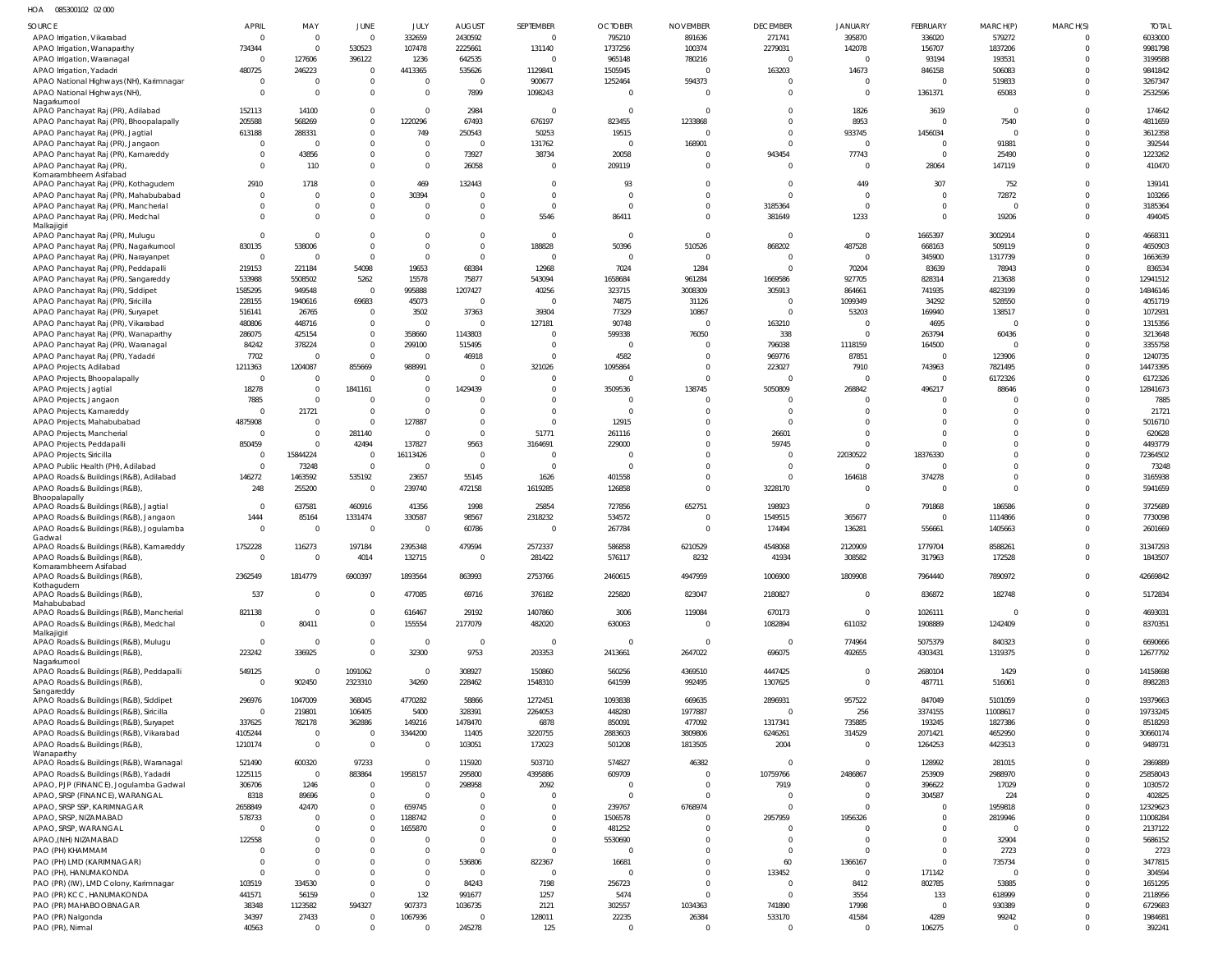HOA 085300102 02 000

| SOURCE                                                                         | <b>APRIL</b>              | MAY                        | JUNE                             | JULY                     | <b>AUGUST</b>            | SEPTEMBER          | <b>OCTOBER</b>    | <b>NOVEMBER</b>      | <b>DECEMBER</b>         | <b>JANUARY</b>                   | FEBRUARY            | MARCH(P)                  | MARCH(S)             | <b>TOTAL</b>        |
|--------------------------------------------------------------------------------|---------------------------|----------------------------|----------------------------------|--------------------------|--------------------------|--------------------|-------------------|----------------------|-------------------------|----------------------------------|---------------------|---------------------------|----------------------|---------------------|
| APAO Irrigation, Vikarabad<br>APAO Irrigation, Wanaparthy                      | $\Omega$<br>734344        | $\overline{0}$<br>$\Omega$ | $\Omega$<br>530523               | 332659<br>107478         | 2430592<br>2225661       | $\Omega$<br>131140 | 795210<br>1737256 | 891636<br>100374     | 271741<br>2279031       | 395870<br>142078                 | 336020<br>156707    | 579272<br>1837206         | $\Omega$<br>$\Omega$ | 6033000<br>9981798  |
| APAO Irrigation, Waranagal                                                     | $\overline{0}$            | 127606                     | 396122                           | 1236                     | 642535                   | $\Omega$           | 965148            | 780216               | $\Omega$                | $\Omega$                         | 93194               | 193531                    | $\Omega$             | 3199588             |
| APAO Irrigation, Yadadri                                                       | 480725                    | 246223                     | $\Omega$                         | 4413365                  | 535626                   | 1129841            | 1505945           | $\Omega$             | 163203                  | 14673                            | 846158              | 506083                    | $\Omega$             | 9841842             |
| APAO National Highways (NH), Karimnagar                                        | $\mathbf{0}$              | $\Omega$                   | $\overline{0}$                   | $\overline{0}$           | $\overline{0}$           | 900677             | 1252464           | 594373               |                         | $\overline{0}$                   | $\Omega$            | 519833                    | $\Omega$             | 3267347             |
| APAO National Highways (NH),                                                   | $\Omega$                  | $\Omega$                   | $\Omega$                         | $\Omega$                 | 7899                     | 1098243            |                   | $\Omega$             | $\Omega$                | $\overline{0}$                   | 1361371             | 65083                     | $\Omega$             | 2532596             |
| Nagarkurnool                                                                   |                           |                            |                                  |                          |                          |                    |                   |                      |                         |                                  |                     |                           |                      |                     |
| APAO Panchayat Raj (PR), Adilabad                                              | 152113                    | 14100                      | $\Omega$                         | $\mathbf 0$              | 2984                     | $\Omega$           | $\Omega$          | $\Omega$             | $\Omega$                | 1826                             | 3619                | $\overline{0}$            | $\Omega$             | 174642              |
| APAO Panchayat Raj (PR), Bhoopalapally                                         | 205588                    | 568269                     | $\Omega$                         | 1220296                  | 67493                    | 676197             | 823455            | 1233868              | $\Omega$<br>$\Omega$    | 8953                             | $\Omega$            | 7540                      | $\Omega$<br>$\Omega$ | 4811659             |
| APAO Panchayat Raj (PR), Jagtial                                               | 613188<br>$\mathbf{0}$    | 288331<br>$\Omega$         | $\overline{0}$<br>$\overline{0}$ | 749<br>$\overline{0}$    | 250543<br>$\Omega$       | 50253<br>131762    | 19515             | 168901               | $\Omega$                | 933745<br>$\overline{0}$         | 1456034<br>$\Omega$ | $\Omega$<br>91881         | $\Omega$             | 3612358<br>392544   |
| APAO Panchayat Raj (PR), Jangaon<br>APAO Panchayat Raj (PR), Kamareddy         | $\mathbf{0}$              | 43856                      | $\Omega$                         | $\mathbf 0$              | 73927                    | 38734              | 20058             |                      | 943454                  | 77743                            | $\Omega$            | 25490                     | $\Omega$             | 1223262             |
| APAO Panchayat Raj (PR)                                                        | $\Omega$                  | 110                        | $\Omega$                         | $\overline{0}$           | 26058                    | $\Omega$           | 209119            | $\Omega$             | $\Omega$                | $\overline{0}$                   | 28064               | 147119                    | $\Omega$             | 410470              |
| Komarambheem Asifabad                                                          |                           |                            |                                  |                          |                          |                    |                   |                      |                         |                                  |                     |                           |                      |                     |
| APAO Panchayat Raj (PR), Kothagudem                                            | 2910                      | 1718                       | $\Omega$                         | 469                      | 132443                   | $\Omega$           | 93                | $\Omega$             | $\Omega$                | 449                              | 307                 | 752                       | $\Omega$             | 139141              |
| APAO Panchayat Raj (PR), Mahabubabad                                           | $\Omega$                  | $\Omega$                   | $\Omega$                         | 30394                    | $\Omega$                 | $\Omega$           |                   | $\Omega$             | $\Omega$                | $\overline{0}$                   | $\Omega$            | 72872                     | $\Omega$             | 103266              |
| APAO Panchayat Raj (PR), Mancherial                                            | $\Omega$                  | $\Omega$                   | $\overline{0}$                   | $\mathbf{0}$             | $\Omega$                 | $\Omega$           |                   | $\Omega$             | 3185364                 | $\overline{0}$                   | $\Omega$            | $\Omega$                  | $\Omega$             | 3185364             |
| APAO Panchayat Raj (PR), Medchal<br>Malkajigiri                                | $\Omega$                  | $\Omega$                   | $\Omega$                         | $\Omega$                 | $\Omega$                 | 5546               | 86411             | $\Omega$             | 381649                  | 1233                             | $\Omega$            | 19206                     | $\Omega$             | 494045              |
| APAO Panchayat Raj (PR), Mulugu                                                | $\Omega$                  | $\Omega$                   | $\Omega$                         | $\mathbf{0}$             | $\Omega$                 | $\Omega$           |                   |                      | $\Omega$                | $\overline{0}$                   | 1665397             | 3002914                   | $\Omega$             | 4668311             |
| APAO Panchayat Raj (PR), Nagarkurnool                                          | 830135                    | 538006                     | $\Omega$                         | $\mathbf{0}$             | $\Omega$                 | 188828             | 50396             | 510526               | 868202                  | 487528                           | 668163              | 509119                    | $\Omega$             | 4650903             |
| APAO Panchayat Raj (PR), Narayanpet                                            | $\overline{0}$            | $\Omega$                   | $\Omega$                         | $\overline{0}$           | $\overline{0}$           | $\Omega$           |                   |                      | $\Omega$                | $\Omega$                         | 345900              | 1317739                   | $\Omega$             | 1663639             |
| APAO Panchayat Raj (PR), Peddapalli                                            | 219153                    | 221184                     | 54098                            | 19653                    | 68384                    | 12968              | 7024              | 1284                 | $\Omega$                | 70204                            | 83639               | 78943                     | $\Omega$             | 836534              |
| APAO Panchayat Raj (PR), Sangareddy                                            | 533988                    | 5508502                    | 5262                             | 15578                    | 75877                    | 543094             | 1658684           | 961284               | 1669586                 | 927705                           | 828314              | 213638                    | $\Omega$             | 12941512            |
| APAO Panchayat Raj (PR), Siddipet                                              | 1585295                   | 949548                     | $\overline{0}$                   | 995888                   | 1207427                  | 40256              | 323715            | 3008309              | 305913                  | 864661                           | 741935              | 4823199                   | $\Omega$             | 14846146            |
| APAO Panchayat Raj (PR), Siricilla                                             | 228155                    | 1940616                    | 69683                            | 45073                    | $\Omega$                 |                    | 74875             | 31126                | $\Omega$                | 1099349                          | 34292               | 528550                    | $\Omega$             | 4051719             |
| APAO Panchayat Raj (PR), Suryapet                                              | 516141                    | 26765                      | $\overline{0}$                   | 3502                     | 37363                    | 39304              | 77329             | 10867                | $\Omega$                | 53203                            | 169940              | 138517                    | $\Omega$             | 1072931             |
| APAO Panchayat Raj (PR), Vikarabad                                             | 480806                    | 448716                     | $\overline{0}$                   | $\overline{0}$           | $\Omega$                 | 127181             | 90748             |                      | 163210                  | $\overline{0}$                   | 4695                | $\Omega$                  | $\Omega$             | 1315356             |
| APAO Panchayat Raj (PR), Wanaparthy                                            | 286075                    | 425154                     | $\overline{0}$                   | 358660                   | 1143803                  | $\Omega$           | 599338            | 76050                | 338                     | $\overline{0}$                   | 263794              | 60436                     | $\Omega$             | 3213648             |
| APAO Panchayat Raj (PR), Waranagal                                             | 84242                     | 378224                     | $\overline{0}$                   | 299100                   | 515495                   | $\Omega$           |                   |                      | 796038                  | 1118159                          | 164500              | $\Omega$                  | $\Omega$             | 3355758             |
| APAO Panchayat Raj (PR), Yadadri                                               | 7702                      | $\Omega$                   | $\overline{0}$<br>855669         | $\overline{0}$           | 46918<br>$\Omega$        | $\Omega$           | 4582              | $\Omega$<br>$\Omega$ | 969776                  | 87851                            | $\Omega$            | 123906                    | $\Omega$<br>$\Omega$ | 1240735<br>14473395 |
| APAO Projects, Adilabad<br>APAO Projects, Bhoopalapally                        | 1211363<br>$\overline{0}$ | 1204087<br>$\overline{0}$  | $\Omega$                         | 988991<br>$\overline{0}$ | $\Omega$                 | 321026<br>$\Omega$ | 1095864           |                      | 223027<br>$\Omega$      | 7910<br>$\overline{0}$           | 743963<br>$\Omega$  | 7821495<br>6172326        | $\Omega$             | 6172326             |
| APAO Projects, Jagtial                                                         | 18278                     | $\Omega$                   | 1841161                          | $\overline{0}$           | 1429439                  | $\Omega$           | 3509536           | 138745               | 5050809                 | 268842                           | 496217              | 88646                     | $\Omega$             | 12841673            |
| APAO Projects, Jangaon                                                         | 7885                      | $\Omega$                   | $\overline{0}$                   | $\overline{0}$           | - 0                      | $\Omega$           | $\Omega$          |                      |                         | $\Omega$                         | $\Omega$            | $\Omega$                  | $\Omega$             | 7885                |
| APAO Projects, Kamareddy                                                       | $\Omega$                  | 21721                      | $\Omega$                         | $\Omega$                 | $\Omega$                 | $\Omega$           |                   |                      | $\Omega$                | $\Omega$                         | $\Omega$            | $\Omega$                  | $\Omega$             | 21721               |
| APAO Projects, Mahabubabad                                                     | 4875908                   | $\Omega$                   | $\Omega$                         | 127887                   | $\Omega$                 | $\Omega$           | 12915             |                      | $\Omega$                | $\Omega$                         | $\Omega$            | $\Omega$                  | $\Omega$             | 5016710             |
| APAO Projects, Mancherial                                                      | $\Omega$                  | $\Omega$                   | 281140                           | $\overline{0}$           | $\Omega$                 | 51771              | 261116            |                      | 26601                   | $\Omega$                         | $\Omega$            | $\Omega$                  | $\Omega$             | 620628              |
| APAO Projects, Peddapalli                                                      | 850459                    | $\Omega$                   | 42494                            | 137827                   | 9563                     | 3164691            | 229000            |                      | 59745                   | $\Omega$                         | $\Omega$            | $\Omega$                  | $\Omega$             | 4493779             |
| APAO Projects, Siricilla                                                       | $\Omega$                  | 15844224                   | $\overline{0}$                   | 16113426                 | $\overline{0}$           | <sup>0</sup>       |                   |                      | $\Omega$                | 22030522                         | 18376330            | $\Omega$                  | $\Omega$             | 72364502            |
| APAO Public Health (PH), Adilabad                                              | $\mathbf{0}$              | 73248                      | $\overline{0}$                   | $\overline{0}$           | $\overline{0}$           | $\Omega$           |                   |                      | $\Omega$                | $\overline{0}$                   | $\Omega$            | $\Omega$                  | $\Omega$             | 73248               |
| APAO Roads & Buildings (R&B), Adilabad                                         | 146272                    | 1463592                    | 535192                           | 23657                    | 55145                    | 1626               | 401558            |                      | $\Omega$                | 164618                           | 374278              | $\Omega$                  | $\Omega$             | 3165938             |
| APAO Roads & Buildings (R&B)                                                   | 248                       | 255200                     | $\overline{0}$                   | 239740                   | 472158                   | 1619285            | 126858            | $\Omega$             | 3228170                 | $\overline{0}$                   | $\Omega$            | $\Omega$                  | $\Omega$             | 5941659             |
| Bhoopalapally                                                                  |                           |                            |                                  |                          |                          |                    |                   |                      |                         |                                  |                     |                           | $\Omega$             |                     |
| APAO Roads & Buildings (R&B), Jagtial<br>APAO Roads & Buildings (R&B), Jangaon | $\overline{0}$<br>1444    | 637581<br>85164            | 460916<br>1331474                | 41356<br>330587          | 1998<br>98567            | 25854<br>2318232   | 727856<br>534572  | 652751               | 198923<br>1549515       | $\overline{0}$<br>365677         | 791868<br>$\Omega$  | 186586<br>1114866         | $\Omega$             | 3725689<br>7730098  |
| APAO Roads & Buildings (R&B), Jogulamba                                        | $\overline{0}$            | $\overline{0}$             | $\overline{0}$                   | $\overline{0}$           | 60786                    | $\Omega$           | 267784            | $\Omega$             | 174494                  | 136281                           | 556661              | 1405663                   | <sup>0</sup>         | 2601669             |
| Gadwal                                                                         |                           |                            |                                  |                          |                          |                    |                   |                      |                         |                                  |                     |                           |                      |                     |
| APAO Roads & Buildings (R&B), Kamareddy                                        | 1752228                   | 116273                     | 197184                           | 2395348                  | 479594                   | 2572337            | 586858            | 6210529              | 4548068                 | 2120909                          | 1779704             | 8588261                   | $\Omega$             | 31347293            |
| APAO Roads & Buildings (R&B)                                                   | $\Omega$                  | $^{\circ}$                 | 4014                             | 132715                   | $\overline{0}$           | 281422             | 576117            | 8232                 | 41934                   | 308582                           | 317963              | 172528                    | $\Omega$             | 1843507             |
| Komarambheem Asifabad<br>APAO Roads & Buildings (R&B)                          | 2362549                   | 1814779                    | 6900397                          | 1893564                  | 863993                   | 2753766            | 2460615           | 4947959              | 1006900                 | 1809908                          | 7964440             | 7890972                   | $\mathbf 0$          | 42669842            |
| Kothagudem                                                                     |                           |                            |                                  |                          |                          |                    |                   |                      |                         |                                  |                     |                           |                      |                     |
| APAO Roads & Buildings (R&B)                                                   | 537                       | $\Omega$                   | $\overline{0}$                   | 477085                   | 69716                    | 376182             | 225820            | 823047               | 2180827                 | $\overline{0}$                   | 836872              | 182748                    | $\mathbf 0$          | 5172834             |
| Mahabubabad                                                                    |                           | $\Omega$                   |                                  |                          |                          |                    |                   |                      |                         |                                  |                     |                           | $\Omega$             |                     |
| APAO Roads & Buildings (R&B), Mancherial                                       | 821138<br>$\mathbf{0}$    |                            | $\overline{0}$<br>$\overline{0}$ | 616467<br>155554         | 29192<br>2177079         | 1407860<br>482020  | 3006              | 119084               | 670173                  | $\overline{0}$                   | 1026111             | $\overline{0}$<br>1242409 | $\mathbf 0$          | 4693031<br>8370351  |
| APAO Roads & Buildings (R&B), Medchal<br>Malkajigiri                           |                           | 80411                      |                                  |                          |                          |                    | 630063            |                      | 1082894                 | 611032                           | 1908889             |                           |                      |                     |
| APAO Roads & Buildings (R&B), Mulugu                                           | $\overline{0}$            | $\Omega$                   | $\overline{0}$                   | $\overline{0}$           | $\overline{\phantom{0}}$ | $\Omega$           | $\Omega$          | $\Omega$             | $\overline{\mathbf{0}}$ | 774964                           | 5075379             | 840323                    | $\Omega$             | 6690666             |
| APAO Roads & Buildings (R&B),                                                  | 223242                    | 336925                     | $\Omega$                         | 32300                    | 9753                     | 203353             | 2413661           | 2647022              | 696075                  | 492655                           | 4303431             | 1319375                   | $\Omega$             | 12677792            |
| Nagarkurnool                                                                   |                           | $\Omega$                   |                                  |                          |                          |                    |                   |                      |                         |                                  |                     |                           | $\Omega$             |                     |
| APAO Roads & Buildings (R&B), Peddapalli<br>APAO Roads & Buildings (R&B),      | 549125<br>$\overline{0}$  | 902450                     | 1091062<br>2323310               | $\overline{0}$<br>34260  | 308927<br>228462         | 150860<br>1548310  | 560256<br>641599  | 4369510<br>992495    | 4447425<br>1307625      | $\overline{0}$<br>$\overline{0}$ | 2680104<br>487711   | 1429<br>516061            | $\Omega$             | 14158698<br>8982283 |
| Sangareddy                                                                     |                           |                            |                                  |                          |                          |                    |                   |                      |                         |                                  |                     |                           |                      |                     |
| APAO Roads & Buildings (R&B), Siddipet                                         | 296976                    | 1047009                    | 368045                           | 4770282                  | 58866                    | 1272451            | 1093838           | 669635               | 2896931                 | 957522                           | 847049              | 5101059                   | $\Omega$             | 19379663            |
| APAO Roads & Buildings (R&B), Siricilla                                        | $\overline{0}$            | 219801                     | 106405                           | 5400                     | 328391                   | 2264053            | 448280            | 1977887              | $\Omega$                | 256                              | 3374155             | 11008617                  | $\Omega$             | 19733245            |
| APAO Roads & Buildings (R&B), Suryapet                                         | 337625                    | 782178                     | 362886                           | 149216                   | 1478470                  | 6878               | 850091            | 477092               | 1317341                 | 735885                           | 193245              | 1827386                   | $\Omega$             | 8518293             |
| APAO Roads & Buildings (R&B), Vikarabad                                        | 4105244                   | $\Omega$                   | $\overline{0}$                   | 3344200                  | 11405                    | 3220755            | 2883603           | 3809806              | 6246261                 | 314529                           | 2071421             | 4652950                   | $\Omega$             | 30660174            |
| APAO Roads & Buildings (R&B),                                                  | 1210174                   | $\Omega$                   | $\overline{0}$                   | $\overline{0}$           | 103051                   | 172023             | 501208            | 1813505              | 2004                    | $\overline{0}$                   | 1264253             | 4423513                   | $\Omega$             | 9489731             |
| Wanaparthy<br>APAO Roads & Buildings (R&B), Waranagal                          | 521490                    | 600320                     | 97233                            | $\mathbf 0$              | 115920                   | 503710             | 574827            | 46382                | $\Omega$                | $\overline{0}$                   | 128992              | 281015                    | $\Omega$             | 2869889             |
| APAO Roads & Buildings (R&B), Yadadri                                          | 1225115                   | $\Omega$                   | 883864                           | 1958157                  | 295800                   | 4395886            | 609709            |                      | 10759766                | 2486867                          | 253909              | 2988970                   | $\Omega$             | 25858043            |
| APAO, PJP (FINANCE), Jogulamba Gadwal                                          | 306706                    | 1246                       | $\overline{0}$                   | $\overline{0}$           | 298958                   | 2092               |                   |                      | 7919                    | $\Omega$                         | 396622              | 17029                     | $\Omega$             | 1030572             |
| APAO, SRSP (FINANCE), WARANGAL                                                 | 8318                      | 89696                      | $\overline{0}$                   | $\overline{0}$           | $\Omega$                 | 0                  |                   |                      | $\Omega$                | $\overline{0}$                   | 304587              | 224                       | $\Omega$             | 402825              |
| APAO, SRSP SSP, KARIMNAGAR                                                     | 2658849                   | 42470                      | $\overline{0}$                   | 659745                   | $\Omega$                 | 0                  | 239767            | 6768974              | $\Omega$                | $\Omega$                         | $\Omega$            | 1959818                   | $\Omega$             | 12329623            |
| APAO, SRSP, NIZAMABAD                                                          | 578733                    |                            | $\overline{0}$                   | 1188742                  | $\overline{0}$           | $\Omega$           | 1506578           |                      | 2957959                 | 1956326                          | $\overline{0}$      | 2819946                   |                      | 11008284            |
| APAO, SRSP, WARANGAL                                                           | $\Omega$                  |                            | $\Omega$                         | 1655870                  | $\Omega$                 | $\Omega$           | 481252            |                      |                         | $\Omega$                         | $\Omega$            | $\Omega$                  | $\Omega$             | 2137122             |
| APAO, (NH) NIZAMABAD                                                           | 122558                    |                            | $\overline{0}$                   | 0                        | $\Omega$                 | $\Omega$           | 5530690           |                      | $\Omega$                | $\Omega$                         | $\Omega$            | 32904                     | $\Omega$             | 5686152             |
| PAO (PH) KHAMMAM                                                               | $\Omega$                  |                            | $\overline{0}$                   | $\mathbf 0$              | $\Omega$                 | $\Omega$           |                   |                      | $\Omega$                |                                  | $\Omega$            | 2723                      |                      | 2723                |
| PAO (PH) LMD (KARIMNAGAR)                                                      | $\Omega$                  |                            | $\Omega$                         | $\mathbf 0$              | 536806                   | 822367             | 16681             |                      | 60                      | 1366167                          | $\Omega$            | 735734                    |                      | 3477815             |
| PAO (PH), HANUMAKONDA                                                          | $\Omega$                  | $\Omega$                   | $\Omega$                         | $\mathbf{0}$             | $\overline{0}$           | $\Omega$           |                   |                      | 133452                  | $\overline{0}$                   | 171142              | $\Omega$                  |                      | 304594              |
| PAO (PR) (IW), LMD Colony, Karimnagar                                          | 103519                    | 334530                     | $\overline{0}$                   | $\overline{0}$           | 84243                    | 7198               | 256723            |                      | $\Omega$                | 8412                             | 802785              | 53885                     |                      | 1651295             |
| PAO (PR) KCC, HANUMAKONDA                                                      | 441571                    | 56159                      | $\Omega$                         | 132                      | 991677                   | 1257               | 5474              |                      | $\Omega$                | 3554                             | 133                 | 618999                    |                      | 2118956             |
| PAO (PR) MAHABOOBNAGAR                                                         | 38348                     | 1123582                    | 594327                           | 907373                   | 1036735                  | 2121               | 302557            | 1034363              | 741890                  | 17998                            | $\overline{0}$      | 930389                    |                      | 6729683             |
| PAO (PR) Nalgonda                                                              | 34397                     | 27433                      | $\overline{0}$                   | 1067936                  | $\overline{0}$           | 128011             | 22235             | 26384                | 533170                  | 41584                            | 4289                | 99242                     |                      | 1984681             |
| PAO (PR), Nirmal                                                               | 40563                     | $\Omega$                   | $\overline{0}$                   | $\Omega$                 | 245278                   | 125                | $\overline{0}$    | $\Omega$             | $\Omega$                | $\overline{0}$                   | 106275              | 0                         | $\Omega$             | 392241              |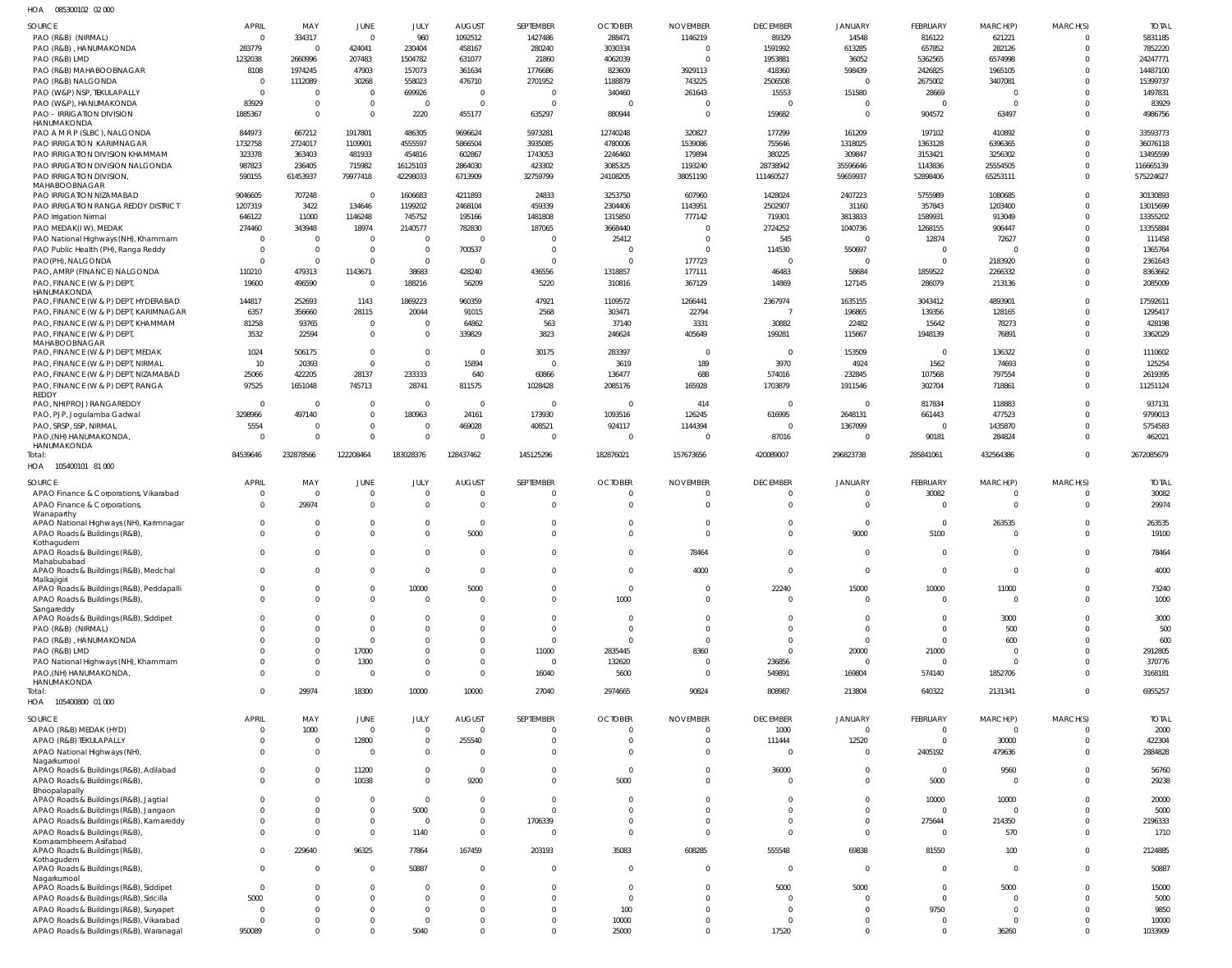085300102 02 000 HOA

| <b>SOURCE</b>                                                                     | <b>APRIL</b>             | MAY                      | JUNE                    | JULY                     | <b>AUGUST</b>            | SEPTEMBER                  | <b>OCTOBER</b>                | <b>NOVEMBER</b>      | <b>DECEMBER</b>         | <b>JANUARY</b>          | FEBRUARY             | MARCH(P)                         | MARCH(S) | <b>TOTAL</b>      |
|-----------------------------------------------------------------------------------|--------------------------|--------------------------|-------------------------|--------------------------|--------------------------|----------------------------|-------------------------------|----------------------|-------------------------|-------------------------|----------------------|----------------------------------|----------|-------------------|
| PAO (R&B) (NIRMAL)                                                                | $\overline{0}$           | 334317                   | $\overline{0}$          | 960                      | 1092512                  | 1427486                    | 288471                        | 1146219              | 89329                   | 14548                   | 816122               | 621221                           |          | 5831185           |
| PAO (R&B), HANUMAKONDA                                                            | 283779                   | $\Omega$                 | 424041                  | 230404                   | 458167                   | 280240                     | 3030334                       | $\Omega$             | 1591992                 | 613285                  | 657852               | 282126                           | $\Omega$ | 7852220           |
| PAO (R&B) LMD                                                                     | 1232038                  | 2660996                  | 207483                  | 1504782                  | 631077                   | 21860                      | 4062039                       | $\Omega$             | 1953881                 | 36052                   | 5362565              | 6574998                          | $\Omega$ | 24247771          |
| PAO (R&B) MAHABOOBNAGAR                                                           | 8108                     | 1974245                  | 47903                   | 157073                   | 361634                   | 1776686                    | 823609                        | 3929113              | 418360                  | 598439                  | 2426825              | 1965105                          |          | 14487100          |
| PAO (R&B) NALGONDA                                                                | $\overline{0}$           | 1112089                  | 30268                   | 558023                   | 476710                   | 2701952                    | 1188879                       | 743225               | 2506508                 | 0                       | 2675002              | 3407081                          |          | 15399737          |
| PAO (W&P) NSP, TEKULAPALLY                                                        | $\Omega$                 | $\overline{0}$           | $\overline{0}$          | 699926                   | $\overline{0}$           | $\Omega$                   | 340460                        | 261643               | 15553                   | 151580                  | 28669                | $\Omega$                         |          | 1497831           |
| PAO (W&P), HANUMAKONDA                                                            | 83929                    | - 0                      | $\overline{0}$          | $\overline{0}$           | $\overline{0}$           | $\Omega$                   | $\mathbf 0$                   | $\Omega$             | 0                       | $\Omega$                | $\Omega$             | $\Omega$                         | $\Omega$ | 83929             |
| PAO - IRRIGATION DIVISION<br>HANUMAKONDA                                          | 1885367                  | $\Omega$                 | $\overline{0}$          | 2220                     | 455177                   | 635297                     | 880944                        | $\Omega$             | 159682                  | $\mathbf 0$             | 904572               | 63497                            | $\Omega$ | 4986756           |
| PAO A M R P (SLBC), NALGONDA                                                      | 844973                   | 667212                   | 1917801                 | 486305                   | 9696624                  | 5973281                    | 12740248                      | 320827               | 177299                  | 161209                  | 197102               | 410892                           |          | 33593773          |
| PAO IRRIGATION KARIMNAGAR                                                         | 1732758                  | 2724017                  | 1109901                 | 4555597                  | 5866504                  | 3935085                    | 4780006                       | 1539086              | 755646                  | 1318025                 | 1363128              | 6396365                          | $\Omega$ | 36076118          |
| PAO IRRIGATION DIVISION KHAMMAM                                                   | 323378                   | 363403                   | 481933                  | 454816                   | 602867                   | 1743053                    | 2246460                       | 179894               | 380225                  | 309847                  | 3153421              | 3256302                          |          | 13495599          |
| PAO IRRIGATION DIVISION NALGONDA                                                  | 987823                   | 236405                   | 715982                  | 16125103                 | 2864030                  | 423302                     | 3085325                       | 1193240              | 28738942                | 35596646                | 1143836              | 25554505                         | $\Omega$ | 116665139         |
| PAO IRRIGATION DIVISION,                                                          | 590155                   | 61453937                 | 79977418                | 42298033                 | 6713909                  | 32759799                   | 24108205                      | 38051190             | 111460527               | 59659937                | 52898406             | 65253111                         | $\Omega$ | 575224627         |
| MAHABOOBNAGAR                                                                     |                          |                          |                         |                          |                          |                            |                               |                      |                         |                         |                      |                                  |          |                   |
| PAO IRRIGATION NIZAMABAD                                                          | 9046605                  | 707248                   | $\Omega$                | 1606683                  | 4211893                  | 24833                      | 3253750                       | 607960               | 1428024                 | 2407223                 | 5755989              | 1080685                          | $\Omega$ | 30130893          |
| PAO IRRIGATION RANGA REDDY DISTRICT                                               | 1207319                  | 3422                     | 134646                  | 1199202                  | 2468104                  | 459339                     | 2304406                       | 1143951              | 2502907                 | 31160                   | 357843               | 1203400                          | $\Omega$ | 13015699          |
| PAO Irrigation Nirmal                                                             | 646122                   | 11000                    | 1146248                 | 745752                   | 195166                   | 1481808                    | 1315850                       | 777142               | 719301                  | 3813833                 | 1589931              | 913049                           | $\Omega$ | 13355202          |
| PAO MEDAK(IW), MEDAK                                                              | 274460<br>$\overline{0}$ | 343948<br>$\overline{0}$ | 18974<br>$\overline{0}$ | 2140577<br>$\Omega$      | 782830<br>$\overline{0}$ | 187065<br>$\Omega$         | 3668440                       | $\Omega$<br>$\Omega$ | 2724252                 | 1040736                 | 1268155              | 906447                           |          | 13355884          |
| PAO National Highways (NH), Khammam<br>PAO Public Health (PH), Ranga Reddy        | $\overline{0}$           | $\mathbf{0}$             | $\overline{0}$          | $\Omega$                 | 700537                   | $\Omega$                   | 25412<br>$\Omega$             | $\Omega$             | 545<br>114530           | 550697                  | 12874<br>$\Omega$    | 72627<br>$\Omega$                |          | 111458<br>1365764 |
| PAO(PH), NALGONDA                                                                 | $\Omega$                 | $\Omega$                 | $\overline{0}$          | $\mathbf{0}$             | $\overline{0}$           | $\Omega$                   | $\Omega$                      | 177723               | 0                       | - 0                     | $\Omega$             | 2183920                          |          | 2361643           |
| PAO, AMRP (FINANCE) NALGONDA                                                      | 110210                   | 479313                   | 1143671                 | 38683                    | 428240                   | 436556                     | 1318857                       | 177111               | 46483                   | 58684                   | 1859522              | 2266332                          |          | 8363662           |
| PAO, FINANCE (W & P) DEPT                                                         | 19600                    | 496590                   | $\overline{0}$          | 188216                   | 56209                    | 5220                       | 310816                        | 367129               | 14869                   | 127145                  | 286079               | 213136                           | $\Omega$ | 2085009           |
| HANUMAKONDA                                                                       |                          |                          |                         |                          |                          |                            |                               |                      |                         |                         |                      |                                  |          |                   |
| PAO, FINANCE (W & P) DEPT, HYDERABAD                                              | 144817                   | 252693                   | 1143                    | 1869223                  | 960359                   | 47921                      | 1109572                       | 1266441              | 2367974                 | 1635155                 | 3043412              | 4893901                          |          | 17592611          |
| PAO, FINANCE (W & P) DEPT, KARIMNAGAR                                             | 6357                     | 356660                   | 28115                   | 20044                    | 91015                    | 2568                       | 303471                        | 22794                | -7                      | 196865                  | 139356               | 128165                           | $\Omega$ | 1295417           |
| PAO, FINANCE (W & P) DEPT, KHAMMAM                                                | 81258                    | 93765                    | $\overline{0}$          | $\Omega$                 | 64862                    | 563                        | 37140                         | 3331                 | 30882                   | 22482                   | 15642                | 78273                            | $\Omega$ | 428198            |
| PAO, FINANCE (W & P) DEPT,                                                        | 3532                     | 22594                    | $\overline{0}$          | $\mathbf 0$              | 339829                   | 3823                       | 246624                        | 405649               | 199281                  | 115667                  | 1948139              | 76891                            | $\Omega$ | 3362029           |
| MAHABOOBNAGAR<br>PAO, FINANCE (W & P) DEPT, MEDAK                                 | 1024                     | 506175                   | $\overline{0}$          | $\mathbf 0$              | $\overline{0}$           | 30175                      | 283397                        | $\Omega$             | 0                       | 153509                  | 0                    | 136322                           |          | 1110602           |
| PAO, FINANCE (W & P) DEPT, NIRMAL                                                 | 10                       | 20393                    | $\Omega$                | $\Omega$                 | 15894                    | $\Omega$                   | 3619                          | 189                  | 3970                    | 4924                    | 1562                 | 74693                            | $\Omega$ | 125254            |
| PAO, FINANCE (W & P) DEPT, NIZAMABAD                                              | 25066                    | 422205                   | 28137                   | 233333                   | 640                      | 60866                      | 136477                        | 688                  | 574016                  | 232845                  | 107568               | 797554                           |          | 2619395           |
| PAO, FINANCE (W & P) DEPT, RANGA                                                  | 97525                    | 1651048                  | 745713                  | 28741                    | 811575                   | 1028428                    | 2085176                       | 165928               | 1703879                 | 1911546                 | 302704               | 718861                           | $\Omega$ | 11251124          |
| <b>REDDY</b>                                                                      |                          |                          |                         |                          |                          |                            |                               |                      |                         |                         |                      |                                  |          |                   |
| PAO, NH(PROJ) RANGAREDDY                                                          | $\overline{0}$           | - 0                      | $\overline{0}$          | $\overline{0}$           | $\overline{0}$           | $\overline{0}$             | $\overline{0}$                | 414                  | $\mathbf 0$             | $\overline{0}$          | 817834               | 118883                           |          | 937131            |
| PAO, PJP, Jogulamba Gadwal                                                        | 3298966                  | 497140                   | $\overline{0}$          | 180963                   | 24161                    | 173930                     | 1093516                       | 126245               | 616995                  | 2648131                 | 661443               | 477523                           | $\Omega$ | 9799013           |
| PAO, SRSP, SSP, NIRMAL                                                            | 5554                     | $\Omega$                 | $\mathbf{0}$            | $\Omega$                 | 469028                   | 408521                     | 924117                        | 1144394              | 0                       | 1367099                 | $\Omega$             | 1435870                          |          | 5754583           |
| PAO, (NH) HANUMAKONDA,<br>HANUMAKONDA                                             | $\Omega$                 | $\Omega$                 | $\mathbf{0}$            | $\Omega$                 | $\overline{0}$           | $\Omega$                   | $\overline{0}$                | $\Omega$             | 87016                   | $\Omega$                | 90181                | 284824                           | $\Omega$ | 462021            |
| Total:                                                                            | 84539646                 | 232878566                | 122208464               | 183028376                | 128437462                | 145125296                  | 182876021                     | 157673656            | 420089007               | 296823738               | 285841061            | 432564386                        | $\Omega$ | 2672085679        |
| HOA  105400101  81 000                                                            |                          |                          |                         |                          |                          |                            |                               |                      |                         |                         |                      |                                  |          |                   |
|                                                                                   |                          |                          |                         |                          |                          |                            |                               |                      |                         |                         |                      |                                  |          |                   |
| SOURCE                                                                            | <b>APRIL</b>             | MAY                      | <b>JUNE</b>             | <b>JULY</b>              | <b>AUGUST</b>            | SEPTEMBER                  | <b>OCTOBER</b>                | <b>NOVEMBER</b>      | <b>DECEMBER</b>         | JANUARY                 | FEBRUARY             | MARCH(P)                         | MARCH(S) | <b>TOTAL</b>      |
| APAO Finance & Corporations, Vikarabad                                            | $\overline{0}$           | 0<br>29974               | $\overline{0}$          | $\mathbf{0}$<br>$\Omega$ | $\mathbf 0$              | $\mathbf 0$<br>$\mathbf 0$ | $\mathbf 0$<br>$\overline{0}$ | 0<br>$\mathbf 0$     | $\Omega$<br>$\mathbf 0$ | $\Omega$<br>$\mathbf 0$ | 30082<br>$\mathbf 0$ | $\overline{0}$<br>$\overline{0}$ |          | 30082             |
| APAO Finance & Corporations,<br>Wanaparthy                                        | $\overline{0}$           |                          | $\overline{0}$          |                          | $\mathbf 0$              |                            |                               |                      |                         |                         |                      |                                  | $\Omega$ | 29974             |
|                                                                                   |                          |                          |                         |                          |                          |                            |                               |                      |                         |                         |                      |                                  |          |                   |
| APAO National Highways (NH), Karimnagar                                           | $\overline{0}$           | $\Omega$                 | $\overline{0}$          | $\mathbf{0}$             | $\mathbf 0$              | $\mathbf 0$                | $\mathbf 0$                   | $\mathbf 0$          | $\mathbf 0$             | $\mathbf{0}$            | $\overline{0}$       | 263535                           |          | 263535            |
| APAO Roads & Buildings (R&B)                                                      | $\Omega$                 | $\Omega$                 | $\mathbf{0}$            | $\mathbf{0}$             | 5000                     | $\mathbf 0$                | $\Omega$                      | $\Omega$             | $\Omega$                | 9000                    | 5100                 | $\overline{0}$                   |          | 19100             |
| Kothagudem                                                                        |                          |                          |                         |                          |                          |                            |                               |                      |                         |                         |                      |                                  |          |                   |
| APAO Roads & Buildings (R&B),                                                     | $\Omega$                 | $\Omega$                 | $\mathbf{0}$            | $\mathbf 0$              | $\mathbf 0$              | $\Omega$                   | $\Omega$                      | 78464                | $\Omega$                | $\mathbf 0$             | $\Omega$             | $\overline{0}$                   | $\Omega$ | 78464             |
| Mahabubabad<br>APAO Roads & Buildings (R&B), Medchal                              | $\Omega$                 | $\Omega$                 | $\overline{0}$          | $\mathbf{0}$             | $\mathbf 0$              | $\Omega$                   | $\mathbf 0$                   | 4000                 | $\Omega$                | $\Omega$                | $\Omega$             | $\overline{0}$                   | $\Omega$ | 4000              |
| Malkajigiri                                                                       |                          |                          |                         |                          |                          |                            |                               |                      |                         |                         |                      |                                  |          |                   |
| APAO Roads & Buildings (R&B), Peddapalli                                          | $\overline{0}$           | $\cup$                   | $\mathbf 0$             | 10000                    | 5000                     | $\mathbf 0$                | $\overline{0}$                | $\mathbf 0$          | 22240                   | 15000                   | 10000                | 11000                            | $\Omega$ | 73240             |
| APAO Roads & Buildings (R&B),                                                     | $\Omega$                 | $\Omega$                 | $\mathbf{0}$            | $\mathbf{0}$             | $\mathbf 0$              | $\mathbf 0$                | 1000                          | $\mathbf 0$          | $\mathbf 0$             | $\mathbf{0}$            | $\mathbf{0}$         | $\overline{0}$                   | $\Omega$ | 1000              |
| Sangareddy<br>APAO Roads & Buildings (R&B), Siddipet                              | $\Omega$                 | $\cup$                   | $\overline{0}$          | $\mathbf{0}$             | $\mathbf 0$              | $\mathbf 0$                | $\mathbf 0$                   | $\mathbf 0$          | $\mathbf 0$             | $\mathbf{0}$            | $\Omega$             | 3000                             |          | 3000              |
| PAO (R&B) (NIRMAL)                                                                | $\Omega$                 | $\cup$                   | $\overline{0}$          | $\mathbf{0}$             | $\mathbf{0}$             | $\mathbf 0$                | $\mathbf 0$                   | $\mathbf 0$          | $\Omega$                | $\Omega$                | $\Omega$             | 500                              |          | 500               |
| PAO (R&B), HANUMAKONDA                                                            | $\Omega$                 | $\Omega$                 | $\overline{0}$          | $\mathbf{0}$             | $\mathbf{0}$             | $\mathbf 0$                | $\overline{0}$                | $\Omega$             | $\mathbf{0}$            | $\mathbf{0}$            | $\Omega$             | 600                              |          | 600               |
| PAO (R&B) LMD                                                                     | $\Omega$                 | $\Omega$                 | 17000                   | $\mathbf{0}$             | $\mathbf{0}$             | 11000                      | 2835445                       | 8360                 | $\Omega$                | 20000                   | 21000                | $\overline{0}$                   |          | 2912805           |
| PAO National Highways (NH), Khammam                                               | $\Omega$                 | $\Omega$                 | 1300                    | $\mathbf{0}$             | $\mathbf{0}$             | $\mathbf 0$                | 132620                        | $\mathbf 0$          | 236856                  | $\mathbf{0}$            | $\Omega$             | $\overline{0}$                   |          | 370776            |
| PAO, (NH) HANUMAKONDA,                                                            | $\Omega$                 | $\Omega$                 | $\overline{0}$          | $\mathbf{0}$             | $\mathbf 0$              | 16040                      | 5600                          | $\mathbf 0$          | 549891                  | 169804                  | 574140               | 1852706                          | $\Omega$ | 3168181           |
| HANUMAKONDA                                                                       |                          |                          |                         |                          |                          |                            |                               |                      |                         |                         |                      |                                  |          |                   |
| Total:                                                                            | $\Omega$                 | 29974                    | 18300                   | 10000                    | 10000                    | 27040                      | 2974665                       | 90824                | 808987                  | 213804                  | 640322               | 2131341                          | $\Omega$ | 6955257           |
| HOA 105400800 01 000                                                              |                          |                          |                         |                          |                          |                            |                               |                      |                         |                         |                      |                                  |          |                   |
| SOURCE                                                                            | <b>APRIL</b>             | MAY                      | JUNE                    | JULY                     | <b>AUGUST</b>            | SEPTEMBER                  | <b>OCTOBER</b>                | <b>NOVEMBER</b>      | <b>DECEMBER</b>         | <b>JANUARY</b>          | FEBRUARY             | MARCH(P)                         | MARCH(S) | <b>TOTAL</b>      |
| APAO (R&B) MEDAK (HYD)                                                            | $\mathbf 0$              | 1000                     | $\Omega$                | $\Omega$                 | $\overline{0}$           | $\mathbf 0$                | $\mathbf 0$                   | $\mathbf 0$          | 1000                    | $\Omega$                | $\Omega$             | $\Omega$                         |          | 2000              |
| APAO (R&B) TEKULAPALLY                                                            | $\mathbf 0$              | 0                        | 12800                   | $\mathbf{0}$             | 255540                   | $\mathbf 0$                | $\mathbf 0$                   | $\mathbf 0$          | 111444                  | 12520                   | $\Omega$             | 30000                            | $\Omega$ | 422304            |
| APAO National Highways (NH),                                                      | $\Omega$                 | $\mathbf 0$              | $\Omega$                | $\mathbf 0$              | $\overline{0}$           | $\mathbf 0$                | $\Omega$                      | $\mathbf 0$          | $\Omega$                | $\mathbf{0}$            | 2405192              | 479636                           | $\Omega$ | 2884828           |
| Nagarkurnool<br>APAO Roads & Buildings (R&B), Adilabad                            | $\Omega$                 | $\Omega$                 | 11200                   | $\mathbf{0}$             | $\overline{0}$           | $\mathbf 0$                | $\mathbf 0$                   | $\mathbf 0$          | 36000                   | $\overline{0}$          | $\Omega$             | 9560                             | $\Omega$ | 56760             |
| APAO Roads & Buildings (R&B)                                                      | $\Omega$                 | $\Omega$                 | 10038                   | $\Omega$                 | 9200                     | $\Omega$                   | 5000                          | $\mathbf 0$          | $\Omega$                | $\Omega$                | 5000                 | $\Omega$                         | $\Omega$ | 29238             |
| Bhoopalapally                                                                     |                          |                          |                         |                          |                          |                            |                               |                      |                         |                         |                      |                                  |          |                   |
| APAO Roads & Buildings (R&B), Jagtial                                             | $\Omega$                 | $\cup$                   | $\Omega$                | $\Omega$                 | $^{\circ}$               | $\Omega$                   | U                             | $\Omega$             |                         | $\Omega$                | 10000                | 10000                            |          | 20000             |
| APAO Roads & Buildings (R&B), Jangaon                                             | $\Omega$                 | $\Omega$                 | $\mathbf{0}$            | 5000                     | $\mathbf 0$              | $\Omega$                   | $\Omega$                      | $\Omega$             | $\Omega$                | $\Omega$                | $\Omega$             | $\Omega$                         | $\Omega$ | 5000              |
| APAO Roads & Buildings (R&B), Kamareddy                                           | $\Omega$                 | $\Omega$                 | $\mathbf 0$             | $\mathbf{0}$             | $\mathbf 0$              | 1706339                    | $\Omega$                      | $\mathbf 0$          | $\Omega$                | $\mathbf{0}$            | 275644               | 214350                           | $\Omega$ | 2196333           |
| APAO Roads & Buildings (R&B)                                                      | $\Omega$                 | $\Omega$                 | $\mathbf{0}$            | 1140                     | $\mathbf{0}$             | $\Omega$                   | $\Omega$                      | $\Omega$             | $\Omega$                | $\Omega$                | $\Omega$             | 570                              | $\Omega$ | 1710              |
| Komarambheem Asifabad<br>APAO Roads & Buildings (R&B)                             | $\mathbf 0$              | 229640                   | 96325                   | 77864                    | 167459                   | 203193                     | 35083                         | 608285               | 555548                  | 69838                   | 81550                | 100                              | $\Omega$ | 2124885           |
| Kothagudem                                                                        |                          |                          |                         |                          |                          |                            |                               |                      |                         |                         |                      |                                  |          |                   |
| APAO Roads & Buildings (R&B),                                                     | $\overline{0}$           | $\Omega$                 | $\overline{0}$          | 50887                    | $\mathbf{0}$             | $\mathbf 0$                | $\Omega$                      | $\mathbf 0$          | $\Omega$                | $\mathbf{0}$            | $\Omega$             | $\overline{0}$                   | $\Omega$ | 50887             |
| Nagarkurnool                                                                      | $\mathbf 0$              | $\Omega$                 | $\mathbf{0}$            | $\Omega$                 | $\Omega$                 | $\Omega$                   | $\mathbf 0$                   | $\mathbf 0$          |                         |                         | $\Omega$             |                                  |          |                   |
| APAO Roads & Buildings (R&B), Siddipet                                            |                          | $\cup$                   | $\Omega$                | $\Omega$                 | $\Omega$                 | $\Omega$                   | $\mathbf 0$                   | $\Omega$             | 5000<br>-0              | 5000                    | $\Omega$             | 5000<br>$\Omega$                 |          | 15000             |
| APAO Roads & Buildings (R&B), Siricilla                                           | 5000<br>$\overline{0}$   | $\Omega$                 | $\Omega$                | $\Omega$                 | $\Omega$                 | $\Omega$                   | 100                           | $\Omega$             | $\mathbf 0$             | $\mathbf{0}$            | 9750                 | $\overline{0}$                   |          | 5000<br>9850      |
| APAO Roads & Buildings (R&B), Suryapet<br>APAO Roads & Buildings (R&B), Vikarabad | $\Omega$                 | -0                       | $\mathbf 0$             | $\Omega$                 | $\mathbf 0$              | $\mathbf 0$                | 10000                         | $\mathbf 0$          | $\Omega$                | $\overline{0}$          | $\Omega$             | $\Omega$                         |          | 10000             |
| APAO Roads & Buildings (R&B), Waranagal                                           | 950089                   |                          | $\Omega$                | 5040                     | $\Omega$                 | $\mathbf 0$                | 25000                         | $\mathbf 0$          | 17520                   | $\Omega$                | $\Omega$             | 36260                            | $\Omega$ | 1033909           |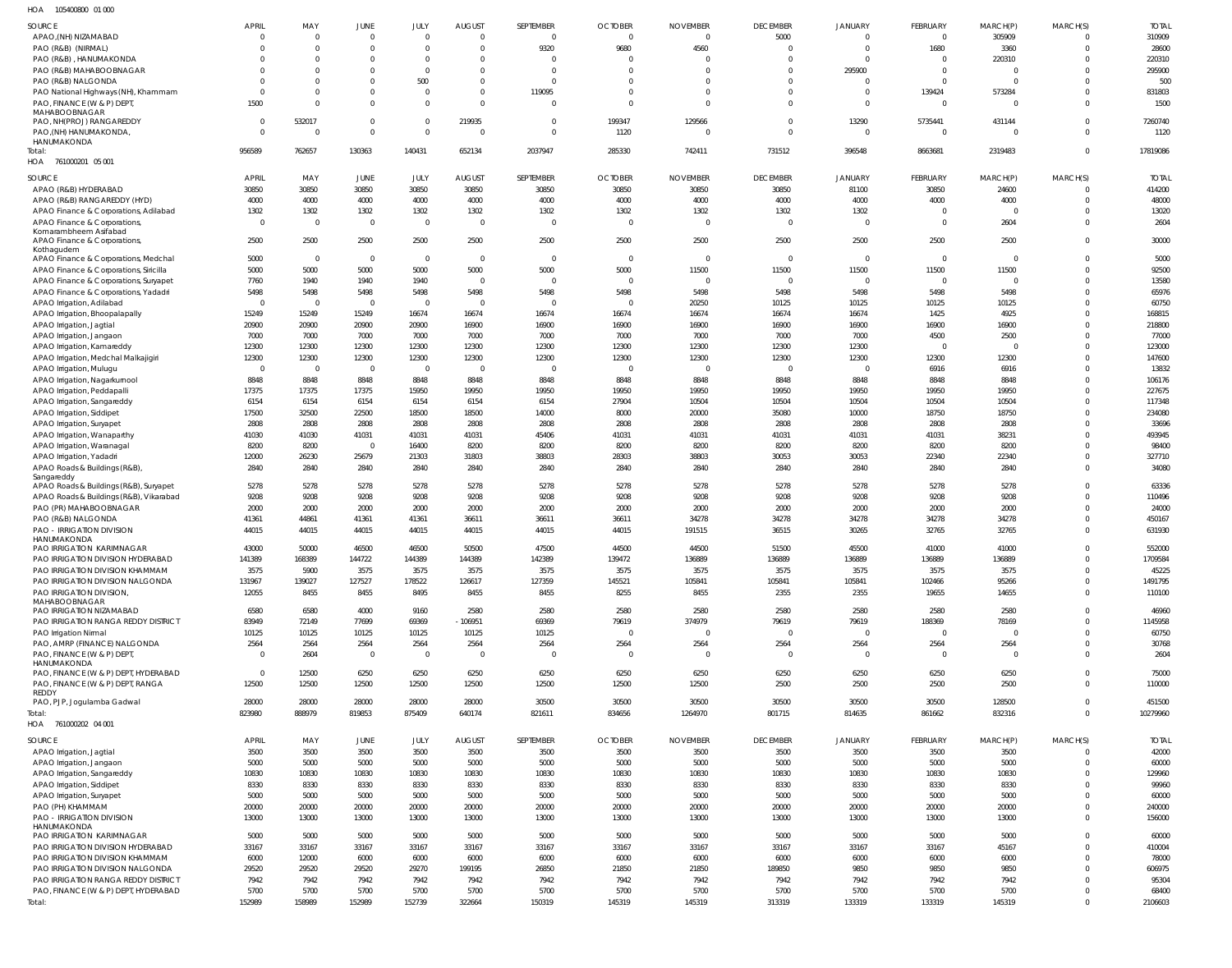| HOA<br>105400800 01 000                             |                |                         |                |                |                         |                |                |                 |                 |                |                |                |                      |                  |
|-----------------------------------------------------|----------------|-------------------------|----------------|----------------|-------------------------|----------------|----------------|-----------------|-----------------|----------------|----------------|----------------|----------------------|------------------|
| <b>SOURCE</b>                                       | <b>APRIL</b>   | MAY                     | <b>JUNE</b>    | JULY           | <b>AUGUST</b>           | SEPTEMBER      | <b>OCTOBER</b> | <b>NOVEMBER</b> | <b>DECEMBER</b> | <b>JANUARY</b> | FEBRUARY       | MARCH(P)       | MARCH(S)             | <b>TOTAL</b>     |
| APAO, (NH) NIZAMABAD                                | $\overline{0}$ | $\mathbf 0$             | $\overline{0}$ | $\Omega$       | $\overline{0}$          | - 0            | $\overline{0}$ | $\overline{0}$  | 5000            | $\Omega$       | $\Omega$       | 305909         | $\Omega$             | 310909           |
| PAO (R&B) (NIRMAL)                                  | $\Omega$       | $\Omega$                | $\overline{0}$ | $\Omega$       | $\overline{0}$          | 9320           | 9680           | 4560            | $\Omega$        | $\Omega$       | 1680           | 3360           | $\Omega$             | 28600            |
| PAO (R&B), HANUMAKONDA                              | $\Omega$       | $\Omega$                | $\mathbf{0}$   | $\Omega$       | $\Omega$                | $\Omega$       | - 0            | $\Omega$        | $\Omega$        | $\Omega$       | $\Omega$       | 220310         | $\Omega$             | 220310           |
| PAO (R&B) MAHABOOBNAGAR                             | <sup>0</sup>   | $\Omega$                | $\mathbf{0}$   | $\Omega$       | $\overline{0}$          | $\circ$        | $\Omega$       | 0               | $\Omega$        | 295900         | $\Omega$       | $\overline{0}$ | $\Omega$             | 295900           |
| PAO (R&B) NALGONDA                                  |                | $\Omega$                | $\mathbf{0}$   | 500            | $\overline{0}$          | $\Omega$       | $\Omega$       | $\mathbf 0$     | $\Omega$        | $\Omega$       | $\Omega$       | $\overline{0}$ | $\Omega$             | 500              |
| PAO National Highways (NH), Khammam                 | $\Omega$       | $\Omega$                | $\mathbf{0}$   | $\Omega$       | $\overline{0}$          | 119095         | $\Omega$       | $\mathbf 0$     | $\Omega$        | $\overline{0}$ | 139424         | 573284         | $\Omega$             | 831803           |
| PAO, FINANCE (W & P) DEPT,                          | 1500           | $\Omega$                | $\mathbf 0$    | $\Omega$       | $\Omega$                | $\Omega$       | $\Omega$       | $\mathbf 0$     | $\Omega$        | $\overline{0}$ | $\Omega$       | $\overline{0}$ | $\Omega$             | 1500             |
| MAHABOOBNAGAR<br>PAO, NH(PROJ) RANGAREDDY           | $\overline{0}$ | 532017                  | $\overline{0}$ | $\Omega$       | 219935                  | $\overline{0}$ | 199347         | 129566          | $\Omega$        | 13290          | 5735441        | 431144         | $\Omega$             | 7260740          |
| PAO, (NH) HANUMAKONDA,                              | $\Omega$       | $\Omega$                | $\overline{0}$ | $\Omega$       | - 0                     | $\Omega$       | 1120           | $\Omega$        | $\Omega$        | $\overline{0}$ | $\Omega$       | $\overline{0}$ | $\Omega$             | 1120             |
| HANUMAKONDA                                         |                |                         |                |                |                         |                |                |                 |                 |                |                |                |                      |                  |
| Total:                                              | 956589         | 762657                  | 130363         | 140431         | 652134                  | 2037947        | 285330         | 742411          | 731512          | 396548         | 8663681        | 2319483        | $\Omega$             | 17819086         |
| HOA 761000201 05 001                                |                |                         |                |                |                         |                |                |                 |                 |                |                |                |                      |                  |
| SOURCE                                              | <b>APRIL</b>   | MAY                     | JUNE           | JULY           | <b>AUGUST</b>           | SEPTEMBER      | <b>OCTOBER</b> | <b>NOVEMBER</b> | <b>DECEMBER</b> | <b>JANUARY</b> | FEBRUARY       | MARCH(P)       | MARCH(S)             | <b>TOTAL</b>     |
| APAO (R&B) HYDERABAD                                | 30850          | 30850                   | 30850          | 30850          | 30850                   | 30850          | 30850          | 30850           | 30850           | 81100          | 30850          | 24600          | $\overline{0}$       | 414200           |
| APAO (R&B) RANGAREDDY (HYD)                         | 4000           | 4000                    | 4000           | 4000           | 4000                    | 4000           | 4000           | 4000            | 4000            | 4000           | 4000           | 4000           | $\overline{0}$       | 48000            |
| APAO Finance & Corporations, Adilabad               | 1302           | 1302                    | 1302           | 1302           | 1302                    | 1302           | 1302           | 1302            | 1302            | 1302           | $\overline{0}$ | $\overline{0}$ | $\Omega$             | 13020            |
| APAO Finance & Corporations,                        | $\overline{0}$ | $\overline{0}$          | $\overline{0}$ | $\overline{0}$ | $\overline{0}$          | $\circ$        | $\overline{0}$ | $\overline{0}$  | $\Omega$        | $\overline{0}$ | $\Omega$       | 2604           | $\Omega$             | 2604             |
| Komarambheem Asifabad                               |                |                         |                |                |                         |                |                |                 |                 |                |                |                |                      |                  |
| APAO Finance & Corporations,<br>Kothagudem          | 2500           | 2500                    | 2500           | 2500           | 2500                    | 2500           | 2500           | 2500            | 2500            | 2500           | 2500           | 2500           | $\Omega$             | 30000            |
| APAO Finance & Corporations, Medchal                | 5000           | $\overline{\mathbf{0}}$ | $\overline{0}$ | $\overline{0}$ | $\overline{0}$          | $\circ$        | $\overline{0}$ | $\overline{0}$  | $\overline{0}$  | $\overline{0}$ | $\overline{0}$ | $\overline{0}$ | $\Omega$             | 5000             |
| APAO Finance & Corporations, Siricilla              | 5000           | 5000                    | 5000           | 5000           | 5000                    | 5000           | 5000           | 11500           | 11500           | 11500          | 11500          | 11500          | $\Omega$             | 92500            |
| APAO Finance & Corporations, Suryapet               | 7760           | 1940                    | 1940           | 1940           | $\overline{\mathbf{0}}$ | $\circ$        | $\overline{0}$ | $\overline{0}$  | $\overline{0}$  | $\overline{0}$ | $\Omega$       | $\overline{0}$ | $\Omega$             | 13580            |
| APAO Finance & Corporations, Yadadri                | 5498           | 5498                    | 5498           | 5498           | 5498                    | 5498           | 5498           | 5498            | 5498            | 5498           | 5498           | 5498           | $\Omega$             | 65976            |
| APAO Irrigation, Adilabad                           | $\overline{0}$ | 0                       | $\overline{0}$ | $\Omega$       | $\overline{\mathbf{0}}$ | $\Omega$       | $\overline{0}$ | 20250           | 10125           | 10125          | 10125          | 10125          | $\Omega$             | 60750            |
| APAO Irrigation, Bhoopalapally                      | 15249          | 15249                   | 15249          | 16674          | 16674                   | 16674          | 16674          | 16674           | 16674           | 16674          | 1425           | 4925           | $\Omega$             | 168815           |
| APAO Irrigation, Jagtial                            | 20900          | 20900                   | 20900          | 20900          | 16900                   | 16900          | 16900          | 16900           | 16900           | 16900          | 16900          | 16900          | <sup>0</sup>         | 218800           |
| APAO Irrigation, Jangaon                            | 7000           | 7000                    | 7000           | 7000           | 7000                    | 7000           | 7000           | 7000            | 7000            | 7000           | 4500           | 2500           | $\Omega$             | 77000            |
| APAO Irrigation, Kamareddy                          | 12300          | 12300                   | 12300          | 12300          | 12300                   | 12300          | 12300          | 12300           | 12300           | 12300          | $\Omega$       | $\mathbf 0$    | $\Omega$             | 123000           |
| APAO Irrigation, Medchal Malkajigiri                | 12300          | 12300                   | 12300          | 12300          | 12300                   | 12300          | 12300          | 12300           | 12300           | 12300          | 12300          | 12300          | $\Omega$             | 147600           |
| APAO Irrigation, Mulugu                             | $\overline{0}$ | $\overline{0}$          | $\overline{0}$ | $\overline{0}$ | $\overline{\mathbf{0}}$ | $\circ$        | $\overline{0}$ | $\overline{0}$  | $\Omega$        | $\overline{0}$ | 6916           | 6916           | $\Omega$             | 13832            |
| APAO Irrigation, Nagarkurnool                       | 8848           | 8848                    | 8848           | 8848           | 8848                    | 8848           | 8848           | 8848            | 8848            | 8848           | 8848           | 8848           | $\Omega$             | 106176           |
| APAO Irrigation, Peddapalli                         | 17375          | 17375                   | 17375          | 15950          | 19950                   | 19950          | 19950          | 19950           | 19950           | 19950          | 19950          | 19950          | $\Omega$             | 227675           |
| APAO Irrigation, Sangareddy                         | 6154           | 6154                    | 6154           | 6154           | 6154                    | 6154           | 27904          | 10504           | 10504           | 10504          | 10504          | 10504          | $\Omega$             | 117348           |
| APAO Irrigation, Siddipet                           | 17500          | 32500                   | 22500          | 18500          | 18500                   | 14000          | 8000           | 20000           | 35080           | 10000          | 18750          | 18750          | $\Omega$             | 234080           |
| APAO Irrigation, Suryapet                           | 2808           | 2808                    | 2808           | 2808           | 2808                    | 2808           | 2808           | 2808            | 2808            | 2808           | 2808           | 2808           | $\Omega$             | 33696            |
| APAO Irrigation, Wanaparthy                         | 41030          | 41030                   | 41031          | 41031          | 41031                   | 45406          | 41031          | 41031           | 41031           | 41031          | 41031          | 38231          | $\Omega$             | 493945           |
| APAO Irrigation, Waranagal                          | 8200           | 8200                    | $\overline{0}$ | 16400          | 8200                    | 8200           | 8200           | 8200            | 8200            | 8200           | 8200           | 8200           | $\Omega$             | 98400            |
| APAO Irrigation, Yadadri                            | 12000          | 26230                   | 25679          | 21303          | 31803                   | 38803          | 28303          | 38803           | 30053           | 30053          | 22340          | 22340          | $\Omega$             | 327710           |
| APAO Roads & Buildings (R&B),                       | 2840           | 2840                    | 2840           | 2840           | 2840                    | 2840           | 2840           | 2840            | 2840            | 2840           | 2840           | 2840           | $\Omega$             | 34080            |
| Sangareddy                                          |                |                         |                |                |                         |                |                |                 |                 |                |                |                |                      |                  |
| APAO Roads & Buildings (R&B), Suryapet              | 5278           | 5278                    | 5278           | 5278           | 5278                    | 5278           | 5278           | 5278            | 5278            | 5278           | 5278           | 5278           | $\Omega$             | 63336            |
| APAO Roads & Buildings (R&B), Vikarabad             | 9208           | 9208                    | 9208           | 9208           | 9208                    | 9208           | 9208           | 9208            | 9208            | 9208           | 9208           | 9208           | $\Omega$             | 110496           |
| PAO (PR) MAHABOOBNAGAR                              | 2000           | 2000                    | 2000           | 2000           | 2000                    | 2000           | 2000           | 2000            | 2000            | 2000           | 2000           | 2000           | $\Omega$             | 24000            |
| PAO (R&B) NALGONDA                                  | 41361          | 44861                   | 41361          | 41361          | 36611                   | 36611          | 36611          | 34278           | 34278           | 34278          | 34278          | 34278          | $\Omega$             | 450167           |
| PAO - IRRIGATION DIVISION<br><b>HANUMAKONDA</b>     | 44015          | 44015                   | 44015          | 44015          | 44015                   | 44015          | 44015          | 191515          | 36515           | 30265          | 32765          | 32765          | $\Omega$             | 631930           |
| PAO IRRIGATION KARIMNAGAR                           | 43000          | 50000                   | 46500          | 46500          | 50500                   | 47500          | 44500          | 44500           | 51500           | 45500          | 41000          | 41000          | $\Omega$             | 552000           |
| PAO IRRIGATION DIVISION HYDERABAD                   | 141389         | 168389                  | 144722         | 144389         | 144389                  | 142389         | 139472         | 136889          | 136889          | 136889         | 136889         | 136889         | 0                    | 1709584          |
| PAO IRRIGATION DIVISION KHAMMAM                     | 3575           | 5900                    | 3575           | 3575           | 3575                    | 3575           |                |                 | 3575            | 3575           |                |                |                      |                  |
| PAO IRRIGATION DIVISION NALGONDA                    | 131967         |                         |                |                |                         |                | 3575           | 3575            |                 |                | 3575           | 3575           | $\Omega$             | 45225            |
| PAO IRRIGATION DIVISION,                            |                | 139027                  | 127527         | 178522         | 126617                  | 127359         | 145521         | 105841          | 105841          | 105841         | 102466         | 95266          | $\Omega$             | 1491795          |
| MAHABOOBNAGAR                                       | 12055          | 8455                    | 8455           | 8495           | 8455                    | 8455           | 8255           | 8455            | 2355            | 2355           | 19655          | 14655          | $\Omega$             | 110100           |
|                                                     |                |                         |                |                |                         |                |                |                 |                 |                |                |                |                      |                  |
| PAO IRRIGATION NIZAMABAD                            | 6580           | 6580                    | 4000           | 9160           | 2580                    | 2580           | 2580           | 2580            | 2580            | 2580           | 2580           | 2580           | $\Omega$             | 46960            |
| PAO IRRIGATION RANGA REDDY DISTRICT                 | 83949          | 72149                   | 77699          | 69369          | $-106951$               | 69369          | 79619          | 374979          | 79619           | 79619          | 188369         | 78169          | $\Omega$             | 1145958          |
| PAO Irrigation Nirmal                               | 10125          | 10125                   | 10125          | 10125          | 10125                   | 10125          | $\overline{0}$ | $\overline{0}$  | $\Omega$        | $\overline{0}$ | $\Omega$       | $\overline{0}$ | $\Omega$             | 60750            |
| PAO, AMRP (FINANCE) NALGONDA                        | 2564           | 2564                    | 2564           | 2564           | 2564                    | 2564           | 2564           | 2564            | 2564            | 2564           | 2564           | 2564           | $\Omega$             | 30768            |
| PAO, FINANCE (W & P) DEPT,                          | $\overline{0}$ | 2604                    | $\overline{0}$ | $\overline{0}$ | $\overline{\mathbf{0}}$ | $\Omega$       | $\overline{0}$ | $\overline{0}$  | $\Omega$        | $\overline{0}$ | $\Omega$       | $\overline{0}$ | $\Omega$             | 2604             |
| HANUMAKONDA<br>PAO, FINANCE (W & P) DEPT, HYDERABAD | $\overline{0}$ | 12500                   | 6250           | 6250           | 6250                    | 6250           | 6250           | 6250            | 6250            | 6250           | 6250           | 6250           | $\Omega$             | 75000            |
| PAO, FINANCE (W & P) DEPT, RANGA                    | 12500          | 12500                   | 12500          | 12500          | 12500                   | 12500          | 12500          | 12500           | 2500            | 2500           | 2500           | 2500           | $\Omega$             | 110000           |
| <b>REDDY</b>                                        |                |                         |                |                |                         |                |                |                 |                 |                |                |                |                      |                  |
| PAO, PJP, Jogulamba Gadwal                          | 28000          | 28000                   | 28000          | 28000          | 28000                   | 30500          | 30500          | 30500           | 30500           | 30500          | 30500          | 128500         | $\Omega$             | 451500           |
| Total:                                              | 823980         | 888979                  | 819853         | 875409         | 640174                  | 821611         | 834656         | 1264970         | 801715          | 814635         | 861662         | 832316         | $\overline{0}$       | 10279960         |
| HOA 761000202 04 001                                |                |                         |                |                |                         |                |                |                 |                 |                |                |                |                      |                  |
| SOURCE                                              | <b>APRIL</b>   | MAY                     | JUNE           | JULY           | <b>AUGUST</b>           | SEPTEMBER      | <b>OCTOBER</b> | <b>NOVEMBER</b> | <b>DECEMBER</b> | <b>JANUARY</b> | FEBRUARY       | MARCH(P)       | MARCH(S)             | <b>TOTAL</b>     |
| APAO Irrigation, Jagtial                            | 3500           | 3500                    | 3500           | 3500           | 3500                    | 3500           | 3500           | 3500            | 3500            | 3500           | 3500           | 3500           | $\Omega$             | 42000            |
| APAO Irrigation, Jangaon                            | 5000           | 5000                    | 5000           | 5000           | 5000                    | 5000           | 5000           | 5000            | 5000            | 5000           | 5000           | 5000           | $\Omega$             | 60000            |
| APAO Irrigation, Sangareddy                         | 10830          | 10830                   | 10830          | 10830          | 10830                   | 10830          | 10830          | 10830           | 10830           | 10830          | 10830          | 10830          | <sup>0</sup>         | 129960           |
| APAO Irrigation, Siddipet                           | 8330           | 8330                    | 8330           | 8330           | 8330                    | 8330           | 8330           | 8330            | 8330            | 8330           | 8330           | 8330           | <sup>0</sup>         | 99960            |
| APAO Irrigation, Suryapet                           | 5000           | 5000                    | 5000           | 5000           | 5000                    | 5000           | 5000           | 5000            | 5000            | 5000           | 5000           | 5000           | <sup>0</sup>         | 60000            |
| PAO (PH) KHAMMAM                                    | 20000          | 20000                   | 20000          | 20000          | 20000                   | 20000          | 20000          | 20000           | 20000           | 20000          | 20000          | 20000          | $\Omega$             | 240000           |
| PAO - IRRIGATION DIVISION                           | 13000          | 13000                   | 13000          | 13000          | 13000                   | 13000          | 13000          | 13000           | 13000           | 13000          | 13000          | 13000          | $\Omega$             | 156000           |
| HANUMAKONDA                                         |                |                         |                |                |                         |                |                |                 |                 |                |                |                |                      |                  |
| PAO IRRIGATION KARIMNAGAR                           | 5000           | 5000                    | 5000           | 5000           | 5000                    | 5000           | 5000           | 5000            | 5000            | 5000           | 5000           | 5000           | $\Omega$             | 60000            |
| PAO IRRIGATION DIVISION HYDERABAD                   | 33167          | 33167                   | 33167          | 33167          | 33167                   | 33167          | 33167          | 33167           | 33167           | 33167          | 33167          | 45167          | $\Omega$             | 410004           |
| PAO IRRIGATION DIVISION KHAMMAM                     | 6000           | 12000                   | 6000           | 6000           | 6000                    | 6000           | 6000           | 6000            | 6000            | 6000           | 6000           | 6000           | $\Omega$             | 78000            |
| PAO IRRIGATION DIVISION NALGONDA                    | 29520          | 29520                   | 29520          | 29270          | 199195                  | 26850          | 21850          | 21850           | 189850          | 9850           | 9850           | 9850           | <sup>0</sup>         | 606975           |
| PAO IRRIGATION RANGA REDDY DISTRICT                 | 7942           | 7942                    | 7942           | 7942           | 7942                    | 7942           | 7942           | 7942            | 7942            | 7942           | 7942           | 7942           | $\Omega$             | 95304            |
| PAO, FINANCE (W & P) DEPT, HYDERABAD<br>Total:      | 5700<br>152989 | 5700<br>158989          | 5700<br>152989 | 5700<br>152739 | 5700<br>322664          | 5700<br>150319 | 5700<br>145319 | 5700<br>145319  | 5700<br>313319  | 5700<br>133319 | 5700<br>133319 | 5700<br>145319 | $\Omega$<br>$\Omega$ | 68400<br>2106603 |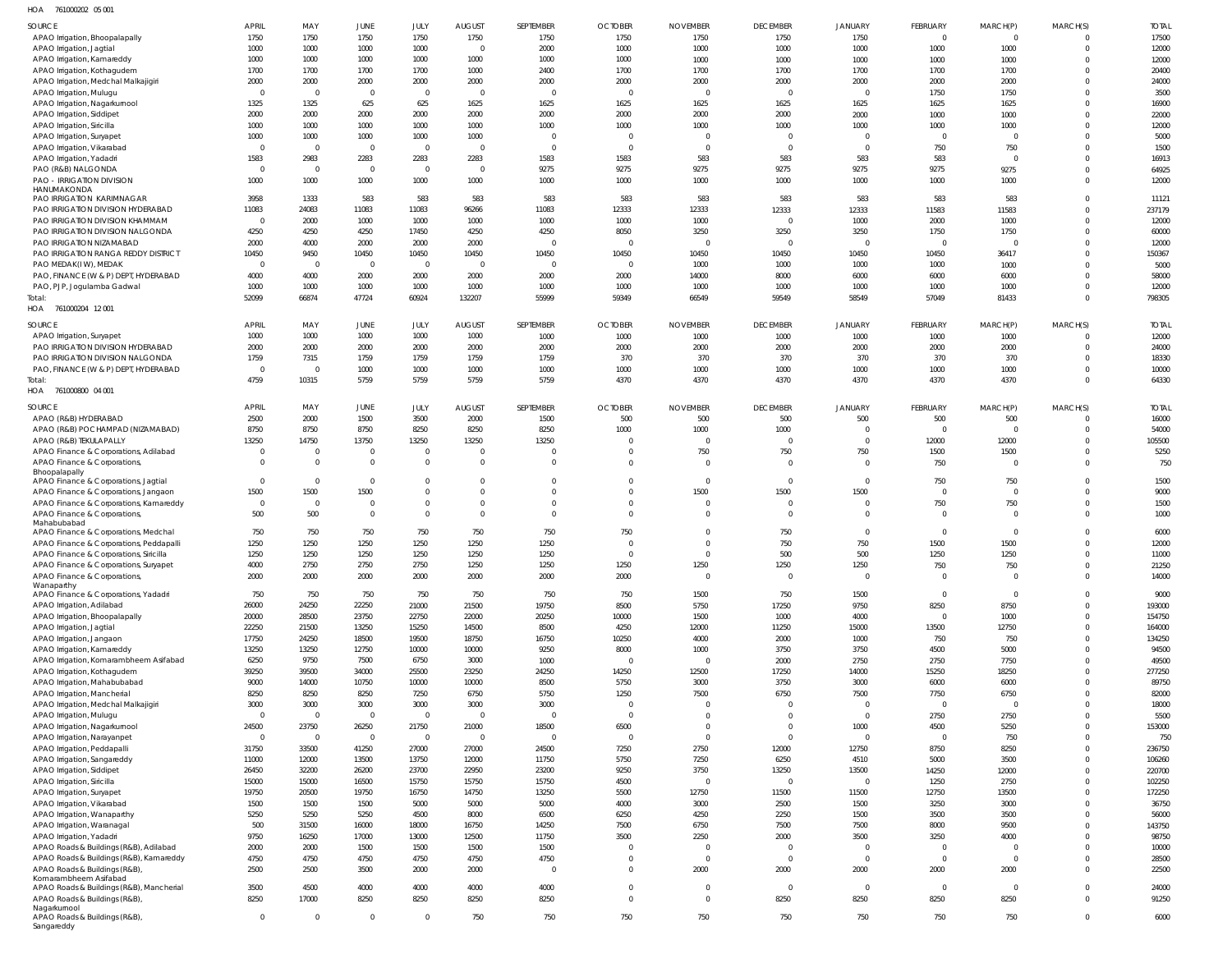761000202 05 001 HOA

| SOURCE                                                                          | <b>APRIL</b>         | MAY                    | JUNE                    | JULY                       | <b>AUGUST</b>                  | SEPTEMBER               | <b>OCTOBER</b>             | <b>NOVEMBER</b>                  | <b>DECEMBER</b>          | JANUARY                          | <b>FEBRUARY</b>        | MARCH(P)               | MARCH(S)             | <b>TOTAL</b>    |
|---------------------------------------------------------------------------------|----------------------|------------------------|-------------------------|----------------------------|--------------------------------|-------------------------|----------------------------|----------------------------------|--------------------------|----------------------------------|------------------------|------------------------|----------------------|-----------------|
| APAO Irrigation, Bhoopalapally                                                  | 1750                 | 1750                   | 1750                    | 1750                       | 1750                           | 1750                    | 1750                       | 1750                             | 1750                     | 1750                             | $\Omega$               | $\overline{0}$         |                      | 17500           |
| APAO Irrigation, Jagtial                                                        | 1000                 | 1000                   | 1000                    | 1000                       | $\overline{0}$                 | 2000                    | 1000                       | 1000                             | 1000                     | 1000                             | 1000                   | 1000                   | $\Omega$             | 12000           |
| APAO Irrigation, Kamareddy                                                      | 1000                 | 1000<br>1700           | 1000<br>1700            | 1000<br>1700               | 1000<br>1000                   | 1000<br>2400            | 1000<br>1700               | 1000<br>1700                     | 1000<br>1700             | 1000<br>1700                     | 1000<br>1700           | 1000<br>1700           | $\Omega$<br>$\Omega$ | 12000<br>20400  |
| APAO Irrigation, Kothagudem<br>APAO Irrigation, Medchal Malkajigiri             | 1700<br>2000         | 2000                   | 2000                    | 2000                       | 2000                           | 2000                    | 2000                       | 2000                             | 2000                     | 2000                             | 2000                   | 2000                   |                      | 24000           |
| APAO Irrigation, Mulugu                                                         | $\mathbf 0$          | $\overline{0}$         | $\overline{0}$          | $\overline{0}$             | $\overline{0}$                 | $\mathsf{C}$            | $\overline{0}$             | $\overline{0}$                   | $\overline{0}$           | $\overline{0}$                   | 1750                   | 1750                   | $\Omega$             | 3500            |
| APAO Irrigation, Nagarkurnool                                                   | 1325                 | 1325                   | 625                     | 625                        | 1625                           | 1625                    | 1625                       | 1625                             | 1625                     | 1625                             | 1625                   | 1625                   | $\Omega$             | 16900           |
| APAO Irrigation, Siddipet                                                       | 2000                 | 2000                   | 2000                    | 2000                       | 2000                           | 2000                    | 2000                       | 2000                             | 2000                     | 2000                             | 1000                   | 1000                   | $\Omega$             | 22000           |
| APAO Irrigation, Siricilla                                                      | 1000                 | 1000                   | 1000                    | 1000                       | 1000                           | 1000                    | 1000                       | 1000                             | 1000                     | 1000                             | 1000                   | 1000                   |                      | 12000           |
| APAO Irrigation, Suryapet<br>APAO Irrigation, Vikarabad                         | 1000<br>$\mathbf 0$  | 1000<br>$\overline{0}$ | 1000<br>$\mathbf 0$     | 1000<br>$\Omega$           | 1000<br>$\overline{0}$         | - 0<br>$\mathsf{C}$     | $\overline{0}$<br>$\circ$  | $\overline{0}$<br>$\overline{0}$ | $\Omega$<br>$\Omega$     | $\overline{0}$<br>$\overline{0}$ | $\overline{0}$<br>750  | $\overline{0}$<br>750  | $\Omega$<br>$\Omega$ | 5000<br>1500    |
| APAO Irrigation, Yadadri                                                        | 1583                 | 2983                   | 2283                    | 2283                       | 2283                           | 1583                    | 1583                       | 583                              | 583                      | 583                              | 583                    | $\overline{0}$         | $\Omega$             | 16913           |
| PAO (R&B) NALGONDA                                                              | $\mathbf{0}$         | $\mathbf 0$            | $\overline{0}$          | $\overline{0}$             | $\overline{0}$                 | 9275                    | 9275                       | 9275                             | 9275                     | 9275                             | 9275                   | 9275                   |                      | 64925           |
| <b>PAO - IRRIGATION DIVISION</b>                                                | 1000                 | 1000                   | 1000                    | 1000                       | 1000                           | 1000                    | 1000                       | 1000                             | 1000                     | 1000                             | 1000                   | 1000                   | $\Omega$             | 12000           |
| HANUMAKONDA                                                                     | 3958                 | 1333                   | 583                     | 583                        | 583                            | 583                     | 583                        | 583                              | 583                      | 583                              | 583                    | 583                    | $\Omega$             |                 |
| PAO IRRIGATION KARIMNAGAR<br>PAO IRRIGATION DIVISION HYDERABAD                  | 11083                | 24083                  | 11083                   | 11083                      | 96266                          | 11083                   | 12333                      | 12333                            | 12333                    | 12333                            | 11583                  | 11583                  | $\Omega$             | 11121<br>237179 |
| PAO IRRIGATION DIVISION KHAMMAM                                                 | $\mathbf 0$          | 2000                   | 1000                    | 1000                       | 1000                           | 1000                    | 1000                       | 1000                             | $\overline{0}$           | 1000                             | 2000                   | 1000                   | $\Omega$             | 12000           |
| PAO IRRIGATION DIVISION NALGONDA                                                | 4250                 | 4250                   | 4250                    | 17450                      | 4250                           | 4250                    | 8050                       | 3250                             | 3250                     | 3250                             | 1750                   | 1750                   | $\Omega$             | 60000           |
| PAO IRRIGATION NIZAMABAD                                                        | 2000                 | 4000                   | 2000                    | 2000                       | 2000                           | $\mathsf{C}$            | $\overline{0}$             | $\overline{0}$                   | $\overline{0}$           | $\overline{0}$                   | $\Omega$               | $\Omega$               |                      | 12000           |
| PAO IRRIGATION RANGA REDDY DISTRICT                                             | 10450                | 9450                   | 10450                   | 10450                      | 10450                          | 10450                   | 10450                      | 10450                            | 10450                    | 10450                            | 10450                  | 36417                  | $\Omega$             | 150367          |
| PAO MEDAK(IW), MEDAK<br>PAO, FINANCE (W & P) DEPT, HYDERABAD                    | $\Omega$<br>4000     | $\overline{0}$<br>4000 | $\overline{0}$<br>2000  | $\Omega$<br>2000           | $\overline{0}$<br>2000         | $\mathsf{C}$<br>2000    | $\overline{0}$<br>2000     | 1000<br>14000                    | 1000<br>8000             | 1000<br>6000                     | 1000<br>6000           | 1000<br>6000           | $\Omega$             | 5000<br>58000   |
| PAO, PJP, Jogulamba Gadwal                                                      | 1000                 | 1000                   | 1000                    | 1000                       | 1000                           | 1000                    | 1000                       | 1000                             | 1000                     | 1000                             | 1000                   | 1000                   |                      | 12000           |
| Total:                                                                          | 52099                | 66874                  | 47724                   | 60924                      | 132207                         | 55999                   | 59349                      | 66549                            | 59549                    | 58549                            | 57049                  | 81433                  | $\Omega$             | 798305          |
| HOA 761000204 12001                                                             |                      |                        |                         |                            |                                |                         |                            |                                  |                          |                                  |                        |                        |                      |                 |
| SOURCE                                                                          | <b>APRIL</b>         | MAY                    | <b>JUNE</b>             | JULY                       | <b>AUGUST</b>                  | SEPTEMBER               | <b>OCTOBER</b>             | <b>NOVEMBER</b>                  | <b>DECEMBER</b>          | <b>JANUARY</b>                   | FEBRUARY               | MARCH(P)               | MARCH(S)             | <b>TOTAL</b>    |
| APAO Irrigation, Suryapet                                                       | 1000                 | 1000                   | 1000                    | 1000                       | 1000                           | 1000                    | 1000                       | 1000                             | 1000                     | 1000                             | 1000                   | 1000                   | $\Omega$             | 12000           |
| PAO IRRIGATION DIVISION HYDERABAD                                               | 2000                 | 2000                   | 2000                    | 2000                       | 2000                           | 2000                    | 2000                       | 2000                             | 2000                     | 2000                             | 2000                   | 2000                   | $\Omega$             | 24000           |
| PAO IRRIGATION DIVISION NALGONDA                                                | 1759                 | 7315                   | 1759                    | 1759                       | 1759                           | 1759                    | 370                        | 370                              | 370                      | 370                              | 370                    | 370                    |                      | 18330           |
| PAO, FINANCE (W & P) DEPT, HYDERABAD                                            | $\Omega$             | $\overline{0}$         | 1000                    | 1000                       | 1000                           | 1000                    | 1000                       | 1000                             | 1000                     | 1000                             | 1000                   | 1000                   |                      | 10000           |
| Total:                                                                          | 4759                 | 10315                  | 5759                    | 5759                       | 5759                           | 5759                    | 4370                       | 4370                             | 4370                     | 4370                             | 4370                   | 4370                   | $\Omega$             | 64330           |
| HOA 761000800 04 001                                                            |                      |                        |                         |                            |                                |                         |                            |                                  |                          |                                  |                        |                        |                      |                 |
| SOURCE                                                                          | <b>APRIL</b>         | MAY                    | JUNE                    | JULY                       | <b>AUGUST</b>                  | SEPTEMBER               | <b>OCTOBER</b>             | <b>NOVEMBER</b>                  | <b>DECEMBER</b>          | JANUARY                          | <b>FEBRUARY</b>        | MARCH(P)               | MARCH(S)             | <b>TOTAL</b>    |
| APAO (R&B) HYDERABAD                                                            | 2500                 | 2000                   | 1500                    | 3500                       | 2000                           | 1500                    | 500                        | 500                              | 500                      | 500                              | 500<br>$\overline{0}$  | 500<br>$\overline{0}$  | $\Omega$             | 16000           |
| APAO (R&B) POCHAMPAD (NIZAMABAD)<br>APAO (R&B) TEKULAPALLY                      | 8750<br>13250        | 8750<br>14750          | 8750<br>13750           | 8250<br>13250              | 8250<br>13250                  | 8250<br>13250           | 1000<br>- 0                | 1000<br>$\overline{0}$           | 1000<br>$\overline{0}$   | $\overline{0}$<br>$\overline{0}$ | 12000                  | 12000                  | $\Omega$             | 54000<br>105500 |
| APAO Finance & Corporations, Adilabad                                           | $\mathbf 0$          | $\overline{0}$         | $\mathbf 0$             | $\Omega$                   | $\overline{0}$                 |                         | - 0                        | 750                              | 750                      | 750                              | 1500                   | 1500                   | $\Omega$             | 5250            |
| APAO Finance & Corporations,                                                    | $\Omega$             | $\mathbf 0$            | $\mathbf 0$             | $\Omega$                   | $\overline{0}$                 | $\mathsf{C}$            | $\Omega$                   | $\overline{0}$                   | $\overline{0}$           | $\overline{0}$                   | 750                    | $\overline{0}$         | $\Omega$             | 750             |
| Bhoopalapally                                                                   |                      |                        |                         |                            |                                |                         |                            |                                  | $\Omega$                 |                                  |                        |                        |                      |                 |
| APAO Finance & Corporations, Jagtial<br>APAO Finance & Corporations, Jangaon    | $\Omega$<br>1500     | $\mathbf 0$<br>1500    | $\mathbf{0}$<br>1500    | $\Omega$<br>$\overline{0}$ | $\mathbf{0}$<br>$\overline{0}$ | -C<br>$\Omega$          | $\Omega$<br>$\overline{0}$ | $\overline{0}$<br>1500           | 1500                     | $\overline{0}$<br>1500           | 750<br>$\overline{0}$  | 750<br>$\overline{0}$  | $\Omega$<br>$\Omega$ | 1500<br>9000    |
| APAO Finance & Corporations, Kamareddy                                          | $\mathbf{0}$         | $\overline{0}$         | $\mathbf 0$             | $\overline{0}$             | $\overline{0}$                 | $\Omega$                | $\overline{0}$             | $\overline{0}$                   | $\Omega$                 | $\overline{0}$                   | 750                    | 750                    | $\Omega$             | 1500            |
| APAO Finance & Corporations,                                                    | 500                  | 500                    | $\mathbf 0$             | $\Omega$                   | $\Omega$                       | $\Omega$                | $\Omega$                   | $\Omega$                         | $\Omega$                 | $\overline{0}$                   | $\Omega$               | $\overline{0}$         | $\Omega$             | 1000            |
| Mahabubabad                                                                     |                      |                        |                         |                            |                                |                         |                            |                                  |                          |                                  |                        |                        |                      |                 |
| APAO Finance & Corporations, Medchal<br>APAO Finance & Corporations, Peddapalli | 750<br>1250          | 750<br>1250            | 750<br>1250             | 750<br>1250                | 750<br>1250                    | 750<br>1250             | 750<br>- 0                 | $\Omega$<br>$\Omega$             | 750<br>750               | $\overline{0}$<br>750            | $\Omega$<br>1500       | $\overline{0}$<br>1500 | $\Omega$             | 6000<br>12000   |
| APAO Finance & Corporations, Siricilla                                          | 1250                 | 1250                   | 1250                    | 1250                       | 1250                           | 1250                    | $\Omega$                   | $\Omega$                         | 500                      | 500                              | 1250                   | 1250                   | $\Omega$             | 11000           |
| APAO Finance & Corporations, Suryapet                                           | 4000                 | 2750                   | 2750                    | 2750                       | 1250                           | 1250                    | 1250                       | 1250                             | 1250                     | 1250                             | 750                    | 750                    |                      | 21250           |
| APAO Finance & Corporations,                                                    | 2000                 | 2000                   | 2000                    | 2000                       | 2000                           | 2000                    | 2000                       | $\overline{0}$                   | $\overline{0}$           | $\overline{0}$                   | $\mathbf 0$            | $\overline{0}$         | $\Omega$             | 14000           |
| Wanaparthy<br>APAO Finance & Corporations, Yadadri                              | 750                  | 750                    | 750                     | 750                        | 750                            | 750                     | 750                        | 1500                             | 750                      | 1500                             | $\overline{0}$         | $\overline{0}$         | $\Omega$             | 9000            |
| APAO Irrigation, Adilabad                                                       | 26000                | 24250                  | 22250                   | 21000                      | 21500                          | 19750                   | 8500                       | 5750                             | 17250                    | 9750                             | 8250                   | 8750                   | $\Omega$             | 193000          |
| APAO Irrigation, Bhoopalapally                                                  | 20000                | 28500                  | 23750                   | 22750                      | 22000                          | 20250                   | 10000                      | 1500                             | 1000                     | 4000                             | $\overline{0}$         | 1000                   | $\Omega$             | 154750          |
| APAO Irrigation, Jagtial                                                        | 22250                | 21500                  | 13250                   | 15250                      | 14500                          | 8500                    | 4250                       | 12000                            | 11250                    | 15000                            | 13500                  | 12750                  | $\Omega$             | 164000          |
| APAO Irrigation, Jangaon                                                        | 17750                | 24250                  | 18500                   | 19500                      | 18750                          | 16750                   | 10250                      | 4000                             | 2000                     | 1000                             | 750                    | 750                    | $\Omega$             | 134250          |
| APAO Irrigation, Kamareddy<br>APAO Irrigation, Komarambheem Asifabad            | 13250<br>6250        | 13250<br>9750          | 12750<br>7500           | 10000<br>6750              | 10000<br>3000                  | 9250<br>1000            | 8000<br>$\overline{0}$     | 1000<br>$\overline{0}$           | 3750<br>2000             | 3750<br>2750                     | 4500<br>2750           | 5000<br>7750           | $\Omega$<br>$\Omega$ | 94500<br>49500  |
| APAO Irrigation, Kothagudem                                                     | 39250                | 39500                  | 34000                   | 25500                      | 23250                          | 24250                   | 14250                      | 12500                            | 17250                    | 14000                            | 15250                  | 18250                  | $\Omega$             | 277250          |
| APAO Irrigation, Mahabubabad                                                    | 9000                 | 14000                  | 10750                   | 10000                      | 10000                          | 8500                    | 5750                       | 3000                             | 3750                     | 3000                             | 6000                   | 6000                   | $\Omega$             | 89750           |
| APAO Irrigation, Mancherial                                                     | 8250                 | 8250                   | 8250                    | 7250                       | 6750                           | 5750                    | 1250                       | 7500                             | 6750                     | 7500                             | 7750                   | 6750                   | $\Omega$             | 82000           |
| APAO Irrigation, Medchal Malkajigiri                                            | 3000                 | 3000                   | 3000                    | 3000                       | 3000                           | 3000                    | $\overline{0}$             | $\overline{0}$                   | $\Omega$                 | $\overline{0}$                   | $\overline{0}$         | $\overline{0}$         | $\Omega$             | 18000           |
| APAO Irrigation, Mulugu                                                         | $\mathbf 0$          | $\mathbf 0$            | $\overline{0}$          | $\overline{0}$             | $\mathbf 0$                    | $\overline{0}$          | $\overline{0}$             | $\overline{0}$                   | $\Omega$                 | $\overline{0}$                   | 2750                   | 2750                   | $\Omega$             | 5500            |
| APAO Irrigation, Nagarkurnool<br>APAO Irrigation, Narayanpet                    | 24500<br>$\mathbf 0$ | 23750<br>$\mathbf 0$   | 26250<br>$\overline{0}$ | 21750<br>$\overline{0}$    | 21000<br>$\overline{0}$        | 18500<br>$\overline{0}$ | 6500<br>$\overline{0}$     | $\overline{0}$<br>$\mathbf{0}$   | $\Omega$<br>$\mathbf{0}$ | 1000<br>$\overline{0}$           | 4500<br>$\overline{0}$ | 5250<br>750            | $\Omega$<br>$\Omega$ | 153000<br>750   |
| APAO Irrigation, Peddapalli                                                     | 31750                | 33500                  | 41250                   | 27000                      | 27000                          | 24500                   | 7250                       | 2750                             | 12000                    | 12750                            | 8750                   | 8250                   | $\Omega$             | 236750          |
| APAO Irrigation, Sangareddy                                                     | 11000                | 12000                  | 13500                   | 13750                      | 12000                          | 11750                   | 5750                       | 7250                             | 6250                     | 4510                             | 5000                   | 3500                   | $\Omega$             | 106260          |
| APAO Irrigation, Siddipet                                                       | 26450                | 32200                  | 26200                   | 23700                      | 22950                          | 23200                   | 9250                       | 3750                             | 13250                    | 13500                            | 14250                  | 12000                  | $\Omega$             | 220700          |
| APAO Irrigation, Siricilla                                                      | 15000                | 15000                  | 16500                   | 15750                      | 15750                          | 15750                   | 4500                       | $\overline{0}$                   | $\overline{0}$           | $\overline{0}$                   | 1250                   | 2750                   | $\Omega$             | 102250          |
| APAO Irrigation, Suryapet                                                       | 19750                | 20500                  | 19750                   | 16750                      | 14750                          | 13250                   | 5500                       | 12750                            | 11500                    | 11500                            | 12750                  | 13500                  | $\Omega$             | 172250          |
| APAO Irrigation, Vikarabad                                                      | 1500                 | 1500                   | 1500                    | 5000                       | 5000                           | 5000                    | 4000                       | 3000<br>4250                     | 2500                     | 1500                             | 3250                   | 3000                   | $\Omega$<br>$\Omega$ | 36750           |
| APAO Irrigation, Wanaparthy<br>APAO Irrigation, Waranagal                       | 5250<br>500          | 5250<br>31500          | 5250<br>16000           | 4500<br>18000              | 8000<br>16750                  | 6500<br>14250           | 6250<br>7500               | 6750                             | 2250<br>7500             | 1500<br>7500                     | 3500<br>8000           | 3500<br>9500           | $\Omega$             | 56000<br>143750 |
| APAO Irrigation, Yadadri                                                        | 9750                 | 16250                  | 17000                   | 13000                      | 12500                          | 11750                   | 3500                       | 2250                             | 2000                     | 3500                             | 3250                   | 4000                   | $\Omega$             | 98750           |
| APAO Roads & Buildings (R&B), Adilabad                                          | 2000                 | 2000                   | 1500                    | 1500                       | 1500                           | 1500                    | $\overline{0}$             | $\overline{0}$                   | $\overline{0}$           | $\overline{0}$                   | $\overline{0}$         | $\overline{0}$         | $\Omega$             | 10000           |
| APAO Roads & Buildings (R&B), Kamareddy                                         | 4750                 | 4750                   | 4750                    | 4750                       | 4750                           | 4750                    | $\overline{0}$             | $\overline{0}$                   | $\overline{0}$           | $\overline{0}$                   | $\overline{0}$         | $\overline{0}$         | $\Omega$             | 28500           |
| APAO Roads & Buildings (R&B),                                                   | 2500                 | 2500                   | 3500                    | 2000                       | 2000                           | C                       | $\mathbf 0$                | 2000                             | 2000                     | 2000                             | 2000                   | 2000                   | $\Omega$             | 22500           |
| Komarambheem Asifabad<br>APAO Roads & Buildings (R&B), Mancherial               | 3500                 | 4500                   | 4000                    | 4000                       | 4000                           | 4000                    | $\overline{0}$             | $\overline{0}$                   | $\overline{0}$           | $\overline{0}$                   | $\overline{0}$         | $\overline{0}$         | $\Omega$             | 24000           |
| APAO Roads & Buildings (R&B),                                                   | 8250                 | 17000                  | 8250                    | 8250                       | 8250                           | 8250                    | $\mathbf 0$                | $\mathbf{0}$                     | 8250                     | 8250                             | 8250                   | 8250                   | $\Omega$             | 91250           |
| Nagarkurnool                                                                    |                      |                        |                         |                            |                                |                         |                            |                                  |                          |                                  |                        |                        |                      |                 |
| APAO Roads & Buildings (R&B),<br>Sangareddy                                     | $\pmb{0}$            | $\mathbf 0$            | $\mathbf 0$             | $\Omega$                   | 750                            | 750                     | 750                        | 750                              | 750                      | 750                              | 750                    | 750                    | $\Omega$             | 6000            |